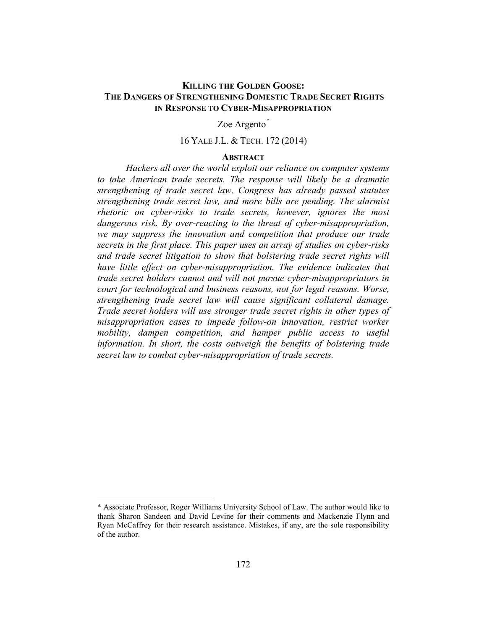## **KILLING THE GOLDEN GOOSE: THE DANGERS OF STRENGTHENING DOMESTIC TRADE SECRET RIGHTS IN RESPONSE TO CYBER-MISAPPROPRIATION**

### Zoe Argento*\**

#### 16 YALE J.L. & TECH. 172 (2014)

## **ABSTRACT**

*Hackers all over the world exploit our reliance on computer systems to take American trade secrets. The response will likely be a dramatic strengthening of trade secret law. Congress has already passed statutes strengthening trade secret law, and more bills are pending. The alarmist rhetoric on cyber-risks to trade secrets, however, ignores the most dangerous risk. By over-reacting to the threat of cyber-misappropriation, we may suppress the innovation and competition that produce our trade secrets in the first place. This paper uses an array of studies on cyber-risks*  and trade secret litigation to show that bolstering trade secret rights will *have little effect on cyber-misappropriation. The evidence indicates that trade secret holders cannot and will not pursue cyber-misappropriators in court for technological and business reasons, not for legal reasons. Worse, strengthening trade secret law will cause significant collateral damage. Trade secret holders will use stronger trade secret rights in other types of misappropriation cases to impede follow-on innovation, restrict worker mobility, dampen competition, and hamper public access to useful information. In short, the costs outweigh the benefits of bolstering trade secret law to combat cyber-misappropriation of trade secrets.*

 $\overline{a}$ 

<sup>\*</sup> Associate Professor, Roger Williams University School of Law. The author would like to thank Sharon Sandeen and David Levine for their comments and Mackenzie Flynn and Ryan McCaffrey for their research assistance. Mistakes, if any, are the sole responsibility of the author.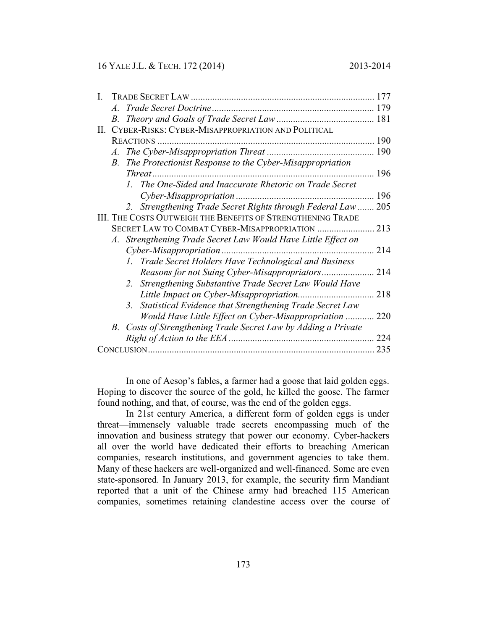### 16 YALE J.L. & TECH. 172 (2014) 2013-2014

|                                                             | $A_{\cdot}$                                       |                                                                            | 179 |
|-------------------------------------------------------------|---------------------------------------------------|----------------------------------------------------------------------------|-----|
|                                                             |                                                   |                                                                            |     |
| П.                                                          | CYBER-RISKS: CYBER-MISAPPROPRIATION AND POLITICAL |                                                                            |     |
|                                                             |                                                   |                                                                            | 190 |
|                                                             | $\mathcal{A}_{\cdot}$                             |                                                                            | 190 |
|                                                             | <i>B</i> .                                        | The Protectionist Response to the Cyber-Misappropriation                   |     |
|                                                             |                                                   |                                                                            | 196 |
|                                                             |                                                   | 1. The One-Sided and Inaccurate Rhetoric on Trade Secret                   |     |
|                                                             |                                                   | Cyber-Misappropriation                                                     | 196 |
|                                                             |                                                   | 2. Strengthening Trade Secret Rights through Federal Law                   | 205 |
| III. THE COSTS OUTWEIGH THE BENEFITS OF STRENGTHENING TRADE |                                                   |                                                                            |     |
|                                                             |                                                   | SECRET LAW TO COMBAT CYBER-MISAPPROPRIATION                                | 213 |
|                                                             |                                                   | A. Strengthening Trade Secret Law Would Have Little Effect on              |     |
|                                                             |                                                   |                                                                            | 214 |
|                                                             |                                                   | 1. Trade Secret Holders Have Technological and Business                    |     |
|                                                             |                                                   | Reasons for not Suing Cyber-Misappropriators                               | 214 |
|                                                             |                                                   | 2. Strengthening Substantive Trade Secret Law Would Have                   |     |
|                                                             |                                                   | Little Impact on Cyber-Misappropriation                                    | 218 |
|                                                             |                                                   | Statistical Evidence that Strengthening Trade Secret Law<br>3 <sup>1</sup> |     |
|                                                             |                                                   | Would Have Little Effect on Cyber-Misappropriation                         | 220 |
|                                                             |                                                   | B. Costs of Strengthening Trade Secret Law by Adding a Private             |     |
|                                                             |                                                   |                                                                            | 224 |
|                                                             |                                                   |                                                                            | 235 |

In one of Aesop's fables, a farmer had a goose that laid golden eggs. Hoping to discover the source of the gold, he killed the goose. The farmer found nothing, and that, of course, was the end of the golden eggs.

In 21st century America, a different form of golden eggs is under threat—immensely valuable trade secrets encompassing much of the innovation and business strategy that power our economy. Cyber-hackers all over the world have dedicated their efforts to breaching American companies, research institutions, and government agencies to take them. Many of these hackers are well-organized and well-financed. Some are even state-sponsored. In January 2013, for example, the security firm Mandiant reported that a unit of the Chinese army had breached 115 American companies, sometimes retaining clandestine access over the course of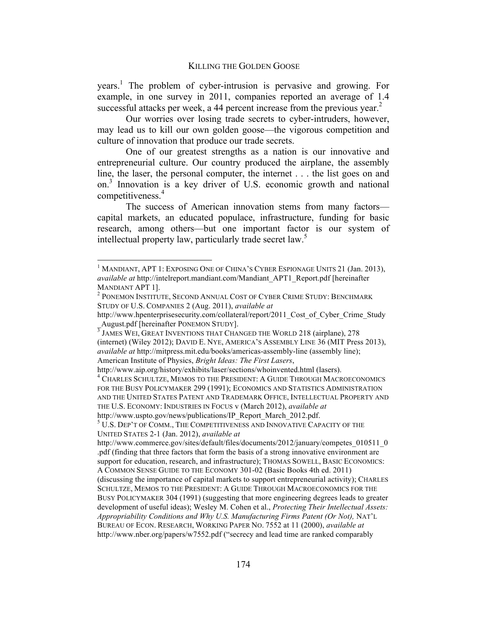years.<sup>1</sup> The problem of cyber-intrusion is pervasive and growing. For example, in one survey in 2011, companies reported an average of 1.4 successful attacks per week, a 44 percent increase from the previous year.<sup>2</sup>

Our worries over losing trade secrets to cyber-intruders, however, may lead us to kill our own golden goose—the vigorous competition and culture of innovation that produce our trade secrets.

One of our greatest strengths as a nation is our innovative and entrepreneurial culture. Our country produced the airplane, the assembly line, the laser, the personal computer, the internet . . . the list goes on and on.3 Innovation is a key driver of U.S. economic growth and national competitiveness.<sup>4</sup>

The success of American innovation stems from many factors capital markets, an educated populace, infrastructure, funding for basic research, among others—but one important factor is our system of intellectual property law, particularly trade secret law.<sup>5</sup>

<sup>&</sup>lt;sup>1</sup> MANDIANT, APT 1: EXPOSING ONE OF CHINA'S CYBER ESPIONAGE UNITS 21 (Jan. 2013), *available at* http://intelreport.mandiant.com/Mandiant\_APT1\_Report.pdf [hereinafter MANDIANT APT 1].<br><sup>2</sup> Ponemon Institute, Second Annual Cost of Cyber Crime Study: Benchmark

STUDY OF U.S. COMPANIES 2 (Aug. 2011), *available at* 

http://www.hpenterprisesecurity.com/collateral/report/2011\_Cost\_of\_Cyber\_Crime\_Study  $\frac{A}{{}^3}$ JAMES WEI, GREAT INVENTIONS THAT CHANGED THE WORLD 218 (airplane), 278

<sup>(</sup>internet) (Wiley 2012); DAVID E. NYE, AMERICA'S ASSEMBLY LINE 36 (MIT Press 2013), *available at* http://mitpress.mit.edu/books/americas-assembly-line (assembly line); American Institute of Physics, *Bright Ideas: The First Lasers*,

http://www.aip.org/history/exhibits/laser/sections/whoinvented.html (lasers).

<sup>&</sup>lt;sup>4</sup> CHARLES SCHULTZE, MEMOS TO THE PRESIDENT: A GUIDE THROUGH MACROECONOMICS FOR THE BUSY POLICYMAKER 299 (1991); ECONOMICS AND STATISTICS ADMINISTRATION AND THE UNITED STATES PATENT AND TRADEMARK OFFICE, INTELLECTUAL PROPERTY AND THE U.S. ECONOMY: INDUSTRIES IN FOCUS v (March 2012), *available at* 

http://www.uspto.gov/news/publications/IP\_Report\_March\_2012.pdf.

<sup>&</sup>lt;sup>5</sup> U.S. DEP'T OF COMM., THE COMPETITIVENESS AND INNOVATIVE CAPACITY OF THE UNITED STATES 2-1 (Jan. 2012), *available at* 

http://www.commerce.gov/sites/default/files/documents/2012/january/competes\_010511\_0 .pdf (finding that three factors that form the basis of a strong innovative environment are support for education, research, and infrastructure); THOMAS SOWELL, BASIC ECONOMICS: A COMMON SENSE GUIDE TO THE ECONOMY 301-02 (Basic Books 4th ed. 2011) (discussing the importance of capital markets to support entrepreneurial activity); CHARLES SCHULTZE, MEMOS TO THE PRESIDENT: A GUIDE THROUGH MACROECONOMICS FOR THE BUSY POLICYMAKER 304 (1991) (suggesting that more engineering degrees leads to greater development of useful ideas); Wesley M. Cohen et al., *Protecting Their Intellectual Assets: Appropriability Conditions and Why U.S. Manufacturing Firms Patent (Or Not),* NAT'L BUREAU OF ECON. RESEARCH, WORKING PAPER NO. 7552 at 11 (2000), *available at* http://www.nber.org/papers/w7552.pdf ("secrecy and lead time are ranked comparably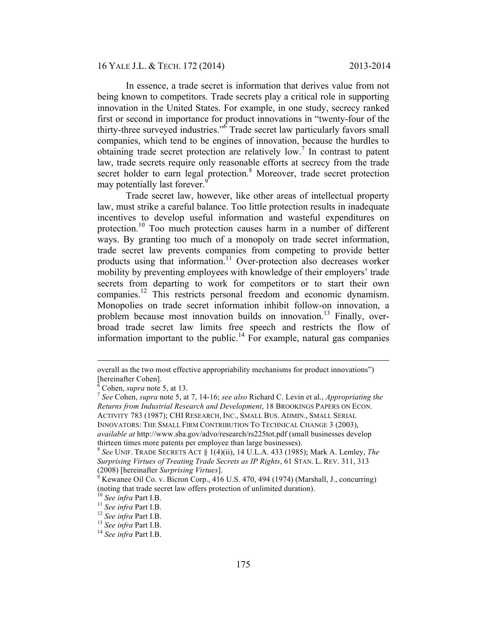In essence, a trade secret is information that derives value from not being known to competitors. Trade secrets play a critical role in supporting innovation in the United States. For example, in one study, secrecy ranked first or second in importance for product innovations in "twenty-four of the thirty-three surveyed industries." <sup>6</sup> Trade secret law particularly favors small companies, which tend to be engines of innovation, because the hurdles to obtaining trade secret protection are relatively low.<sup>7</sup> In contrast to patent law, trade secrets require only reasonable efforts at secrecy from the trade secret holder to earn legal protection.<sup>8</sup> Moreover, trade secret protection may potentially last forever.<sup>9</sup>

Trade secret law, however, like other areas of intellectual property law, must strike a careful balance. Too little protection results in inadequate incentives to develop useful information and wasteful expenditures on protection.<sup>10</sup> Too much protection causes harm in a number of different ways. By granting too much of a monopoly on trade secret information, trade secret law prevents companies from competing to provide better products using that information.<sup>11</sup> Over-protection also decreases worker mobility by preventing employees with knowledge of their employers' trade secrets from departing to work for competitors or to start their own companies.12 This restricts personal freedom and economic dynamism. Monopolies on trade secret information inhibit follow-on innovation, a problem because most innovation builds on innovation.<sup>13</sup> Finally, overbroad trade secret law limits free speech and restricts the flow of information important to the public.<sup>14</sup> For example, natural gas companies

overall as the two most effective appropriability mechanisms for product innovations") [hereinafter Cohen].

 $\frac{6}{7}$  Cohen, *supra* note 5, at 13.

*See* Cohen, *supra* note 5, at 7, 14-16; *see also* Richard C. Levin et al., *Appropriating the Returns from Industrial Research and Development*, 18 BROOKINGS PAPERS ON ECON. ACTIVITY 783 (1987); CHI RESEARCH, INC., SMALL BUS. ADMIN., SMALL SERIAL

INNOVATORS: THE SMALL FIRM CONTRIBUTION TO TECHNICAL CHANGE 3 (2003),

*available at* http://www.sba.gov/advo/research/rs225tot.pdf (small businesses develop thirteen times more patents per employee than large businesses).

<sup>8</sup>  *See* UNIF. TRADE SECRETS ACT § 1(4)(ii), 14 U.L.A. 433 (1985); Mark A. Lemley, *The Surprising Virtues of Treating Trade Secrets as IP Rights*, 61 STAN. L. REV. 311, 313 (2008) [hereinafter *Surprising Virtues*]. <sup>9</sup>

Kewanee Oil Co. v. Bicron Corp., 416 U.S. 470, 494 (1974) (Marshall, J., concurring) (noting that trade secret law offers protection of unlimited duration).

<sup>&</sup>lt;sup>10</sup> *See infra* Part I.B.<br><sup>11</sup> *See infra* Part I.B.<br><sup>12</sup> *See infra* Part I.B.<br><sup>13</sup> *See infra* Part I.B.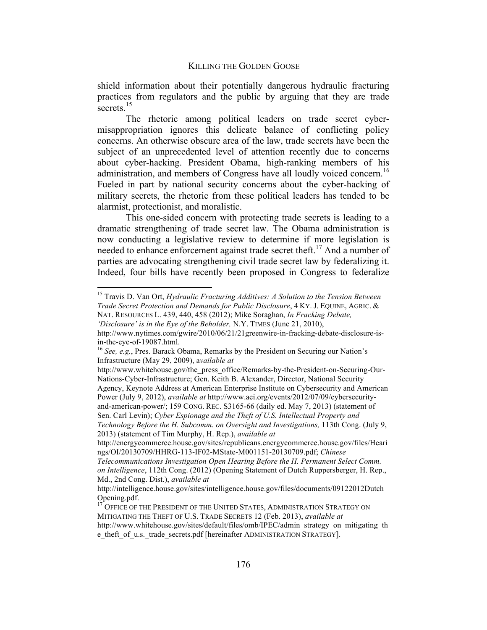shield information about their potentially dangerous hydraulic fracturing practices from regulators and the public by arguing that they are trade secrets $15$ 

The rhetoric among political leaders on trade secret cybermisappropriation ignores this delicate balance of conflicting policy concerns. An otherwise obscure area of the law, trade secrets have been the subject of an unprecedented level of attention recently due to concerns about cyber-hacking. President Obama, high-ranking members of his administration, and members of Congress have all loudly voiced concern.<sup>16</sup> Fueled in part by national security concerns about the cyber-hacking of military secrets, the rhetoric from these political leaders has tended to be alarmist, protectionist, and moralistic.

This one-sided concern with protecting trade secrets is leading to a dramatic strengthening of trade secret law. The Obama administration is now conducting a legislative review to determine if more legislation is needed to enhance enforcement against trade secret theft.<sup>17</sup> And a number of parties are advocating strengthening civil trade secret law by federalizing it. Indeed, four bills have recently been proposed in Congress to federalize

 <sup>15</sup> Travis D. Van Ort, *Hydraulic Fracturing Additives: A Solution to the Tension Between Trade Secret Protection and Demands for Public Disclosure*, 4 KY. J. EQUINE, AGRIC. & NAT. RESOURCES L. 439, 440, 458 (2012); Mike Soraghan, *In Fracking Debate,* 

*<sup>&#</sup>x27;Disclosure' is in the Eye of the Beholder,* N.Y. TIMES (June 21, 2010),

http://www.nytimes.com/gwire/2010/06/21/21greenwire-in-fracking-debate-disclosure-isin-the-eye-of-19087.html.<br><sup>16</sup> *See, e.g.*, Pres. Barack Obama, Remarks by the President on Securing our Nation's

Infrastructure (May 29, 2009), a*vailable at* 

http://www.whitehouse.gov/the\_press\_office/Remarks-by-the-President-on-Securing-Our-Nations-Cyber-Infrastructure; Gen. Keith B. Alexander, Director, National Security

Agency, Keynote Address at American Enterprise Institute on Cybersecurity and American Power (July 9, 2012), *available at* http://www.aei.org/events/2012/07/09/cybersecurityand-american-power/; 159 CONG. REC. S3165-66 (daily ed. May 7, 2013) (statement of

Sen. Carl Levin); *Cyber Espionage and the Theft of U.S. Intellectual Property and Technology Before the H. Subcomm. on Oversight and Investigations,* 113th Cong. (July 9,

<sup>2013) (</sup>statement of Tim Murphy, H. Rep.), *available at* 

http://energycommerce.house.gov/sites/republicans.energycommerce.house.gov/files/Heari ngs/OI/20130709/HHRG-113-IF02-MState-M001151-20130709.pdf; *Chinese* 

*Telecommunications Investigation Open Hearing Before the H. Permanent Select Comm. on Intelligence*, 112th Cong. (2012) (Opening Statement of Dutch Ruppersberger, H. Rep., Md., 2nd Cong. Dist.), *available at* 

http://intelligence.house.gov/sites/intelligence.house.gov/files/documents/09122012Dutch Opening.pdf.

<sup>&</sup>lt;sup>17</sup> OFFICE OF THE PRESIDENT OF THE UNITED STATES, ADMINISTRATION STRATEGY ON MITIGATING THE THEFT OF U.S. TRADE SECRETS 12 (Feb. 2013), *available at*  http://www.whitehouse.gov/sites/default/files/omb/IPEC/admin\_strategy\_on\_mitigating\_th e\_theft\_of\_u.s.\_trade\_secrets.pdf [hereinafter ADMINISTRATION STRATEGY].

<sup>176</sup>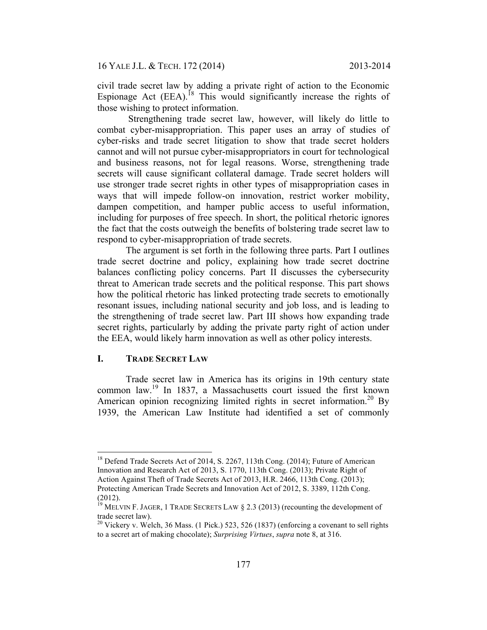civil trade secret law by adding a private right of action to the Economic Espionage Act  $(EEA)$ <sup>18</sup> This would significantly increase the rights of those wishing to protect information.

 Strengthening trade secret law, however, will likely do little to combat cyber-misappropriation. This paper uses an array of studies of cyber-risks and trade secret litigation to show that trade secret holders cannot and will not pursue cyber-misappropriators in court for technological and business reasons, not for legal reasons. Worse, strengthening trade secrets will cause significant collateral damage. Trade secret holders will use stronger trade secret rights in other types of misappropriation cases in ways that will impede follow-on innovation, restrict worker mobility, dampen competition, and hamper public access to useful information, including for purposes of free speech. In short, the political rhetoric ignores the fact that the costs outweigh the benefits of bolstering trade secret law to respond to cyber-misappropriation of trade secrets.

The argument is set forth in the following three parts. Part I outlines trade secret doctrine and policy, explaining how trade secret doctrine balances conflicting policy concerns. Part II discusses the cybersecurity threat to American trade secrets and the political response. This part shows how the political rhetoric has linked protecting trade secrets to emotionally resonant issues, including national security and job loss, and is leading to the strengthening of trade secret law. Part III shows how expanding trade secret rights, particularly by adding the private party right of action under the EEA, would likely harm innovation as well as other policy interests.

# **I. TRADE SECRET LAW**

Trade secret law in America has its origins in 19th century state common law.<sup>19</sup> In 1837, a Massachusetts court issued the first known American opinion recognizing limited rights in secret information.<sup>20</sup> By 1939, the American Law Institute had identified a set of commonly

<sup>&</sup>lt;sup>18</sup> Defend Trade Secrets Act of 2014, S. 2267, 113th Cong. (2014); Future of American Innovation and Research Act of 2013, S. 1770, 113th Cong. (2013); Private Right of Action Against Theft of Trade Secrets Act of 2013, H.R. 2466, 113th Cong. (2013); Protecting American Trade Secrets and Innovation Act of 2012, S. 3389, 112th Cong. (2012).

<sup>&</sup>lt;sup>19</sup> MELVIN F. JAGER, 1 TRADE SECRETS LAW  $\S 2.3$  (2013) (recounting the development of trade secret law).

 $20$  Vickery v. Welch, 36 Mass. (1 Pick.) 523, 526 (1837) (enforcing a covenant to sell rights to a secret art of making chocolate); *Surprising Virtues*, *supra* note 8, at 316.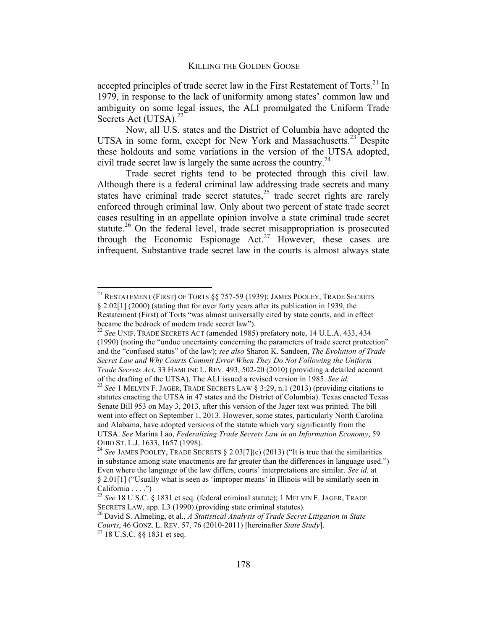accepted principles of trade secret law in the First Restatement of Torts.<sup>21</sup> In 1979, in response to the lack of uniformity among states' common law and ambiguity on some legal issues, the ALI promulgated the Uniform Trade Secrets Act (UTSA).<sup>22</sup>

Now, all U.S. states and the District of Columbia have adopted the UTSA in some form, except for New York and Massachusetts. $^{23}$  Despite these holdouts and some variations in the version of the UTSA adopted, civil trade secret law is largely the same across the country.<sup>24</sup>

Trade secret rights tend to be protected through this civil law. Although there is a federal criminal law addressing trade secrets and many states have criminal trade secret statutes,<sup>25</sup> trade secret rights are rarely enforced through criminal law. Only about two percent of state trade secret cases resulting in an appellate opinion involve a state criminal trade secret statute.<sup>26</sup> On the federal level, trade secret misappropriation is prosecuted through the Economic Espionage  $Act.^{27}$  However, these cases are infrequent. Substantive trade secret law in the courts is almost always state

<sup>&</sup>lt;sup>21</sup> RESTATEMENT (FIRST) OF TORTS §§ 757-59 (1939); JAMES POOLEY, TRADE SECRETS § 2.02[1] (2000) (stating that for over forty years after its publication in 1939, the

Restatement (First) of Torts "was almost universally cited by state courts, and in effect became the bedrock of modern trade secret law").

<sup>22</sup> *See* UNIF. TRADE SECRETS ACT (amended 1985) prefatory note, 14 U.L.A. 433, 434 (1990) (noting the "undue uncertainty concerning the parameters of trade secret protection" and the "confused status" of the law); *see also* Sharon K. Sandeen, *The Evolution of Trade Secret Law and Why Courts Commit Error When They Do Not Following the Uniform Trade Secrets Act*, 33 HAMLINE L. REV. 493, 502-20 (2010) (providing a detailed account

of the drafting of the UTSA). The ALI issued a revised version in 1985. *See id.* <sup>23</sup> *See* 1 MELVIN F. JAGER, TRADE SECRETS LAW § 3:29, n.1 (2013) (providing citations to statutes enacting the UTSA in 47 states and the District of Columbia). Texas enacted Texas Senate Bill 953 on May 3, 2013, after this version of the Jager text was printed. The bill went into effect on September 1, 2013. However, some states, particularly North Carolina and Alabama, have adopted versions of the statute which vary significantly from the UTSA. *See* Marina Lao, *Federalizing Trade Secrets Law in an Information Economy*, 59 OHIO ST. L.J. 1633, 1657 (1998). <sup>24</sup> *See* JAMES POOLEY, TRADE SECRETS § 2.03[7](c) (2013) ("It is true that the similarities

in substance among state enactments are far greater than the differences in language used.") Even where the language of the law differs, courts' interpretations are similar. *See id.* at § 2.01[1] ("Usually what is seen as 'improper means' in Illinois will be similarly seen in California  $\dots$ .")

<sup>25</sup> *See* 18 U.S.C. § 1831 et seq. (federal criminal statute); 1 MELVIN F. JAGER, TRADE SECRETS LAW, app. L3 (1990) (providing state criminal statutes). 26 David S. Almeling, et al., *A Statistical Analysis of Trade Secret Litigation in State* 

*Courts*, 46 GONZ. L. REV. 57, 76 (2010-2011) [hereinafter *State Study*]. 27 18 U.S.C. §§ 1831 et seq.

<sup>178</sup>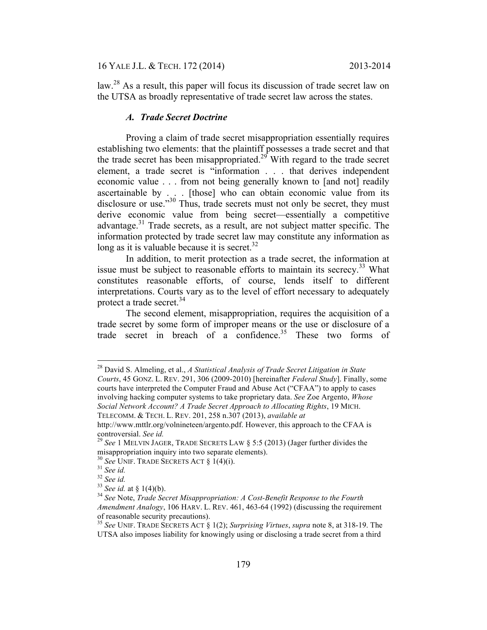law.28 As a result, this paper will focus its discussion of trade secret law on the UTSA as broadly representative of trade secret law across the states.

### *A. Trade Secret Doctrine*

Proving a claim of trade secret misappropriation essentially requires establishing two elements: that the plaintiff possesses a trade secret and that the trade secret has been misappropriated.<sup>29</sup> With regard to the trade secret element, a trade secret is "information . . . that derives independent economic value . . . from not being generally known to [and not] readily ascertainable by . . . [those] who can obtain economic value from its disclosure or use."<sup>30</sup> Thus, trade secrets must not only be secret, they must derive economic value from being secret—essentially a competitive advantage.<sup>31</sup> Trade secrets, as a result, are not subject matter specific. The information protected by trade secret law may constitute any information as long as it is valuable because it is secret.<sup>32</sup>

In addition, to merit protection as a trade secret, the information at issue must be subject to reasonable efforts to maintain its secrecy.<sup>33</sup> What constitutes reasonable efforts, of course, lends itself to different interpretations. Courts vary as to the level of effort necessary to adequately protect a trade secret.<sup>34</sup>

The second element, misappropriation, requires the acquisition of a trade secret by some form of improper means or the use or disclosure of a trade secret in breach of a confidence.<sup>35</sup> These two forms of

 <sup>28</sup> David S. Almeling, et al., *A Statistical Analysis of Trade Secret Litigation in State Courts*, 45 GONZ. L. REV. 291, 306 (2009-2010) [hereinafter *Federal Study*]. Finally, some courts have interpreted the Computer Fraud and Abuse Act ("CFAA") to apply to cases involving hacking computer systems to take proprietary data. *See* Zoe Argento, *Whose Social Network Account? A Trade Secret Approach to Allocating Rights*, 19 MICH. TELECOMM. & TECH. L. REV. 201, 258 n.307 (2013), *available at* 

http://www.mttlr.org/volnineteen/argento.pdf. However, this approach to the CFAA is controversial. *See id.* <sup>29</sup> *See* 1 MELVIN JAGER, TRADE SECRETS LAW § 5:5 (2013) (Jager further divides the

misappropriation inquiry into two separate elements).<br><sup>30</sup> *See UNIF.* TRADE SECRETS ACT § 1(4)(i).<br><sup>31</sup> *See id.* 32<br><sup>32</sup> *See id.* at § 1(4)(b).

<sup>&</sup>lt;sup>34</sup> See Note, *Trade Secret Misappropriation: A Cost-Benefit Response to the Fourth Amendment Analogy*, 106 HARV. L. REV. 461, 463-64 (1992) (discussing the requirement of reasonable security precautions).

<sup>35</sup> *See* UNIF. TRADE SECRETS ACT § 1(2); *Surprising Virtues*, *supra* note 8, at 318-19. The UTSA also imposes liability for knowingly using or disclosing a trade secret from a third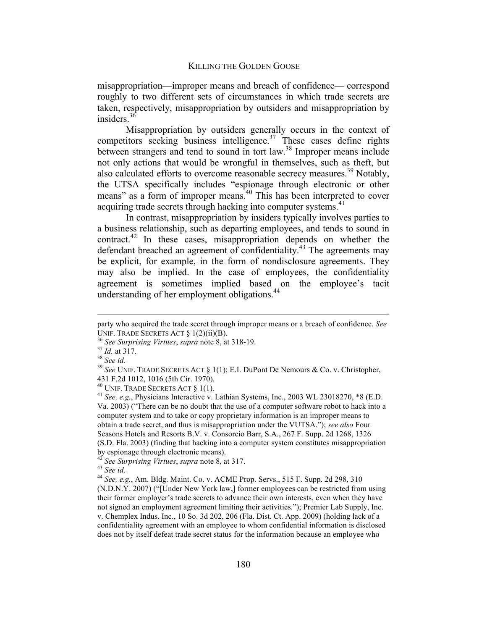misappropriation—improper means and breach of confidence— correspond roughly to two different sets of circumstances in which trade secrets are taken, respectively, misappropriation by outsiders and misappropriation by insiders.36

Misappropriation by outsiders generally occurs in the context of competitors seeking business intelligence. $37$  These cases define rights between strangers and tend to sound in tort law.<sup>38</sup> Improper means include not only actions that would be wrongful in themselves, such as theft, but also calculated efforts to overcome reasonable secrecy measures.<sup>39</sup> Notably, the UTSA specifically includes "espionage through electronic or other means" as a form of improper means.<sup>40</sup> This has been interpreted to cover acquiring trade secrets through hacking into computer systems.<sup>41</sup>

In contrast, misappropriation by insiders typically involves parties to a business relationship, such as departing employees, and tends to sound in contract.<sup>42</sup> In these cases, misappropriation depends on whether the defendant breached an agreement of confidentiality.43 The agreements may be explicit, for example, in the form of nondisclosure agreements. They may also be implied. In the case of employees, the confidentiality agreement is sometimes implied based on the employee's tacit understanding of her employment obligations.<sup>44</sup>

 $\overline{a}$ 

party who acquired the trade secret through improper means or a breach of confidence. *See*  UNIF. TRADE SECRETS ACT § 1(2)(ii)(B).<br><sup>36</sup> *See Surprising Virtues*, *supra* note 8, at 318-19.<br><sup>37</sup> *Id.* at 317. 38 *See id.* 

<sup>39</sup> *See* UNIF. TRADE SECRETS ACT § 1(1); E.I. DuPont De Nemours & Co. v. Christopher, 431 F.2d 1012, 1016 (5th Cir. 1970).<br><sup>40</sup> UNIF. TRADE SECRETS ACT § 1(1).

<sup>&</sup>lt;sup>41</sup> See, e.g., Physicians Interactive v. Lathian Systems, Inc., 2003 WL 23018270, \*8 (E.D. Va. 2003) ("There can be no doubt that the use of a computer software robot to hack into a computer system and to take or copy proprietary information is an improper means to obtain a trade secret, and thus is misappropriation under the VUTSA."); *see also* Four Seasons Hotels and Resorts B.V. v. Consorcio Barr, S.A., 267 F. Supp. 2d 1268, 1326 (S.D. Fla. 2003) (finding that hacking into a computer system constitutes misappropriation by espionage through electronic means).

<sup>42</sup> *See Surprising Virtues*, *supra* note 8, at 317. <sup>43</sup> *See id.*

<sup>44</sup> *See, e.g.*, Am. Bldg. Maint. Co. v. ACME Prop. Servs., 515 F. Supp. 2d 298, 310 (N.D.N.Y. 2007) ("[Under New York law,] former employees can be restricted from using their former employer's trade secrets to advance their own interests, even when they have not signed an employment agreement limiting their activities."); Premier Lab Supply, Inc. v. Chemplex Indus. Inc., 10 So. 3d 202, 206 (Fla. Dist. Ct. App. 2009) (holding lack of a confidentiality agreement with an employee to whom confidential information is disclosed does not by itself defeat trade secret status for the information because an employee who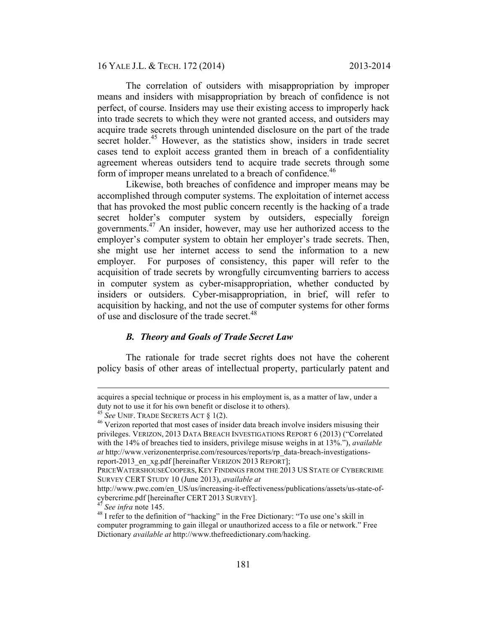16 YALE J.L. & TECH. 172 (2014) 2013-2014

The correlation of outsiders with misappropriation by improper means and insiders with misappropriation by breach of confidence is not perfect, of course. Insiders may use their existing access to improperly hack into trade secrets to which they were not granted access, and outsiders may acquire trade secrets through unintended disclosure on the part of the trade secret holder.<sup>45</sup> However, as the statistics show, insiders in trade secret cases tend to exploit access granted them in breach of a confidentiality agreement whereas outsiders tend to acquire trade secrets through some form of improper means unrelated to a breach of confidence.<sup>46</sup>

Likewise, both breaches of confidence and improper means may be accomplished through computer systems. The exploitation of internet access that has provoked the most public concern recently is the hacking of a trade secret holder's computer system by outsiders, especially foreign governments.47 An insider, however, may use her authorized access to the employer's computer system to obtain her employer's trade secrets. Then, she might use her internet access to send the information to a new employer. For purposes of consistency, this paper will refer to the acquisition of trade secrets by wrongfully circumventing barriers to access in computer system as cyber-misappropriation, whether conducted by insiders or outsiders. Cyber-misappropriation, in brief, will refer to acquisition by hacking, and not the use of computer systems for other forms of use and disclosure of the trade secret.<sup>48</sup>

# *B. Theory and Goals of Trade Secret Law*

The rationale for trade secret rights does not have the coherent policy basis of other areas of intellectual property, particularly patent and

 $\overline{a}$ 

acquires a special technique or process in his employment is, as a matter of law, under a duty not to use it for his own benefit or disclose it to others).<br><sup>45</sup> See UNIF. TRADE SECRETS ACT § 1(2).<br><sup>46</sup> Verizon reported that most cases of insider data breach involve insiders misusing their

privileges. VERIZON, 2013 DATA BREACH INVESTIGATIONS REPORT 6 (2013) ("Correlated with the 14% of breaches tied to insiders, privilege misuse weighs in at 13%."), *available at* http://www.verizonenterprise.com/resources/reports/rp\_data-breach-investigationsreport-2013 en xg.pdf [hereinafter VERIZON 2013 REPORT];

PRICEWATERSHOUSECOOPERS, KEY FINDINGS FROM THE 2013 US STATE OF CYBERCRIME SURVEY CERT STUDY 10 (June 2013), *available at* 

http://www.pwc.com/en\_US/us/increasing-it-effectiveness/publications/assets/us-state-ofcybercrime.pdf [hereinafter CERT 2013 SURVEY].<br><sup>47</sup> See infra note 145.<br><sup>48</sup> I refer to the definition of "hacking" in the Free Dictionary: "To use one's skill in

computer programming to gain illegal or unauthorized access to a file or network." Free Dictionary *available at* http://www.thefreedictionary.com/hacking.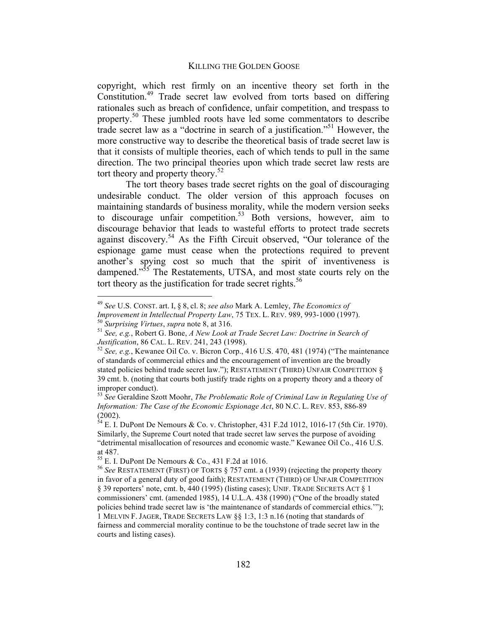copyright, which rest firmly on an incentive theory set forth in the Constitution.49 Trade secret law evolved from torts based on differing rationales such as breach of confidence, unfair competition, and trespass to property.<sup>50</sup> These jumbled roots have led some commentators to describe trade secret law as a "doctrine in search of a justification."51 However, the more constructive way to describe the theoretical basis of trade secret law is that it consists of multiple theories, each of which tends to pull in the same direction. The two principal theories upon which trade secret law rests are tort theory and property theory.<sup>52</sup>

The tort theory bases trade secret rights on the goal of discouraging undesirable conduct. The older version of this approach focuses on maintaining standards of business morality, while the modern version seeks to discourage unfair competition.<sup>53</sup> Both versions, however, aim to discourage behavior that leads to wasteful efforts to protect trade secrets against discovery.54 As the Fifth Circuit observed, "Our tolerance of the espionage game must cease when the protections required to prevent another's spying cost so much that the spirit of inventiveness is dampened."<sup>55</sup> The Restatements, UTSA, and most state courts rely on the tort theory as the justification for trade secret rights.<sup>56</sup>

 <sup>49</sup> *See* U.S. CONST. art. I, § 8, cl. 8; *see also* Mark A. Lemley, *The Economics of* 

*Improvement in Intellectual Property Law, 75 TEX. L. REV. 989, 993-1000 (1997).*<br><sup>50</sup> *Surprising Virtues, supra note 8, at 316.*<br><sup>51</sup> *See, e.g., Robert G. Bone, A New Look at Trade Secret Law: Doctrine in Search of* 

*Justification*, 86 CAL. L. REV. 241, 243 (1998).<br><sup>52</sup> *See, e.g.*, Kewanee Oil Co. v. Bicron Corp., 416 U.S. 470, 481 (1974) ("The maintenance

of standards of commercial ethics and the encouragement of invention are the broadly stated policies behind trade secret law."); RESTATEMENT (THIRD) UNFAIR COMPETITION § 39 cmt. b. (noting that courts both justify trade rights on a property theory and a theory of improper conduct).

<sup>53</sup> *See* Geraldine Szott Moohr, *The Problematic Role of Criminal Law in Regulating Use of Information: The Case of the Economic Espionage Act*, 80 N.C. L. REV. 853, 886-89 (2002).

 $54$  E. I. DuPont De Nemours & Co. v. Christopher, 431 F.2d 1012, 1016-17 (5th Cir. 1970). Similarly, the Supreme Court noted that trade secret law serves the purpose of avoiding "detrimental misallocation of resources and economic waste." Kewanee Oil Co., 416 U.S. at 487.<br><sup>55</sup> E. I. DuPont De Nemours & Co., 431 F.2d at 1016.

 $56$  See RESTATEMENT (FIRST) OF TORTS  $\S$  757 cmt. a (1939) (rejecting the property theory in favor of a general duty of good faith); RESTATEMENT (THIRD) OF UNFAIR COMPETITION § 39 reporters' note, cmt. b, 440 (1995) (listing cases); UNIF. TRADE SECRETS ACT § 1 commissioners' cmt. (amended 1985), 14 U.L.A. 438 (1990) ("One of the broadly stated policies behind trade secret law is 'the maintenance of standards of commercial ethics.'"); 1 MELVIN F. JAGER, TRADE SECRETS LAW §§ 1:3, 1:3 n.16 (noting that standards of fairness and commercial morality continue to be the touchstone of trade secret law in the courts and listing cases).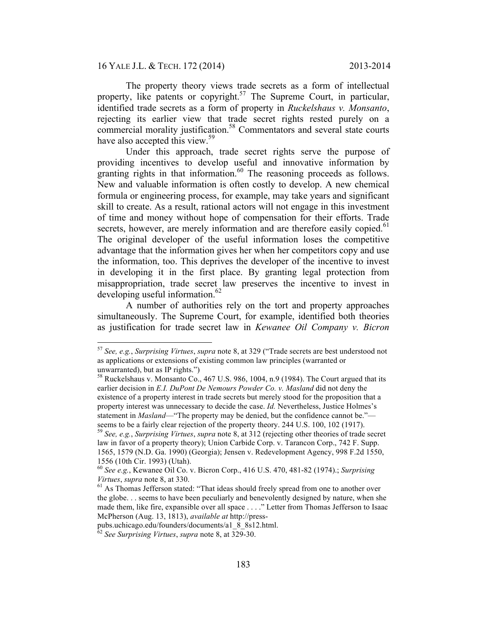16 YALE J.L. & TECH. 172 (2014) 2013-2014

The property theory views trade secrets as a form of intellectual property, like patents or copyright.<sup>57</sup> The Supreme Court, in particular, identified trade secrets as a form of property in *Ruckelshaus v. Monsanto*, rejecting its earlier view that trade secret rights rested purely on a commercial morality justification.<sup>58</sup> Commentators and several state courts have also accepted this view.<sup>59</sup>

Under this approach, trade secret rights serve the purpose of providing incentives to develop useful and innovative information by granting rights in that information. $60$  The reasoning proceeds as follows. New and valuable information is often costly to develop. A new chemical formula or engineering process, for example, may take years and significant skill to create. As a result, rational actors will not engage in this investment of time and money without hope of compensation for their efforts. Trade secrets, however, are merely information and are therefore easily copied.<sup>61</sup> The original developer of the useful information loses the competitive advantage that the information gives her when her competitors copy and use the information, too. This deprives the developer of the incentive to invest in developing it in the first place. By granting legal protection from misappropriation, trade secret law preserves the incentive to invest in developing useful information. $62$ 

A number of authorities rely on the tort and property approaches simultaneously. The Supreme Court, for example, identified both theories as justification for trade secret law in *Kewanee Oil Company v. Bicron* 

 <sup>57</sup> *See, e.g.*, *Surprising Virtues*, *supra* note 8, at 329 ("Trade secrets are best understood not as applications or extensions of existing common law principles (warranted or

unwarranted), but as IP rights.")<br><sup>58</sup> Ruckelshaus v. Monsanto Co., 467 U.S. 986, 1004, n.9 (1984). The Court argued that its earlier decision in *E.I. DuPont De Nemours Powder Co. v. Masland* did not deny the existence of a property interest in trade secrets but merely stood for the proposition that a property interest was unnecessary to decide the case. *Id.* Nevertheless, Justice Holmes's statement in *Masland*—"The property may be denied, but the confidence cannot be." seems to be a fairly clear rejection of the property theory. 244 U.S. 100, 102 (1917). 59 *See, e.g.*, *Surprising Virtues*, *supra* note 8, at 312 (rejecting other theories of trade secret

law in favor of a property theory); Union Carbide Corp. v. Tarancon Corp., 742 F. Supp. 1565, 1579 (N.D. Ga. 1990) (Georgia); Jensen v. Redevelopment Agency, 998 F.2d 1550, 1556 (10th Cir. 1993) (Utah).

<sup>60</sup> *See e.g.*, Kewanee Oil Co. v. Bicron Corp., 416 U.S. 470, 481-82 (1974).; *Surprising Virtues*, *supra* note 8, at 330.<br><sup>61</sup> As Thomas Jefferson stated: "That ideas should freely spread from one to another over

the globe. . . seems to have been peculiarly and benevolently designed by nature, when she made them, like fire, expansible over all space . . . ." Letter from Thomas Jefferson to Isaac McPherson (Aug. 13, 1813), *available at* http://press-

pubs.uchicago.edu/founders/documents/a1\_8\_8s12.html.

<sup>62</sup> *See Surprising Virtues*, *supra* note 8, at 329-30.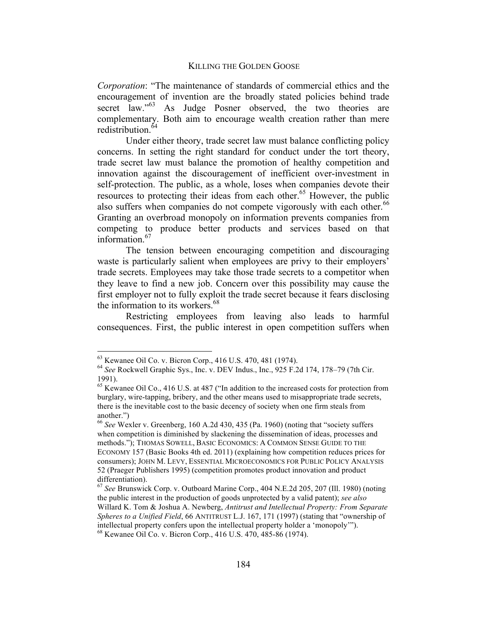*Corporation*: "The maintenance of standards of commercial ethics and the encouragement of invention are the broadly stated policies behind trade secret law."<sup>63</sup> As Judge Posner observed, the two theories are complementary. Both aim to encourage wealth creation rather than mere redistribution.<sup>64</sup>

Under either theory, trade secret law must balance conflicting policy concerns. In setting the right standard for conduct under the tort theory, trade secret law must balance the promotion of healthy competition and innovation against the discouragement of inefficient over-investment in self-protection. The public, as a whole, loses when companies devote their resources to protecting their ideas from each other.<sup>65</sup> However, the public also suffers when companies do not compete vigorously with each other.<sup>66</sup> Granting an overbroad monopoly on information prevents companies from competing to produce better products and services based on that information.<sup>67</sup>

The tension between encouraging competition and discouraging waste is particularly salient when employees are privy to their employers' trade secrets. Employees may take those trade secrets to a competitor when they leave to find a new job. Concern over this possibility may cause the first employer not to fully exploit the trade secret because it fears disclosing the information to its workers.<sup>68</sup>

Restricting employees from leaving also leads to harmful consequences. First, the public interest in open competition suffers when

 <sup>63</sup> Kewanee Oil Co. v. Bicron Corp., 416 U.S. 470, 481 (1974). <sup>64</sup> *See* Rockwell Graphic Sys., Inc. v. DEV Indus., Inc., 925 F.2d 174, 178–79 (7th Cir. 1991).

<sup>&</sup>lt;sup>65</sup> Kewanee Oil Co., 416 U.S. at 487 ("In addition to the increased costs for protection from burglary, wire-tapping, bribery, and the other means used to misappropriate trade secrets, there is the inevitable cost to the basic decency of society when one firm steals from another.")

<sup>66</sup> *See* Wexler v. Greenberg, 160 A.2d 430, 435 (Pa. 1960) (noting that "society suffers when competition is diminished by slackening the dissemination of ideas, processes and methods."); THOMAS SOWELL, BASIC ECONOMICS: A COMMON SENSE GUIDE TO THE ECONOMY 157 (Basic Books 4th ed. 2011) (explaining how competition reduces prices for consumers); JOHN M. LEVY, ESSENTIAL MICROECONOMICS FOR PUBLIC POLICY ANALYSIS 52 (Praeger Publishers 1995) (competition promotes product innovation and product differentiation).

<sup>67</sup> *See* Brunswick Corp. v. Outboard Marine Corp., 404 N.E.2d 205, 207 (Ill. 1980) (noting the public interest in the production of goods unprotected by a valid patent); *see also*  Willard K. Tom & Joshua A. Newberg, *Antitrust and Intellectual Property: From Separate Spheres to a Unified Field*, 66 ANTITRUST L.J. 167, 171 (1997) (stating that "ownership of intellectual property confers upon the intellectual property holder a 'monopoly'"). 68 Kewanee Oil Co. v. Bicron Corp., 416 U.S. 470, 485-86 (1974).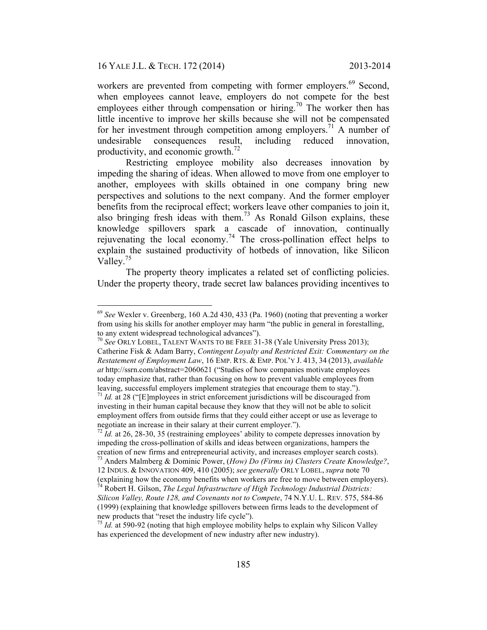workers are prevented from competing with former employers.<sup>69</sup> Second, when employees cannot leave, employers do not compete for the best employees either through compensation or hiring.<sup>70</sup> The worker then has little incentive to improve her skills because she will not be compensated for her investment through competition among employers.<sup>71</sup> A number of undesirable consequences result, including reduced innovation, productivity, and economic growth. $^{72}$ 

Restricting employee mobility also decreases innovation by impeding the sharing of ideas. When allowed to move from one employer to another, employees with skills obtained in one company bring new perspectives and solutions to the next company. And the former employer benefits from the reciprocal effect; workers leave other companies to join it, also bringing fresh ideas with them.<sup>73</sup> As Ronald Gilson explains, these knowledge spillovers spark a cascade of innovation, continually rejuvenating the local economy.<sup>74</sup> The cross-pollination effect helps to explain the sustained productivity of hotbeds of innovation, like Silicon Valley.<sup>75</sup>

The property theory implicates a related set of conflicting policies. Under the property theory, trade secret law balances providing incentives to

 <sup>69</sup> *See* Wexler v. Greenberg, 160 A.2d 430, 433 (Pa. 1960) (noting that preventing a worker from using his skills for another employer may harm "the public in general in forestalling, to any extent widespread technological advances").

<sup>70</sup> *See* ORLY LOBEL, TALENT WANTS TO BE FREE 31-38 (Yale University Press 2013); Catherine Fisk & Adam Barry, *Contingent Loyalty and Restricted Exit: Commentary on the Restatement of Employment Law*, 16 EMP. RTS. & EMP. POL'Y J. 413, 34 (2013), *available at* http://ssrn.com/abstract=2060621 ("Studies of how companies motivate employees today emphasize that, rather than focusing on how to prevent valuable employees from leaving, successful employers implement strategies that encourage them to stay.").

 $11$  *Id.* at 28 ("[E]mployees in strict enforcement jurisdictions will be discouraged from investing in their human capital because they know that they will not be able to solicit employment offers from outside firms that they could either accept or use as leverage to negotiate an increase in their salary at their current employer.").

 $72$  *Id.* at 26, 28-30, 35 (restraining employees' ability to compete depresses innovation by impeding the cross-pollination of skills and ideas between organizations, hampers the creation of new firms and entrepreneurial activity, and increases employer search costs).

<sup>73</sup> Anders Malmberg & Dominic Power, (*How) Do (Firms in) Clusters Create Knowledge?*, 12 INDUS. & INNOVATION 409, 410 (2005); *see generally* ORLY LOBEL, *supra* note 70

<sup>(</sup>explaining how the economy benefits when workers are free to move between employers). 74 Robert H. Gilson, *The Legal Infrastructure of High Technology Industrial Districts:* 

*Silicon Valley, Route 128, and Covenants not to Compete*, 74 N.Y.U. L. REV. 575, 584-86 (1999) (explaining that knowledge spillovers between firms leads to the development of

 $\frac{75}{10}$  *Id.* at 590-92 (noting that high employee mobility helps to explain why Silicon Valley has experienced the development of new industry after new industry).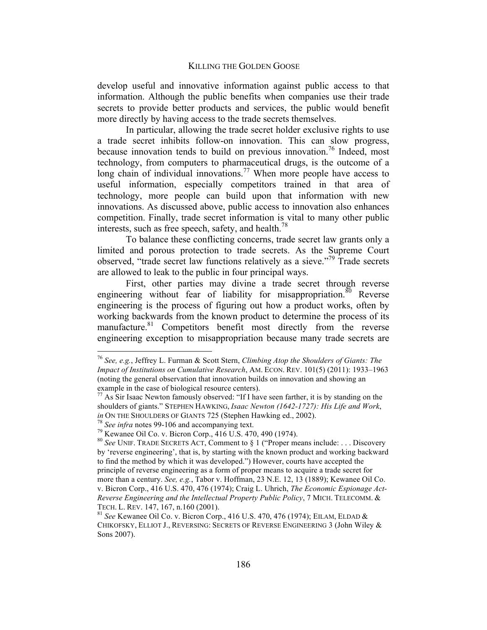develop useful and innovative information against public access to that information. Although the public benefits when companies use their trade secrets to provide better products and services, the public would benefit more directly by having access to the trade secrets themselves.

In particular, allowing the trade secret holder exclusive rights to use a trade secret inhibits follow-on innovation. This can slow progress, because innovation tends to build on previous innovation.<sup>76</sup> Indeed, most technology, from computers to pharmaceutical drugs, is the outcome of a long chain of individual innovations.<sup>77</sup> When more people have access to useful information, especially competitors trained in that area of technology, more people can build upon that information with new innovations. As discussed above, public access to innovation also enhances competition. Finally, trade secret information is vital to many other public interests, such as free speech, safety, and health.<sup>78</sup>

To balance these conflicting concerns, trade secret law grants only a limited and porous protection to trade secrets. As the Supreme Court observed, "trade secret law functions relatively as a sieve."79 Trade secrets are allowed to leak to the public in four principal ways.

First, other parties may divine a trade secret through reverse engineering without fear of liability for misappropriation.<sup>80</sup> Reverse engineering is the process of figuring out how a product works, often by working backwards from the known product to determine the process of its manufacture.<sup>81</sup> Competitors benefit most directly from the reverse engineering exception to misappropriation because many trade secrets are

 <sup>76</sup> *See, e.g.*, Jeffrey L. Furman & Scott Stern, *Climbing Atop the Shoulders of Giants: The Impact of Institutions on Cumulative Research*, AM. ECON. REV. 101(5) (2011): 1933–1963 (noting the general observation that innovation builds on innovation and showing an example in the case of biological resource centers).

 $77$  As Sir Isaac Newton famously observed: "If I have seen farther, it is by standing on the shoulders of giants." STEPHEN HAWKING, *Isaac Newton (1642-1727): His Life and Work*,

<sup>&</sup>lt;sup>78</sup> See infra notes 99-106 and accompanying text.<br><sup>79</sup> Kewanee Oil Co. v. Bicron Corp., 416 U.S. 470, 490 (1974).

<sup>80</sup> *See* UNIF. TRADE SECRETS ACT, Comment to § 1 ("Proper means include: . . . Discovery by 'reverse engineering', that is, by starting with the known product and working backward to find the method by which it was developed.") However, courts have accepted the principle of reverse engineering as a form of proper means to acquire a trade secret for more than a century. *See, e.g.*, Tabor v. Hoffman, 23 N.E. 12, 13 (1889); Kewanee Oil Co. v. Bicron Corp., 416 U.S. 470, 476 (1974); Craig L. Uhrich, *The Economic Espionage Act-Reverse Engineering and the Intellectual Property Public Policy*, 7 MICH. TELECOMM. & TECH. L. REV. 147, 167, n.160 (2001). <sup>81</sup> *See* Kewanee Oil Co. v. Bicron Corp., 416 U.S. 470, 476 (1974); EILAM, ELDAD &

CHIKOFSKY, ELLIOT J., REVERSING: SECRETS OF REVERSE ENGINEERING 3 (John Wiley & Sons 2007).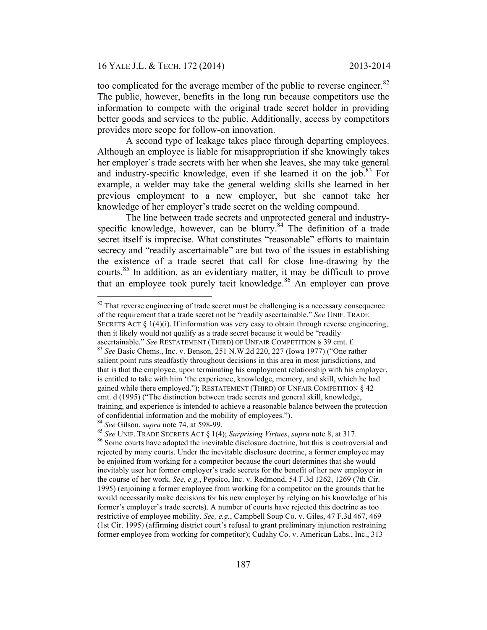too complicated for the average member of the public to reverse engineer. $82$ The public, however, benefits in the long run because competitors use the information to compete with the original trade secret holder in providing better goods and services to the public. Additionally, access by competitors provides more scope for follow-on innovation.

A second type of leakage takes place through departing employees. Although an employee is liable for misappropriation if she knowingly takes her employer's trade secrets with her when she leaves, she may take general and industry-specific knowledge, even if she learned it on the  $\mathrm{job}$ .<sup>83</sup> For example, a welder may take the general welding skills she learned in her previous employment to a new employer, but she cannot take her knowledge of her employer's trade secret on the welding compound.

The line between trade secrets and unprotected general and industryspecific knowledge, however, can be blurry.<sup>84</sup> The definition of a trade secret itself is imprecise. What constitutes "reasonable" efforts to maintain secrecy and "readily ascertainable" are but two of the issues in establishing the existence of a trade secret that call for close line-drawing by the courts.85 In addition, as an evidentiary matter, it may be difficult to prove that an employee took purely tacit knowledge. $86$  An employer can prove

<sup>84</sup> See Gilson, *supra* note 74, at 598-99.<br><sup>85</sup> See UNIF. TRADE SECRETS ACT § 1(4); *Surprising Virtues*, *supra* note 8, at 317.<br><sup>86</sup> Some courts have adopted the inevitable disclosure doctrine, but this is controversi

 $82$  That reverse engineering of trade secret must be challenging is a necessary consequence of the requirement that a trade secret not be "readily ascertainable." *See* UNIF. TRADE SECRETS ACT  $\S$  1(4)(i). If information was very easy to obtain through reverse engineering, then it likely would not qualify as a trade secret because it would be "readily ascertainable." *See* RESTATEMENT (THIRD) OF UNFAIR COMPETITION § 39 cmt. f. <sup>83</sup> *See* Basic Chems., Inc. v. Benson, 251 N.W.2d 220, 227 (Iowa 1977) ("One rather salient point runs steadfastly throughout decisions in this area in most jurisdictions, and that is that the employee, upon terminating his employment relationship with his employer, is entitled to take with him 'the experience, knowledge, memory, and skill, which he had gained while there employed."); RESTATEMENT (THIRD) OF UNFAIR COMPETITION § 42 cmt. d (1995) ("The distinction between trade secrets and general skill, knowledge, training, and experience is intended to achieve a reasonable balance between the protection

rejected by many courts. Under the inevitable disclosure doctrine, a former employee may be enjoined from working for a competitor because the court determines that she would inevitably user her former employer's trade secrets for the benefit of her new employer in the course of her work. *See, e.g.*, Pepsico, Inc. v. Redmond, 54 F.3d 1262, 1269 (7th Cir. 1995) (enjoining a former employee from working for a competitor on the grounds that he would necessarily make decisions for his new employer by relying on his knowledge of his former's employer's trade secrets). A number of courts have rejected this doctrine as too restrictive of employee mobility. *See, e.g.*, Campbell Soup Co. v. Giles, 47 F.3d 467, 469 (1st Cir. 1995) (affirming district court's refusal to grant preliminary injunction restraining former employee from working for competitor); Cudahy Co. v. American Labs., Inc., 313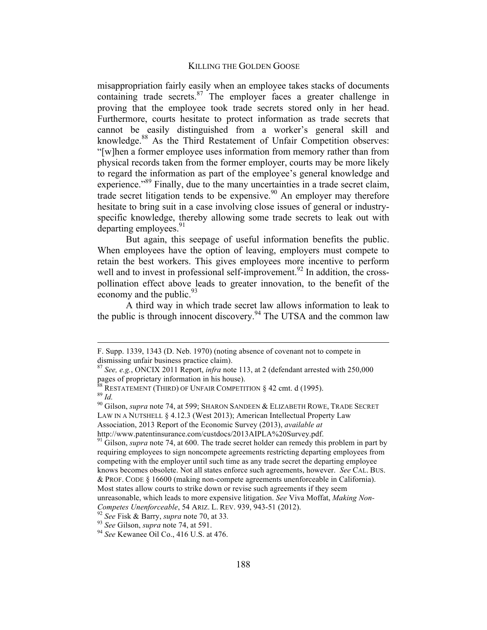misappropriation fairly easily when an employee takes stacks of documents containing trade secrets. $87$  The employer faces a greater challenge in proving that the employee took trade secrets stored only in her head. Furthermore, courts hesitate to protect information as trade secrets that cannot be easily distinguished from a worker's general skill and knowledge.<sup>88</sup> As the Third Restatement of Unfair Competition observes: "[w]hen a former employee uses information from memory rather than from physical records taken from the former employer, courts may be more likely to regard the information as part of the employee's general knowledge and experience."<sup>89</sup> Finally, due to the many uncertainties in a trade secret claim, trade secret litigation tends to be expensive.<sup>90</sup> An employer may therefore hesitate to bring suit in a case involving close issues of general or industryspecific knowledge, thereby allowing some trade secrets to leak out with departing employees. $91$ 

But again, this seepage of useful information benefits the public. When employees have the option of leaving, employers must compete to retain the best workers. This gives employees more incentive to perform well and to invest in professional self-improvement.<sup>92</sup> In addition, the crosspollination effect above leads to greater innovation, to the benefit of the economy and the public.  $93$ 

A third way in which trade secret law allows information to leak to the public is through innocent discovery.<sup>94</sup> The UTSA and the common law

F. Supp. 1339, 1343 (D. Neb. 1970) (noting absence of covenant not to compete in dismissing unfair business practice claim). 87 *See, e.g.*, ONCIX 2011 Report, *infra* note 113, at 2 (defendant arrested with 250,000

pages of proprietary information in his house).

<sup>&</sup>lt;sup>88</sup> RESTATEMENT (THIRD) OF UNFAIR COMPETITION § 42 cmt. d (1995).<br><sup>89</sup> *Id.* 90 Gilson, *supra* note 74, at 599; SHARON SANDEEN & ELIZABETH ROWE, TRADE SECRET

LAW IN A NUTSHELL § 4.12.3 (West 2013); American Intellectual Property Law Association, 2013 Report of the Economic Survey (2013), *available at* 

http://www.patentinsurance.com/custdocs/2013AIPLA%20Survey.pdf. 91 Gilson, *supra* note 74, at 600. The trade secret holder can remedy this problem in part by requiring employees to sign noncompete agreements restricting departing employees from competing with the employer until such time as any trade secret the departing employee knows becomes obsolete. Not all states enforce such agreements, however. *See* CAL. BUS. & PROF. CODE § 16600 (making non-compete agreements unenforceable in California). Most states allow courts to strike down or revise such agreements if they seem unreasonable, which leads to more expensive litigation. *See* Viva Moffat, *Making Non-*

Competes Unenforceable, 54 ARIZ. L. REV. 939, 943-51 (2012).<br><sup>92</sup> See Fisk & Barry, *supra* note 70, at 33.<br><sup>93</sup> See Gilson, *supra* note 74, at 591.<br><sup>94</sup> See Kewanee Oil Co., 416 U.S. at 476.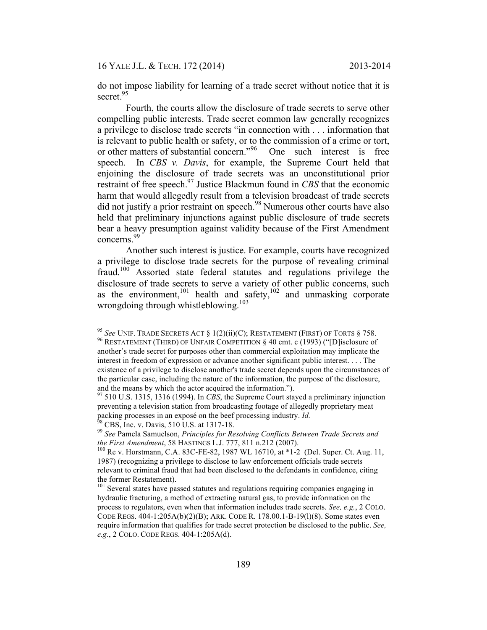do not impose liability for learning of a trade secret without notice that it is secret.<sup>95</sup>

Fourth, the courts allow the disclosure of trade secrets to serve other compelling public interests. Trade secret common law generally recognizes a privilege to disclose trade secrets "in connection with . . . information that is relevant to public health or safety, or to the commission of a crime or tort, or other matters of substantial concern."<sup>96</sup> One such interest is free speech. In *CBS v. Davis*, for example, the Supreme Court held that enjoining the disclosure of trade secrets was an unconstitutional prior restraint of free speech.<sup>97</sup> Justice Blackmun found in *CBS* that the economic harm that would allegedly result from a television broadcast of trade secrets did not justify a prior restraint on speech.<sup>98</sup> Numerous other courts have also held that preliminary injunctions against public disclosure of trade secrets bear a heavy presumption against validity because of the First Amendment concerns. 99

Another such interest is justice. For example, courts have recognized a privilege to disclose trade secrets for the purpose of revealing criminal fraud.<sup>100</sup> Assorted state federal statutes and regulations privilege the disclosure of trade secrets to serve a variety of other public concerns, such as the environment,<sup>101</sup> health and safety,<sup>102</sup> and unmasking corporate wrongdoing through whistleblowing.<sup>103</sup>

<sup>&</sup>lt;sup>95</sup> See UNIF. TRADE SECRETS ACT § 1(2)(ii)(C); RESTATEMENT (FIRST) OF TORTS § 758.<br><sup>96</sup> RESTATEMENT (THIRD) OF UNFAIR COMPETITION § 40 cmt. c (1993) ("[D]isclosure of another's trade secret for purposes other than commercial exploitation may implicate the interest in freedom of expression or advance another significant public interest. . . . The existence of a privilege to disclose another's trade secret depends upon the circumstances of the particular case, including the nature of the information, the purpose of the disclosure, and the means by which the actor acquired the information."). 97 510 U.S. 1315, 1316 (1994). In *CBS*, the Supreme Court stayed a preliminary injunction

preventing a television station from broadcasting footage of allegedly proprietary meat packing processes in an exposé on the beef processing industry. *Id.* <sup>98</sup> CBS, Inc. v. Davis, 510 U.S. at 1317-18. <sup>99</sup> See Pamela Samuelson, *Principles for Resolving Conflicts Between Trade Secrets and* 

*the First Amendment*, 58 HASTINGS L.J. 777, 811 n.212 (2007).<br><sup>100</sup> Re v. Horstmann, C.A. 83C-FE-82, 1987 WL 16710, at \*1-2 (Del. Super. Ct. Aug. 11,

<sup>1987) (</sup>recognizing a privilege to disclose to law enforcement officials trade secrets relevant to criminal fraud that had been disclosed to the defendants in confidence, citing the former Restatement).

<sup>&</sup>lt;sup>101</sup> Several states have passed statutes and regulations requiring companies engaging in hydraulic fracturing, a method of extracting natural gas, to provide information on the process to regulators, even when that information includes trade secrets. *See, e.g.*, 2 COLO. CODE REGS. 404-1:205A(b)(2)(B); ARK. CODE R. 178.00.1-B-19(l)(8). Some states even require information that qualifies for trade secret protection be disclosed to the public. *See, e.g.*, 2 COLO. CODE REGS. 404-1:205A(d).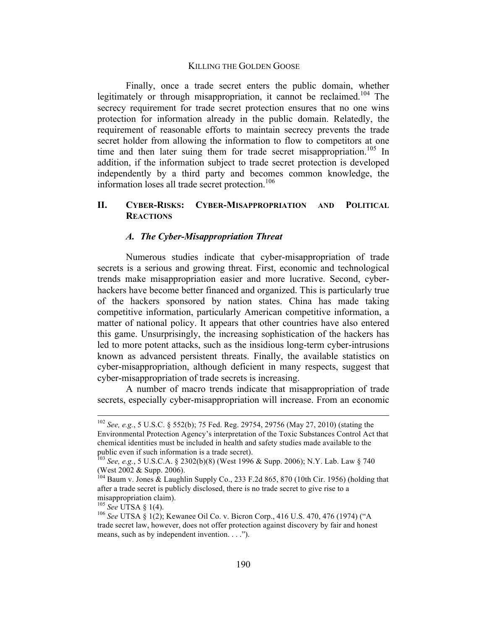Finally, once a trade secret enters the public domain, whether legitimately or through misappropriation, it cannot be reclaimed.<sup>104</sup> The secrecy requirement for trade secret protection ensures that no one wins protection for information already in the public domain. Relatedly, the requirement of reasonable efforts to maintain secrecy prevents the trade secret holder from allowing the information to flow to competitors at one time and then later suing them for trade secret misappropriation.<sup>105</sup> In addition, if the information subject to trade secret protection is developed independently by a third party and becomes common knowledge, the information loses all trade secret protection.<sup>106</sup>

## **II. CYBER-RISKS: CYBER-MISAPPROPRIATION AND POLITICAL REACTIONS**

## *A. The Cyber-Misappropriation Threat*

Numerous studies indicate that cyber-misappropriation of trade secrets is a serious and growing threat. First, economic and technological trends make misappropriation easier and more lucrative. Second, cyberhackers have become better financed and organized. This is particularly true of the hackers sponsored by nation states. China has made taking competitive information, particularly American competitive information, a matter of national policy. It appears that other countries have also entered this game. Unsurprisingly, the increasing sophistication of the hackers has led to more potent attacks, such as the insidious long-term cyber-intrusions known as advanced persistent threats. Finally, the available statistics on cyber-misappropriation, although deficient in many respects, suggest that cyber-misappropriation of trade secrets is increasing.

A number of macro trends indicate that misappropriation of trade secrets, especially cyber-misappropriation will increase. From an economic

 <sup>102</sup> *See, e.g.*, 5 U.S.C. § 552(b); 75 Fed. Reg. 29754, 29756 (May 27, 2010) (stating the Environmental Protection Agency's interpretation of the Toxic Substances Control Act that chemical identities must be included in health and safety studies made available to the public even if such information is a trade secret).

<sup>103</sup> *See, e.g.*, 5 U.S.C.A. § 2302(b)(8) (West 1996 & Supp. 2006); N.Y. Lab. Law § 740 (West  $2002 \&$  Supp. 2006).

<sup>104</sup> Baum v. Jones & Laughlin Supply Co., 233 F.2d 865, 870 (10th Cir. 1956) (holding that after a trade secret is publicly disclosed, there is no trade secret to give rise to a

misappropriation claim).<br><sup>105</sup> *See* UTSA § 1(4).<br><sup>106</sup> *See* UTSA § 1(2); Kewanee Oil Co. v. Bicron Corp., 416 U.S. 470, 476 (1974) ("A trade secret law, however, does not offer protection against discovery by fair and honest means, such as by independent invention. . . .").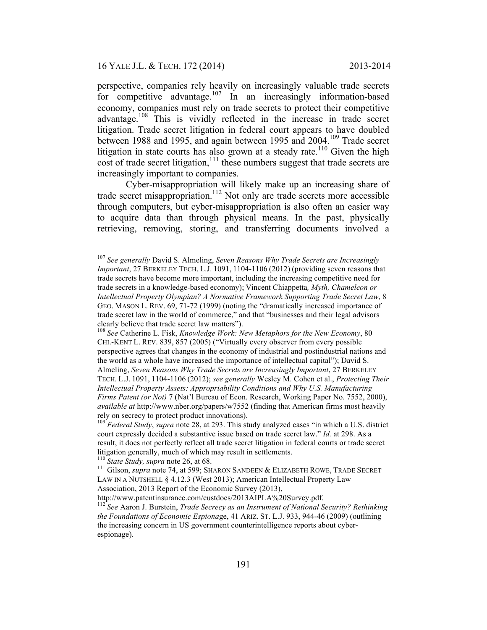perspective, companies rely heavily on increasingly valuable trade secrets for competitive advantage.<sup>107</sup> In an increasingly information-based economy, companies must rely on trade secrets to protect their competitive advantage.<sup>108</sup> This is vividly reflected in the increase in trade secret litigation. Trade secret litigation in federal court appears to have doubled between 1988 and 1995, and again between 1995 and 2004.<sup>109</sup> Trade secret litigation in state courts has also grown at a steady rate.<sup>110</sup> Given the high cost of trade secret litigation,<sup>111</sup> these numbers suggest that trade secrets are increasingly important to companies.

Cyber-misappropriation will likely make up an increasing share of trade secret misappropriation.<sup>112</sup> Not only are trade secrets more accessible through computers, but cyber-misappropriation is also often an easier way to acquire data than through physical means. In the past, physically retrieving, removing, storing, and transferring documents involved a

http://www.patentinsurance.com/custdocs/2013AIPLA%20Survey.pdf.

 <sup>107</sup> *See generally* David S. Almeling, *Seven Reasons Why Trade Secrets are Increasingly Important*, 27 BERKELEY TECH. L.J. 1091, 1104-1106 (2012) (providing seven reasons that trade secrets have become more important, including the increasing competitive need for trade secrets in a knowledge-based economy); Vincent Chiappetta*, Myth, Chameleon or Intellectual Property Olympian? A Normative Framework Supporting Trade Secret Law*, 8 GEO. MASON L. REV. 69, 71-72 (1999) (noting the "dramatically increased importance of trade secret law in the world of commerce," and that "businesses and their legal advisors clearly believe that trade secret law matters").

<sup>108</sup> *See* Catherine L. Fisk, *Knowledge Work: New Metaphors for the New Economy*, 80 CHI.-KENT L. REV. 839, 857 (2005) ("Virtually every observer from every possible perspective agrees that changes in the economy of industrial and postindustrial nations and the world as a whole have increased the importance of intellectual capital"); David S. Almeling, *Seven Reasons Why Trade Secrets are Increasingly Important*, 27 BERKELEY TECH. L.J. 1091, 1104-1106 (2012); *see generally* Wesley M. Cohen et al., *Protecting Their Intellectual Property Assets: Appropriability Conditions and Why U.S. Manufacturing Firms Patent (or Not)* 7 (Nat'l Bureau of Econ. Research, Working Paper No. 7552, 2000), *available at* http://www.nber.org/papers/w7552 (finding that American firms most heavily rely on secrecy to protect product innovations).

<sup>&</sup>lt;sup>109</sup> *Federal Study*, *supra* note 28, at 293. This study analyzed cases "in which a U.S. district court expressly decided a substantive issue based on trade secret law." *Id.* at 298. As a result, it does not perfectly reflect all trade secret litigation in federal courts or trade secret litigation generally, much of which may result in settlements.<br><sup>110</sup> *State Study, supra* note 26, at 68.<br><sup>111</sup> Gilson, *supra* note 74, at 599; SHARON SANDEEN & ELIZABETH ROWE, TRADE SECRET

LAW IN A NUTSHELL § 4.12.3 (West 2013); American Intellectual Property Law Association, 2013 Report of the Economic Survey (2013),

<sup>112</sup> *See* Aaron J. Burstein, *Trade Secrecy as an Instrument of National Security? Rethinking the Foundations of Economic Espiona*ge, 41 ARIZ. ST. L.J. 933, 944-46 (2009) (outlining the increasing concern in US government counterintelligence reports about cyberespionage).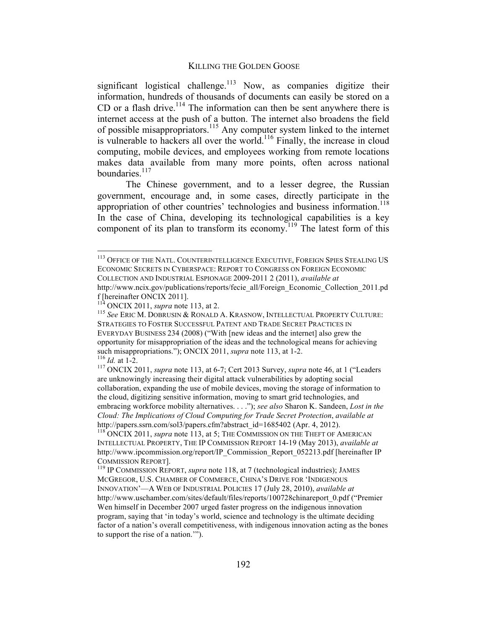significant logistical challenge.<sup>113</sup> Now, as companies digitize their information, hundreds of thousands of documents can easily be stored on a CD or a flash drive.<sup>114</sup> The information can then be sent anywhere there is internet access at the push of a button. The internet also broadens the field of possible misappropriators.115 Any computer system linked to the internet is vulnerable to hackers all over the world.<sup>116</sup> Finally, the increase in cloud computing, mobile devices, and employees working from remote locations makes data available from many more points, often across national boundaries. $117$ 

The Chinese government, and to a lesser degree, the Russian government, encourage and, in some cases, directly participate in the appropriation of other countries' technologies and business information.<sup>118</sup> In the case of China, developing its technological capabilities is a key component of its plan to transform its economy.<sup>119</sup> The latest form of this

<sup>&</sup>lt;sup>113</sup> OFFICE OF THE NATL. COUNTERINTELLIGENCE EXECUTIVE, FOREIGN SPIES STEALING US ECONOMIC SECRETS IN CYBERSPACE: REPORT TO CONGRESS ON FOREIGN ECONOMIC COLLECTION AND INDUSTRIAL ESPIONAGE 2009-2011 2 (2011), *available at* 

http://www.ncix.gov/publications/reports/fecie\_all/Foreign\_Economic\_Collection\_2011.pd f [hereinafter ONCIX 2011].<br><sup>114</sup> ONCIX 2011, *supra* note 113, at 2.

<sup>&</sup>lt;sup>115</sup> See ERIC M. DOBRUSIN & RONALD A. KRASNOW, INTELLECTUAL PROPERTY CULTURE: STRATEGIES TO FOSTER SUCCESSFUL PATENT AND TRADE SECRET PRACTICES IN EVERYDAY BUSINESS 234 (2008) ("With [new ideas and the internet] also grew the opportunity for misappropriation of the ideas and the technological means for achieving such misappropriations."); ONCIX 2011, *supra* note 113, at 1-2.<br><sup>116</sup> *Id.* at 1-2.<br><sup>117</sup> ONCIX 2011, *supra* note 113, at 6-7; Cert 2013 Survey, *supra* note 46, at 1 ("Leaders

are unknowingly increasing their digital attack vulnerabilities by adopting social collaboration, expanding the use of mobile devices, moving the storage of information to the cloud, digitizing sensitive information, moving to smart grid technologies, and embracing workforce mobility alternatives. . . ."); *see also* Sharon K. Sandeen, *Lost in the Cloud: The Implications of Cloud Computing for Trade Secret Protection*, *available at*  http://papers.ssrn.com/sol3/papers.cfm?abstract\_id=1685402 (Apr. 4, 2012).

<sup>&</sup>lt;sup>118</sup> ONCIX 2011, *supra* note 113, at 5; THE COMMISSION ON THE THEFT OF AMERICAN INTELLECTUAL PROPERTY, THE IP COMMISSION REPORT 14-19 (May 2013), *available at*  http://www.ipcommission.org/report/IP\_Commission\_Report\_052213.pdf [hereinafter IP

COMMISSION REPORT].<br><sup>119</sup> IP COMMISSION REPORT, *supra* note 118, at 7 (technological industries); JAMES MCGREGOR, U.S. CHAMBER OF COMMERCE, CHINA'S DRIVE FOR 'INDIGENOUS INNOVATION'—A WEB OF INDUSTRIAL POLICIES 17 (July 28, 2010), *available at*  http://www.uschamber.com/sites/default/files/reports/100728chinareport\_0.pdf ("Premier Wen himself in December 2007 urged faster progress on the indigenous innovation program, saying that 'in today's world, science and technology is the ultimate deciding factor of a nation's overall competitiveness, with indigenous innovation acting as the bones to support the rise of a nation.'").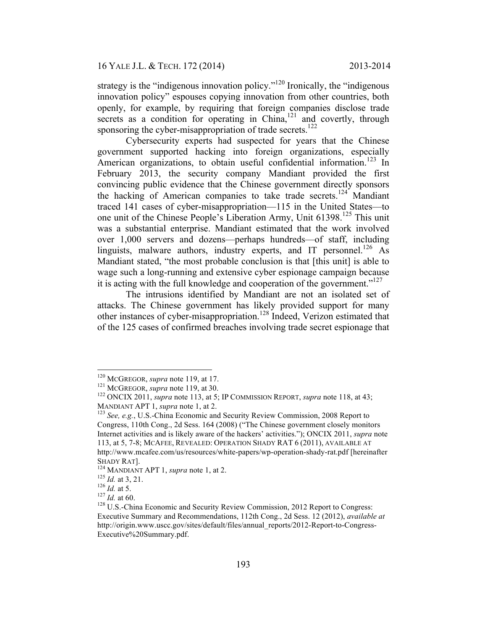strategy is the "indigenous innovation policy."<sup> $120$ </sup> Ironically, the "indigenous innovation policy" espouses copying innovation from other countries, both openly, for example, by requiring that foreign companies disclose trade secrets as a condition for operating in China,<sup>121</sup> and covertly, through sponsoring the cyber-misappropriation of trade secrets.<sup>122</sup>

Cybersecurity experts had suspected for years that the Chinese government supported hacking into foreign organizations, especially American organizations, to obtain useful confidential information.<sup>123</sup> In February 2013, the security company Mandiant provided the first convincing public evidence that the Chinese government directly sponsors the hacking of American companies to take trade secrets.<sup>124</sup> Mandiant traced 141 cases of cyber-misappropriation—115 in the United States—to one unit of the Chinese People's Liberation Army, Unit 61398.<sup>125</sup> This unit was a substantial enterprise. Mandiant estimated that the work involved over 1,000 servers and dozens—perhaps hundreds—of staff, including linguists, malware authors, industry experts, and IT personnel.<sup>126</sup> As Mandiant stated, "the most probable conclusion is that [this unit] is able to wage such a long-running and extensive cyber espionage campaign because it is acting with the full knowledge and cooperation of the government."<sup>127</sup>

The intrusions identified by Mandiant are not an isolated set of attacks. The Chinese government has likely provided support for many other instances of cyber-misappropriation.128 Indeed, Verizon estimated that of the 125 cases of confirmed breaches involving trade secret espionage that

<sup>&</sup>lt;sup>120</sup> MCGREGOR, *supra* note 119, at 17.<br><sup>121</sup> MCGREGOR, *supra* note 119, at 30. 122 ONCIX 2011, *supra* note 118, at 43; MANDIANT APT 1, *supra* note 1, at 2.<br><sup>123</sup> See, e.g., U.S.-China Economic and Security Review Commission, 2008 Report to

Congress, 110th Cong., 2d Sess. 164 (2008) ("The Chinese government closely monitors Internet activities and is likely aware of the hackers' activities."); ONCIX 2011, *supra* note 113, at 5, 7-8; MCAFEE, REVEALED: OPERATION SHADY RAT 6 (2011), AVAILABLE AT http://www.mcafee.com/us/resources/white-papers/wp-operation-shady-rat.pdf [hereinafter

<sup>&</sup>lt;sup>124</sup> MANDIANT APT 1, *supra* note 1, at 2.<br>
<sup>125</sup> *Id.* at 3, 21.<br>
<sup>126</sup> *Id.* at 5.<br>
<sup>127</sup> *Id.* at 60.<br>
<sup>128</sup> U.S.-China Economic and Security Review Commission, 2012 Report to Congress: Executive Summary and Recommendations, 112th Cong., 2d Sess. 12 (2012), *available at*  http://origin.www.uscc.gov/sites/default/files/annual\_reports/2012-Report-to-Congress-Executive%20Summary.pdf.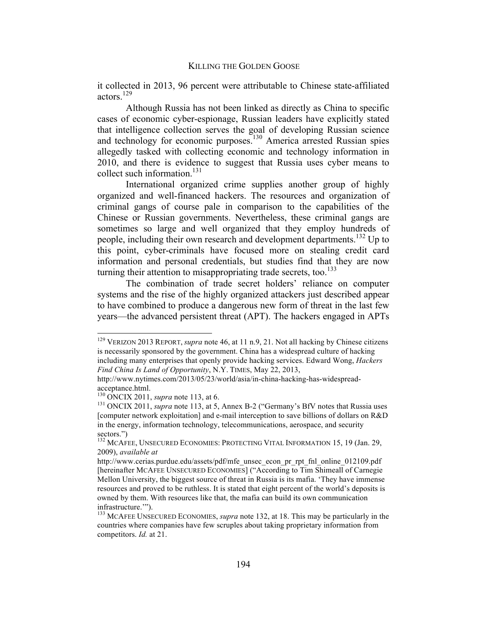it collected in 2013, 96 percent were attributable to Chinese state-affiliated actors.<sup>129</sup>

Although Russia has not been linked as directly as China to specific cases of economic cyber-espionage, Russian leaders have explicitly stated that intelligence collection serves the goal of developing Russian science and technology for economic purposes.<sup>130</sup> America arrested Russian spies allegedly tasked with collecting economic and technology information in 2010, and there is evidence to suggest that Russia uses cyber means to collect such information.<sup>131</sup>

International organized crime supplies another group of highly organized and well-financed hackers. The resources and organization of criminal gangs of course pale in comparison to the capabilities of the Chinese or Russian governments. Nevertheless, these criminal gangs are sometimes so large and well organized that they employ hundreds of people, including their own research and development departments.<sup>132</sup> Up to this point, cyber-criminals have focused more on stealing credit card information and personal credentials, but studies find that they are now turning their attention to misappropriating trade secrets, too.<sup>133</sup>

The combination of trade secret holders' reliance on computer systems and the rise of the highly organized attackers just described appear to have combined to produce a dangerous new form of threat in the last few years—the advanced persistent threat (APT). The hackers engaged in APTs

 <sup>129</sup> VERIZON 2013 REPORT, *supra* note 46, at 11 n.9, 21. Not all hacking by Chinese citizens is necessarily sponsored by the government. China has a widespread culture of hacking including many enterprises that openly provide hacking services. Edward Wong, *Hackers Find China Is Land of Opportunity*, N.Y. TIMES, May 22, 2013,

http://www.nytimes.com/2013/05/23/world/asia/in-china-hacking-has-widespreadacceptance.html.<br><sup>130</sup> ONCIX 2011, *supra* note 113, at 6.

<sup>&</sup>lt;sup>131</sup> ONCIX 2011, *supra* note 113, at 5, Annex B-2 ("Germany's BfV notes that Russia uses [computer network exploitation] and e-mail interception to save billions of dollars on R&D in the energy, information technology, telecommunications, aerospace, and security sectors.")

<sup>&</sup>lt;sup>132</sup> MCAFEE, UNSECURED ECONOMIES: PROTECTING VITAL INFORMATION 15, 19 (Jan. 29, 2009), *available at*

http://www.cerias.purdue.edu/assets/pdf/mfe\_unsec\_econ\_pr\_rpt\_fnl\_online\_012109.pdf [hereinafter MCAFEE UNSECURED ECONOMIES] ("According to Tim Shimeall of Carnegie Mellon University, the biggest source of threat in Russia is its mafia. 'They have immense resources and proved to be ruthless. It is stated that eight percent of the world's deposits is owned by them. With resources like that, the mafia can build its own communication infrastructure.'").<br><sup>133</sup> MCAFEE UNSECURED ECONOMIES, *supra* note 132, at 18. This may be particularly in the

countries where companies have few scruples about taking proprietary information from competitors. *Id.* at 21.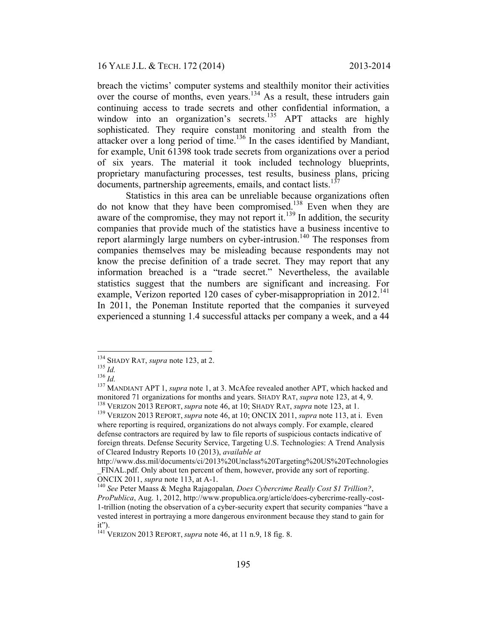breach the victims' computer systems and stealthily monitor their activities over the course of months, even years.<sup>134</sup> As a result, these intruders gain continuing access to trade secrets and other confidential information, a window into an organization's secrets.<sup>135</sup> APT attacks are highly sophisticated. They require constant monitoring and stealth from the attacker over a long period of time.<sup>136</sup> In the cases identified by Mandiant, for example, Unit 61398 took trade secrets from organizations over a period of six years. The material it took included technology blueprints, proprietary manufacturing processes, test results, business plans, pricing documents, partnership agreements, emails, and contact lists.<sup>137</sup>

Statistics in this area can be unreliable because organizations often do not know that they have been compromised.<sup>138</sup> Even when they are aware of the compromise, they may not report it.<sup>139</sup> In addition, the security companies that provide much of the statistics have a business incentive to report alarmingly large numbers on cyber-intrusion.<sup>140</sup> The responses from companies themselves may be misleading because respondents may not know the precise definition of a trade secret. They may report that any information breached is a "trade secret." Nevertheless, the available statistics suggest that the numbers are significant and increasing. For example, Verizon reported 120 cases of cyber-misappropriation in  $2012$ <sup>141</sup> In 2011, the Poneman Institute reported that the companies it surveyed experienced a stunning 1.4 successful attacks per company a week, and a 44

<sup>&</sup>lt;sup>134</sup> SHADY RAT, *supra* note 123, at 2.<br><sup>135</sup> *Id.* 136 *Id.* 136 *Id.* 136 *Id.* 137 MANDIANT APT 1, *supra* note 1, at 3. McAfee revealed another APT, which hacked and monitored 71 organizations for months and years. SHADY RAT, *supra* note 123, at 4, 9.<br><sup>138</sup> VERIZON 2013 REPORT, *supra* note 46, at 10; SHADY RAT, *supra* note 123, at 1.<br><sup>139</sup> VERIZON 2013 REPORT, *supra* note 46, at 10

where reporting is required, organizations do not always comply. For example, cleared defense contractors are required by law to file reports of suspicious contacts indicative of foreign threats. Defense Security Service, Targeting U.S. Technologies: A Trend Analysis of Cleared Industry Reports 10 (2013), *available at*

http://www.dss.mil/documents/ci/2013%20Unclass%20Targeting%20US%20Technologies \_FINAL.pdf. Only about ten percent of them, however, provide any sort of reporting.

ONCIX 2011, *supra* note 113, at A-1.<br><sup>140</sup> See Peter Maass & Megha Rajagopalan, *Does Cybercrime Really Cost \$1 Trillion?*, *ProPublica*, Aug. 1, 2012, http://www.propublica.org/article/does-cybercrime-really-cost-1-trillion (noting the observation of a cyber-security expert that security companies "have a vested interest in portraying a more dangerous environment because they stand to gain for it").

<sup>141</sup> VERIZON 2013 REPORT, *supra* note 46, at 11 n.9, 18 fig. 8.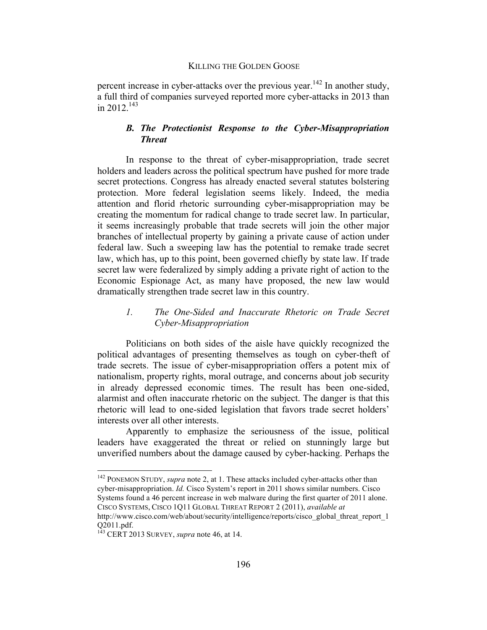percent increase in cyber-attacks over the previous year.<sup>142</sup> In another study, a full third of companies surveyed reported more cyber-attacks in 2013 than in 2012 $143$ 

# *B. The Protectionist Response to the Cyber-Misappropriation Threat*

In response to the threat of cyber-misappropriation, trade secret holders and leaders across the political spectrum have pushed for more trade secret protections. Congress has already enacted several statutes bolstering protection. More federal legislation seems likely. Indeed, the media attention and florid rhetoric surrounding cyber-misappropriation may be creating the momentum for radical change to trade secret law. In particular, it seems increasingly probable that trade secrets will join the other major branches of intellectual property by gaining a private cause of action under federal law. Such a sweeping law has the potential to remake trade secret law, which has, up to this point, been governed chiefly by state law. If trade secret law were federalized by simply adding a private right of action to the Economic Espionage Act, as many have proposed, the new law would dramatically strengthen trade secret law in this country.

# *1. The One-Sided and Inaccurate Rhetoric on Trade Secret Cyber-Misappropriation*

Politicians on both sides of the aisle have quickly recognized the political advantages of presenting themselves as tough on cyber-theft of trade secrets. The issue of cyber-misappropriation offers a potent mix of nationalism, property rights, moral outrage, and concerns about job security in already depressed economic times. The result has been one-sided, alarmist and often inaccurate rhetoric on the subject. The danger is that this rhetoric will lead to one-sided legislation that favors trade secret holders' interests over all other interests.

Apparently to emphasize the seriousness of the issue, political leaders have exaggerated the threat or relied on stunningly large but unverified numbers about the damage caused by cyber-hacking. Perhaps the

<sup>&</sup>lt;sup>142</sup> PONEMON STUDY, *supra* note 2, at 1. These attacks included cyber-attacks other than cyber-misappropriation. *Id.* Cisco System's report in 2011 shows similar numbers. Cisco Systems found a 46 percent increase in web malware during the first quarter of 2011 alone. CISCO SYSTEMS, CISCO 1Q11 GLOBAL THREAT REPORT 2 (2011), *available at*

http://www.cisco.com/web/about/security/intelligence/reports/cisco\_global\_threat\_report\_1 Q2011.pdf. <sup>143</sup> CERT <sup>2013</sup> SURVEY, *supra* note 46, at 14.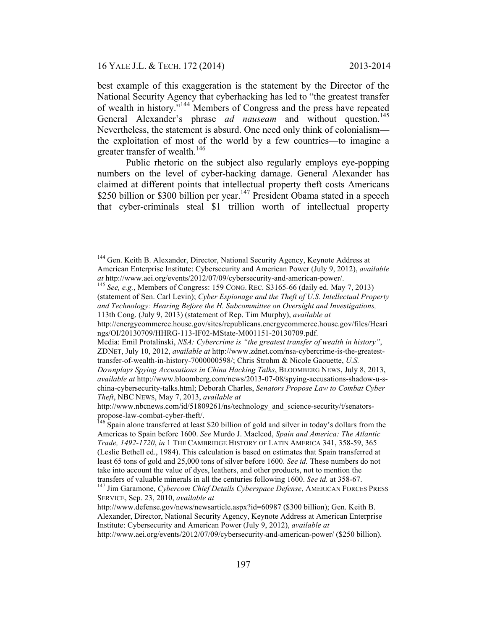best example of this exaggeration is the statement by the Director of the National Security Agency that cyberhacking has led to "the greatest transfer of wealth in history."144 Members of Congress and the press have repeated General Alexander's phrase *ad nauseam* and without question.<sup>145</sup> Nevertheless, the statement is absurd. One need only think of colonialism the exploitation of most of the world by a few countries—to imagine a greater transfer of wealth.<sup>146</sup>

Public rhetoric on the subject also regularly employs eye-popping numbers on the level of cyber-hacking damage. General Alexander has claimed at different points that intellectual property theft costs Americans \$250 billion or \$300 billion per year.<sup>147</sup> President Obama stated in a speech that cyber-criminals steal \$1 trillion worth of intellectual property

<sup>&</sup>lt;sup>144</sup> Gen. Keith B. Alexander, Director, National Security Agency, Keynote Address at American Enterprise Institute: Cybersecurity and American Power (July 9, 2012), *available at* http://www.aei.org/events/2012/07/09/cybersecurity-and-american-power/. <sup>145</sup> *See, e.g.*, Members of Congress: 159 CONG. REC. S3165-66 (daily ed. May 7, 2013)

<sup>(</sup>statement of Sen. Carl Levin); *Cyber Espionage and the Theft of U.S. Intellectual Property and Technology: Hearing Before the H. Subcommittee on Oversight and Investigations,*

<sup>113</sup>th Cong. (July 9, 2013) (statement of Rep. Tim Murphy), *available at* 

http://energycommerce.house.gov/sites/republicans.energycommerce.house.gov/files/Heari ngs/OI/20130709/HHRG-113-IF02-MState-M001151-20130709.pdf.

Media: Emil Protalinski, *NSA: Cybercrime is "the greatest transfer of wealth in history"*, ZDNET, July 10, 2012, *available at* http://www.zdnet.com/nsa-cybercrime-is-the-greatesttransfer-of-wealth-in-history-7000000598/; Chris Strohm & Nicole Gaouette, *U.S.* 

*Downplays Spying Accusations in China Hacking Talks*, BLOOMBERG NEWS, July 8, 2013, *available at* http://www.bloomberg.com/news/2013-07-08/spying-accusations-shadow-u-schina-cybersecurity-talks.html; Deborah Charles, *Senators Propose Law to Combat Cyber Theft*, NBC NEWS, May 7, 2013, *available at* 

http://www.nbcnews.com/id/51809261/ns/technology\_and\_science-security/t/senatorspropose-law-combat-cyber-theft/. 146 Spain alone transferred at least \$20 billion of gold and silver in today's dollars from the

Americas to Spain before 1600. *See* Murdo J. Macleod, *Spain and America: The Atlantic Trade, 1492-1720*, *in* 1 THE CAMBRIDGE HISTORY OF LATIN AMERICA 341, 358-59, 365 (Leslie Bethell ed., 1984). This calculation is based on estimates that Spain transferred at least 65 tons of gold and 25,000 tons of silver before 1600. *See id.* These numbers do not take into account the value of dyes, leathers, and other products, not to mention the

transfers of valuable minerals in all the centuries following 1600. *See id.* at 358-67. 147 Jim Garamone, *Cybercom Chief Details Cyberspace Defense*, AMERICAN FORCES PRESS SERVICE, Sep. 23, 2010, *available at* 

http://www.defense.gov/news/newsarticle.aspx?id=60987 (\$300 billion); Gen. Keith B. Alexander, Director, National Security Agency, Keynote Address at American Enterprise Institute: Cybersecurity and American Power (July 9, 2012), *available at* http://www.aei.org/events/2012/07/09/cybersecurity-and-american-power/ (\$250 billion).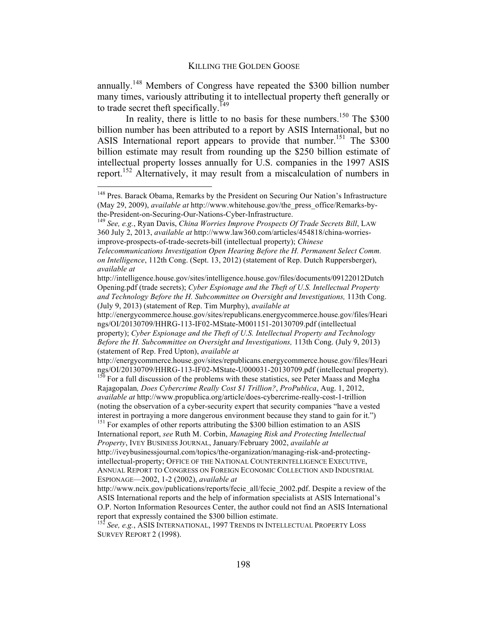annually.148 Members of Congress have repeated the \$300 billion number many times, variously attributing it to intellectual property theft generally or to trade secret theft specifically.<sup>149</sup>

In reality, there is little to no basis for these numbers.<sup>150</sup> The  $$300$ billion number has been attributed to a report by ASIS International, but no ASIS International report appears to provide that number.<sup>151</sup> The \$300 billion estimate may result from rounding up the \$250 billion estimate of intellectual property losses annually for U.S. companies in the 1997 ASIS report. <sup>152</sup> Alternatively, it may result from a miscalculation of numbers in

http://energycommerce.house.gov/sites/republicans.energycommerce.house.gov/files/Heari ngs/OI/20130709/HHRG-113-IF02-MState-M001151-20130709.pdf (intellectual property); *Cyber Espionage and the Theft of U.S. Intellectual Property and Technology Before the H. Subcommittee on Oversight and Investigations,* 113th Cong. (July 9, 2013)

(statement of Rep. Fred Upton), *available at*

http://energycommerce.house.gov/sites/republicans.energycommerce.house.gov/files/Heari ngs/OI/20130709/HHRG-113-IF02-MState-U000031-20130709.pdf (intellectual property).<br><sup>150</sup> For a full discussion of the problems with these statistics, see Peter Maass and Megha

Rajagopalan*, Does Cybercrime Really Cost \$1 Trillion?*, *ProPublica*, Aug. 1, 2012, *available at* http://www.propublica.org/article/does-cybercrime-really-cost-1-trillion (noting the observation of a cyber-security expert that security companies "have a vested interest in portraying a more dangerous environment because they stand to gain for it.") <sup>151</sup> For examples of other reports attributing the \$300 billion estimation to an ASIS

International report, *see* Ruth M. Corbin, *Managing Risk and Protecting Intellectual Property*, IVEY BUSINESS JOURNAL, January/February 2002, *available at* http://iveybusinessjournal.com/topics/the-organization/managing-risk-and-protectingintellectual-property; OFFICE OF THE NATIONAL COUNTERINTELLIGENCE EXECUTIVE, ANNUAL REPORT TO CONGRESS ON FOREIGN ECONOMIC COLLECTION AND INDUSTRIAL

ESPIONAGE—2002, 1-2 (2002), *available at* 

http://www.ncix.gov/publications/reports/fecie\_all/fecie\_2002.pdf. Despite a review of the ASIS International reports and the help of information specialists at ASIS International's O.P. Norton Information Resources Center, the author could not find an ASIS International report that expressly contained the \$300 billion estimate.

<sup>152</sup> *See, e.g.*, ASIS INTERNATIONAL, 1997 TRENDS IN INTELLECTUAL PROPERTY LOSS SURVEY REPORT 2 (1998).

<sup>&</sup>lt;sup>148</sup> Pres. Barack Obama, Remarks by the President on Securing Our Nation's Infrastructure (May 29, 2009), *available at* http://www.whitehouse.gov/the\_press\_office/Remarks-bythe-President-on-Securing-Our-Nations-Cyber-Infrastructure. <sup>149</sup> *See, e.g.*, Ryan Davis, *China Worries Improve Prospects Of Trade Secrets Bill*, LAW

<sup>360</sup> July 2, 2013, *available at* http://www.law360.com/articles/454818/china-worriesimprove-prospects-of-trade-secrets-bill (intellectual property); *Chinese* 

*Telecommunications Investigation Open Hearing Before the H. Permanent Select Comm. on Intelligence*, 112th Cong. (Sept. 13, 2012) (statement of Rep. Dutch Ruppersberger), *available at* 

http://intelligence.house.gov/sites/intelligence.house.gov/files/documents/09122012Dutch Opening.pdf (trade secrets); *Cyber Espionage and the Theft of U.S. Intellectual Property and Technology Before the H. Subcommittee on Oversight and Investigations,* 113th Cong. (July 9, 2013) (statement of Rep. Tim Murphy), *available at*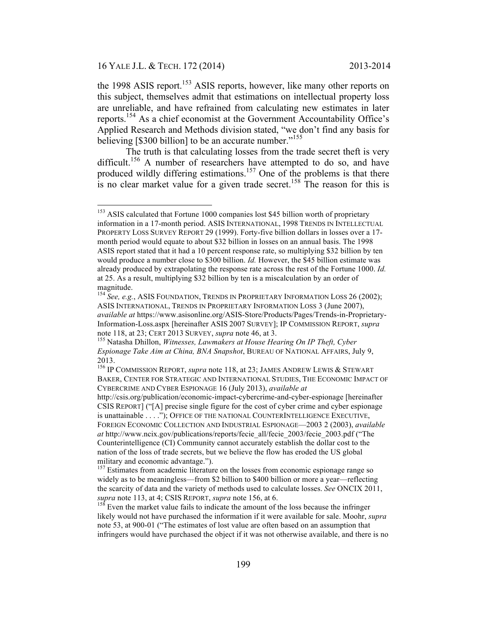the 1998 ASIS report.<sup>153</sup> ASIS reports, however, like many other reports on this subject, themselves admit that estimations on intellectual property loss are unreliable, and have refrained from calculating new estimates in later reports.154 As a chief economist at the Government Accountability Office's Applied Research and Methods division stated, "we don't find any basis for believing [\$300 billion] to be an accurate number."<sup>155</sup>

The truth is that calculating losses from the trade secret theft is very difficult.<sup>156</sup> A number of researchers have attempted to do so, and have produced wildly differing estimations.<sup>157</sup> One of the problems is that there is no clear market value for a given trade secret.<sup>158</sup> The reason for this is

<sup>&</sup>lt;sup>153</sup> ASIS calculated that Fortune 1000 companies lost \$45 billion worth of proprietary information in a 17-month period. ASIS INTERNATIONAL, 1998 TRENDS IN INTELLECTUAL PROPERTY LOSS SURVEY REPORT 29 (1999). Forty-five billion dollars in losses over a 17 month period would equate to about \$32 billion in losses on an annual basis. The 1998 ASIS report stated that it had a 10 percent response rate, so multiplying \$32 billion by ten would produce a number close to \$300 billion. *Id.* However, the \$45 billion estimate was already produced by extrapolating the response rate across the rest of the Fortune 1000. *Id.*  at 25. As a result, multiplying \$32 billion by ten is a miscalculation by an order of magnitude.

<sup>&</sup>lt;sup>154</sup> See, e.g., ASIS FOUNDATION, TRENDS IN PROPRIETARY INFORMATION LOSS 26 (2002); ASIS INTERNATIONAL, TRENDS IN PROPRIETARY INFORMATION LOSS 3 (June 2007), *available at* https://www.asisonline.org/ASIS-Store/Products/Pages/Trends-in-Proprietary-Information-Loss.aspx [hereinafter ASIS 2007 SURVEY]; IP COMMISSION REPORT, *supra* note 118, at 23; CERT 2013 SURVEY, *supra* note 46, at 3.<br><sup>155</sup> Natasha Dhillon, *Witnesses, Lawmakers at House Hearing On IP Theft, Cyber* 

*Espionage Take Aim at China, BNA Snapshot*, BUREAU OF NATIONAL AFFAIRS, July 9, 2013.

<sup>156</sup> IP COMMISSION REPORT, *supra* note 118, at 23; JAMES ANDREW LEWIS & STEWART BAKER, CENTER FOR STRATEGIC AND INTERNATIONAL STUDIES, THE ECONOMIC IMPACT OF CYBERCRIME AND CYBER ESPIONAGE 16 (July 2013), *available at* 

http://csis.org/publication/economic-impact-cybercrime-and-cyber-espionage [hereinafter CSIS REPORT] ("[A] precise single figure for the cost of cyber crime and cyber espionage is unattainable . . . ."); OFFICE OF THE NATIONAL COUNTERINTELLIGENCE EXECUTIVE, FOREIGN ECONOMIC COLLECTION AND INDUSTRIAL ESPIONAGE—2003 2 (2003), *available at* http://www.ncix.gov/publications/reports/fecie\_all/fecie\_2003/fecie\_2003.pdf ("The Counterintelligence (CI) Community cannot accurately establish the dollar cost to the nation of the loss of trade secrets, but we believe the flow has eroded the US global military and economic advantage.").

<sup>&</sup>lt;sup>157</sup> Estimates from academic literature on the losses from economic espionage range so widely as to be meaningless—from \$2 billion to \$400 billion or more a year—reflecting the scarcity of data and the variety of methods used to calculate losses. *See* ONCIX 2011, *supra* note 113, at 4; CSIS REPORT, *supra* note 156, at 6. <sup>158</sup> Even the market value fails to indicate the amount of the loss because the infringer

likely would not have purchased the information if it were available for sale. Moohr, *supra*  note 53, at 900-01 ("The estimates of lost value are often based on an assumption that infringers would have purchased the object if it was not otherwise available, and there is no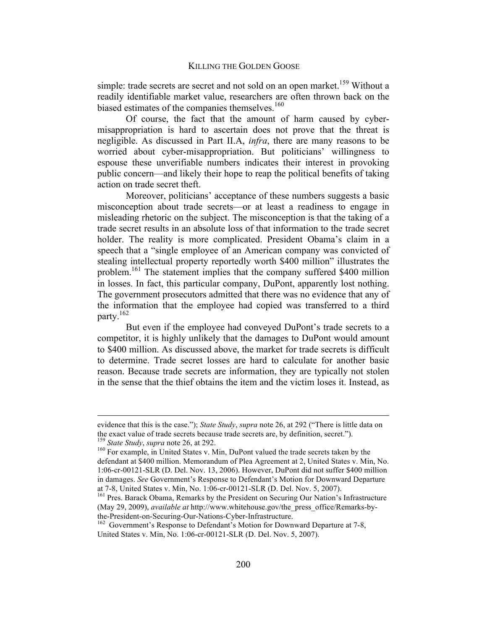simple: trade secrets are secret and not sold on an open market.<sup>159</sup> Without a readily identifiable market value, researchers are often thrown back on the biased estimates of the companies themselves. $160$ 

Of course, the fact that the amount of harm caused by cybermisappropriation is hard to ascertain does not prove that the threat is negligible. As discussed in Part II.A, *infra*, there are many reasons to be worried about cyber-misappropriation. But politicians' willingness to espouse these unverifiable numbers indicates their interest in provoking public concern—and likely their hope to reap the political benefits of taking action on trade secret theft.

Moreover, politicians' acceptance of these numbers suggests a basic misconception about trade secrets—or at least a readiness to engage in misleading rhetoric on the subject. The misconception is that the taking of a trade secret results in an absolute loss of that information to the trade secret holder. The reality is more complicated. President Obama's claim in a speech that a "single employee of an American company was convicted of stealing intellectual property reportedly worth \$400 million" illustrates the problem.161 The statement implies that the company suffered \$400 million in losses. In fact, this particular company, DuPont, apparently lost nothing. The government prosecutors admitted that there was no evidence that any of the information that the employee had copied was transferred to a third party.162

But even if the employee had conveyed DuPont's trade secrets to a competitor, it is highly unlikely that the damages to DuPont would amount to \$400 million. As discussed above, the market for trade secrets is difficult to determine. Trade secret losses are hard to calculate for another basic reason. Because trade secrets are information, they are typically not stolen in the sense that the thief obtains the item and the victim loses it. Instead, as

evidence that this is the case."); *State Study*, *supra* note 26, at 292 ("There is little data on the exact value of trade secrets because trade secrets are, by definition, secret.").<br><sup>159</sup> *State Study, supra* note 26, at 292.<br><sup>160</sup> For example, in United States v. Min, DuPont valued the trade secrets taken by the

defendant at \$400 million. Memorandum of Plea Agreement at 2, United States v. Min, No. 1:06-cr-00121-SLR (D. Del. Nov. 13, 2006). However, DuPont did not suffer \$400 million in damages. *See* Government's Response to Defendant's Motion for Downward Departure at 7-8, United States v. Min, No. 1:06-cr-00121-SLR (D. Del. Nov. 5, 2007). <sup>161</sup> Pres. Barack Obama, Remarks by the President on Securing Our Nation's Infrastructure

<sup>(</sup>May 29, 2009), *available at* http://www.whitehouse.gov/the\_press\_office/Remarks-bythe-President-on-Securing-Our-Nations-Cyber-Infrastructure.<br><sup>162</sup> Government's Response to Defendant's Motion for Downward Departure at 7-8,

United States v. Min, No. 1:06-cr-00121-SLR (D. Del. Nov. 5, 2007).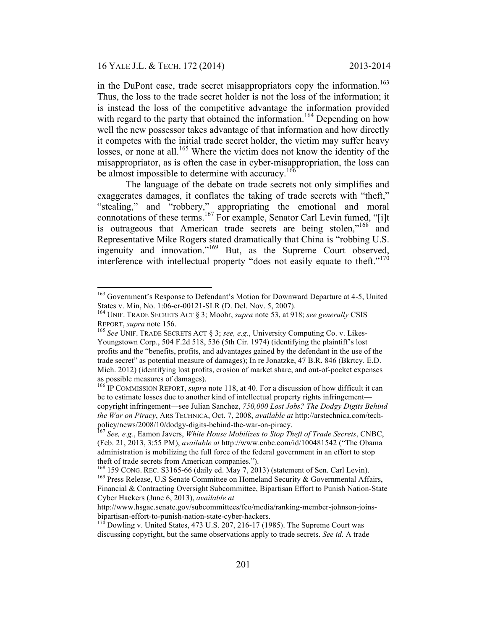in the DuPont case, trade secret misappropriators copy the information.<sup>163</sup> Thus, the loss to the trade secret holder is not the loss of the information; it is instead the loss of the competitive advantage the information provided with regard to the party that obtained the information.<sup>164</sup> Depending on how well the new possessor takes advantage of that information and how directly it competes with the initial trade secret holder, the victim may suffer heavy losses, or none at all.<sup>165</sup> Where the victim does not know the identity of the misappropriator, as is often the case in cyber-misappropriation, the loss can be almost impossible to determine with accuracy.<sup>166</sup>

The language of the debate on trade secrets not only simplifies and exaggerates damages, it conflates the taking of trade secrets with "theft," "stealing," and "robbery," appropriating the emotional and moral connotations of these terms.<sup>167</sup> For example, Senator Carl Levin fumed, "[i]t is outrageous that American trade secrets are being stolen,"<sup>168</sup> and Representative Mike Rogers stated dramatically that China is "robbing U.S. ingenuity and innovation."169 But, as the Supreme Court observed, interference with intellectual property "does not easily equate to theft." $170$ 

 $163$  Government's Response to Defendant's Motion for Downward Departure at 4-5, United States v. Min, No.  $1:06$ -cr-00121-SLR (D. Del. Nov. 5, 2007).

<sup>&</sup>lt;sup>164</sup> UNIF. TRADE SECRETS ACT § 3; Moohr, *supra* note 53, at 918; *see generally* CSIS REPORT, *supra* note 156.

<sup>&</sup>lt;sup>165</sup> See UNIF. TRADE SECRETS ACT § 3; *see, e.g.*, University Computing Co. v. Likes-Youngstown Corp., 504 F.2d 518, 536 (5th Cir. 1974) (identifying the plaintiff's lost profits and the "benefits, profits, and advantages gained by the defendant in the use of the trade secret" as potential measure of damages); In re Jonatzke, 47 B.R. 846 (Bkrtcy. E.D. Mich. 2012) (identifying lost profits, erosion of market share, and out-of-pocket expenses as possible measures of damages).

<sup>&</sup>lt;sup>166</sup> IP COMMISSION REPORT, *supra* note 118, at 40. For a discussion of how difficult it can be to estimate losses due to another kind of intellectual property rights infringement copyright infringement—see Julian Sanchez, *750,000 Lost Jobs? The Dodgy Digits Behind the War on Piracy*, ARS TECHNICA, Oct. 7, 2008, *available at* http://arstechnica.com/techpolicy/news/2008/10/dodgy-digits-behind-the-war-on-piracy. <sup>167</sup> *See, e.g.*, Eamon Javers, *White House Mobilizes to Stop Theft of Trade Secrets*, CNBC,

<sup>(</sup>Feb. 21, 2013, 3:55 PM), *available at* http://www.cnbc.com/id/100481542 ("The Obama administration is mobilizing the full force of the federal government in an effort to stop theft of trade secrets from American companies.").<br><sup>168</sup> 159 CONG, REC, S3165-66 (daily ed. May 7, 2013) (statement of Sen, Carl Levin).

<sup>&</sup>lt;sup>169</sup> Press Release, U.S Senate Committee on Homeland Security & Governmental Affairs, Financial & Contracting Oversight Subcommittee, Bipartisan Effort to Punish Nation-State Cyber Hackers (June 6, 2013), *available at*

http://www.hsgac.senate.gov/subcommittees/fco/media/ranking-member-johnson-joinsbipartisan-effort-to-punish-nation-state-cyber-hackers.<br><sup>170</sup> Dowling v. United States, 473 U.S. 207, 216-17 (1985). The Supreme Court was

discussing copyright, but the same observations apply to trade secrets. *See id.* A trade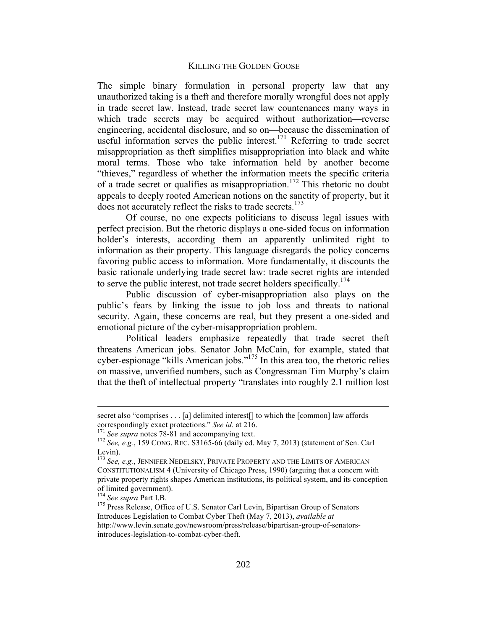The simple binary formulation in personal property law that any unauthorized taking is a theft and therefore morally wrongful does not apply in trade secret law. Instead, trade secret law countenances many ways in which trade secrets may be acquired without authorization—reverse engineering, accidental disclosure, and so on—because the dissemination of useful information serves the public interest.<sup>171</sup> Referring to trade secret misappropriation as theft simplifies misappropriation into black and white moral terms. Those who take information held by another become "thieves," regardless of whether the information meets the specific criteria of a trade secret or qualifies as misappropriation.<sup>172</sup> This rhetoric no doubt appeals to deeply rooted American notions on the sanctity of property, but it does not accurately reflect the risks to trade secrets.<sup>173</sup>

Of course, no one expects politicians to discuss legal issues with perfect precision. But the rhetoric displays a one-sided focus on information holder's interests, according them an apparently unlimited right to information as their property. This language disregards the policy concerns favoring public access to information. More fundamentally, it discounts the basic rationale underlying trade secret law: trade secret rights are intended to serve the public interest, not trade secret holders specifically.<sup>174</sup>

Public discussion of cyber-misappropriation also plays on the public's fears by linking the issue to job loss and threats to national security. Again, these concerns are real, but they present a one-sided and emotional picture of the cyber-misappropriation problem.

Political leaders emphasize repeatedly that trade secret theft threatens American jobs. Senator John McCain, for example, stated that cyber-espionage "kills American jobs."175 In this area too, the rhetoric relies on massive, unverified numbers, such as Congressman Tim Murphy's claim that the theft of intellectual property "translates into roughly 2.1 million lost

secret also "comprises . . . [a] delimited interest[] to which the [common] law affords correspondingly exact protections." *See id.* at 216.<br><sup>171</sup> *See supra* notes 78-81 and accompanying text.

<sup>&</sup>lt;sup>172</sup> See, e.g., 159 CONG. REC. S3165-66 (daily ed. May 7, 2013) (statement of Sen. Carl Levin).

<sup>&</sup>lt;sup>173</sup> See, e.g., JENNIFER NEDELSKY, PRIVATE PROPERTY AND THE LIMITS OF AMERICAN CONSTITUTIONALISM 4 (University of Chicago Press, 1990) (arguing that a concern with private property rights shapes American institutions, its political system, and its conception of limited government).<br><sup>174</sup> See supra Part I.B.

<sup>&</sup>lt;sup>175</sup> Press Release, Office of U.S. Senator Carl Levin, Bipartisan Group of Senators Introduces Legislation to Combat Cyber Theft (May 7, 2013), *available at*  http://www.levin.senate.gov/newsroom/press/release/bipartisan-group-of-senatorsintroduces-legislation-to-combat-cyber-theft.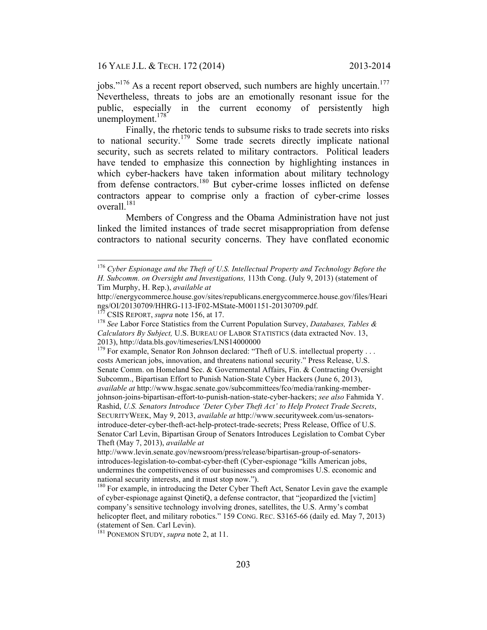jobs."<sup>176</sup> As a recent report observed, such numbers are highly uncertain.<sup>177</sup> Nevertheless, threats to jobs are an emotionally resonant issue for the public, especially in the current economy of persistently high unemployment. $178$ 

Finally, the rhetoric tends to subsume risks to trade secrets into risks to national security.179 Some trade secrets directly implicate national security, such as secrets related to military contractors. Political leaders have tended to emphasize this connection by highlighting instances in which cyber-hackers have taken information about military technology from defense contractors.<sup>180</sup> But cyber-crime losses inflicted on defense contractors appear to comprise only a fraction of cyber-crime losses overall $^{181}$ 

Members of Congress and the Obama Administration have not just linked the limited instances of trade secret misappropriation from defense contractors to national security concerns. They have conflated economic

 <sup>176</sup> *Cyber Espionage and the Theft of U.S. Intellectual Property and Technology Before the H. Subcomm. on Oversight and Investigations,* 113th Cong. (July 9, 2013) (statement of Tim Murphy, H. Rep.), *available at*

http://energycommerce.house.gov/sites/republicans.energycommerce.house.gov/files/Heari

<sup>&</sup>lt;sup>177</sup> CSIS REPORT, *supra* note 156, at 17.<br><sup>178</sup> *See* Labor Force Statistics from the Current Population Survey, *Databases, Tables & Calculators By Subject,* U.S. BUREAU OF LABOR STATISTICS (data extracted Nov. 13,

<sup>2013),</sup> http://data.bls.gov/timeseries/LNS14000000<br><sup>179</sup> For example, Senator Ron Johnson declared: "Theft of U.S. intellectual property . . . costs American jobs, innovation, and threatens national security." Press Release, U.S. Senate Comm. on Homeland Sec. & Governmental Affairs, Fin. & Contracting Oversight Subcomm., Bipartisan Effort to Punish Nation-State Cyber Hackers (June 6, 2013), *available at* http://www.hsgac.senate.gov/subcommittees/fco/media/ranking-memberjohnson-joins-bipartisan-effort-to-punish-nation-state-cyber-hackers; *see also* Fahmida Y. Rashid, *U.S. Senators Introduce 'Deter Cyber Theft Act' to Help Protect Trade Secrets*, SECURITYWEEK, May 9, 2013, *available at* http://www.securityweek.com/us-senatorsintroduce-deter-cyber-theft-act-help-protect-trade-secrets; Press Release, Office of U.S. Senator Carl Levin, Bipartisan Group of Senators Introduces Legislation to Combat Cyber Theft (May 7, 2013), *available at* 

http://www.levin.senate.gov/newsroom/press/release/bipartisan-group-of-senatorsintroduces-legislation-to-combat-cyber-theft (Cyber-espionage "kills American jobs, undermines the competitiveness of our businesses and compromises U.S. economic and national security interests, and it must stop now.").<br><sup>180</sup> For example, in introducing the Deter Cyber Theft Act, Senator Levin gave the example

of cyber-espionage against QinetiQ, a defense contractor, that "jeopardized the [victim] company's sensitive technology involving drones, satellites, the U.S. Army's combat helicopter fleet, and military robotics." 159 CONG. REC. S3165-66 (daily ed. May 7, 2013) (statement of Sen. Carl Levin).

<sup>181</sup> PONEMON STUDY, *supra* note 2, at 11.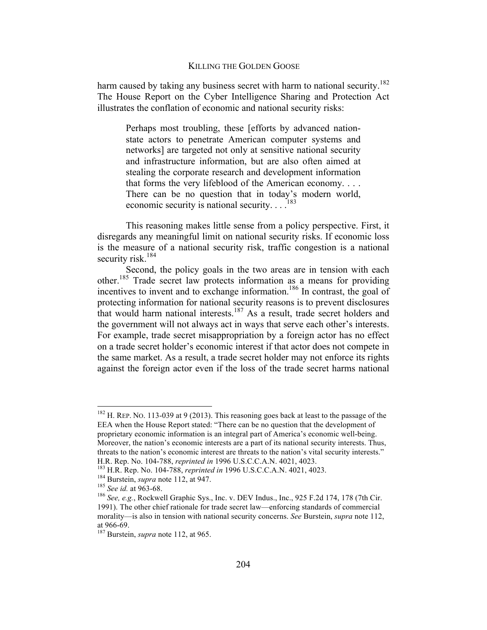harm caused by taking any business secret with harm to national security.<sup>182</sup> The House Report on the Cyber Intelligence Sharing and Protection Act illustrates the conflation of economic and national security risks:

Perhaps most troubling, these [efforts by advanced nationstate actors to penetrate American computer systems and networks] are targeted not only at sensitive national security and infrastructure information, but are also often aimed at stealing the corporate research and development information that forms the very lifeblood of the American economy. . . . There can be no question that in today's modern world, economic security is national security.  $\ldots$ <sup>183</sup>

This reasoning makes little sense from a policy perspective. First, it disregards any meaningful limit on national security risks. If economic loss is the measure of a national security risk, traffic congestion is a national security risk. $184$ 

Second, the policy goals in the two areas are in tension with each other.<sup>185</sup> Trade secret law protects information as a means for providing incentives to invent and to exchange information.<sup>186</sup> In contrast, the goal of protecting information for national security reasons is to prevent disclosures that would harm national interests.<sup>187</sup> As a result, trade secret holders and the government will not always act in ways that serve each other's interests. For example, trade secret misappropriation by a foreign actor has no effect on a trade secret holder's economic interest if that actor does not compete in the same market. As a result, a trade secret holder may not enforce its rights against the foreign actor even if the loss of the trade secret harms national

 $182$  H. REP. NO. 113-039 at 9 (2013). This reasoning goes back at least to the passage of the EEA when the House Report stated: "There can be no question that the development of proprietary economic information is an integral part of America's economic well-being. Moreover, the nation's economic interests are a part of its national security interests. Thus, threats to the nation's economic interest are threats to the nation's vital security interests."

H.R. Rep. No. 104-788, *reprinted in* 1996 U.S.C.C.A.N. 4021, 4023.<br><sup>183</sup> H.R. Rep. No. 104-788, *reprinted in* 1996 U.S.C.C.A.N. 4021, 4023.<br><sup>184</sup> Burstein, *supra* note 112, at 947.<br><sup>185</sup> See id. at 963-68.<br><sup>186</sup> See, e. 1991). The other chief rationale for trade secret law—enforcing standards of commercial morality—is also in tension with national security concerns. *See* Burstein, *supra* note 112, at 966-69. 187 Burstein, *supra* note 112, at 965.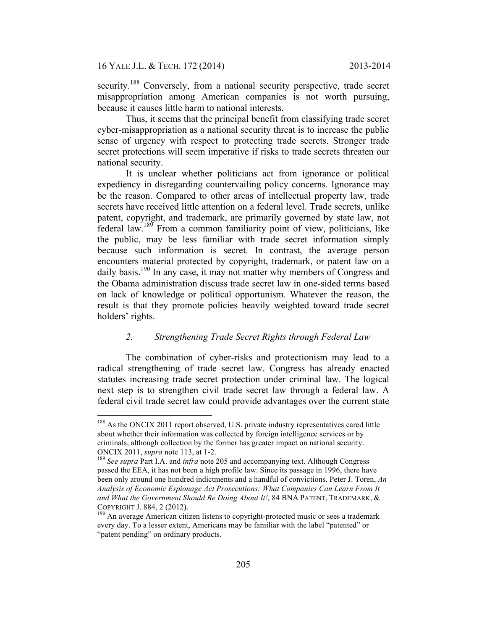security.<sup>188</sup> Conversely, from a national security perspective, trade secret misappropriation among American companies is not worth pursuing, because it causes little harm to national interests.

Thus, it seems that the principal benefit from classifying trade secret cyber-misappropriation as a national security threat is to increase the public sense of urgency with respect to protecting trade secrets. Stronger trade secret protections will seem imperative if risks to trade secrets threaten our national security.

It is unclear whether politicians act from ignorance or political expediency in disregarding countervailing policy concerns. Ignorance may be the reason. Compared to other areas of intellectual property law, trade secrets have received little attention on a federal level. Trade secrets, unlike patent, copyright, and trademark, are primarily governed by state law, not federal law.<sup>189</sup> From a common familiarity point of view, politicians, like the public, may be less familiar with trade secret information simply because such information is secret. In contrast, the average person encounters material protected by copyright, trademark, or patent law on a daily basis.<sup>190</sup> In any case, it may not matter why members of Congress and the Obama administration discuss trade secret law in one-sided terms based on lack of knowledge or political opportunism. Whatever the reason, the result is that they promote policies heavily weighted toward trade secret holders' rights.

## *2. Strengthening Trade Secret Rights through Federal Law*

The combination of cyber-risks and protectionism may lead to a radical strengthening of trade secret law. Congress has already enacted statutes increasing trade secret protection under criminal law. The logical next step is to strengthen civil trade secret law through a federal law. A federal civil trade secret law could provide advantages over the current state

<sup>&</sup>lt;sup>188</sup> As the ONCIX 2011 report observed, U.S. private industry representatives cared little about whether their information was collected by foreign intelligence services or by criminals, although collection by the former has greater impact on national security. ONCIX 2011, *supra* note 113, at 1-2.<br><sup>189</sup> See supra Part I.A. and *infra* note 205 and accompanying text. Although Congress

passed the EEA, it has not been a high profile law. Since its passage in 1996, there have been only around one hundred indictments and a handful of convictions. Peter J. Toren, *An Analysis of Economic Espionage Act Prosecutions: What Companies Can Learn From It and What the Government Should Be Doing About It!*, 84 BNA PATENT, TRADEMARK, &

COPYRIGHT J. 884, 2 (2012).<br><sup>190</sup> An average American citizen listens to copyright-protected music or sees a trademark every day. To a lesser extent, Americans may be familiar with the label "patented" or "patent pending" on ordinary products.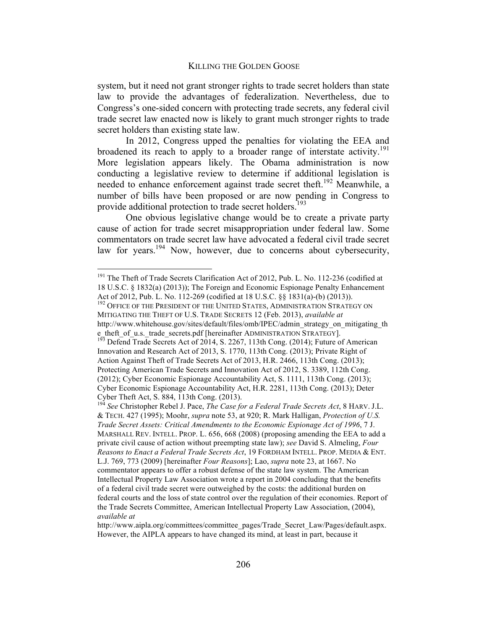system, but it need not grant stronger rights to trade secret holders than state law to provide the advantages of federalization. Nevertheless, due to Congress's one-sided concern with protecting trade secrets, any federal civil trade secret law enacted now is likely to grant much stronger rights to trade secret holders than existing state law.

In 2012, Congress upped the penalties for violating the EEA and broadened its reach to apply to a broader range of interstate activity.<sup>191</sup> More legislation appears likely. The Obama administration is now conducting a legislative review to determine if additional legislation is needed to enhance enforcement against trade secret theft.<sup>192</sup> Meanwhile, a number of bills have been proposed or are now pending in Congress to provide additional protection to trade secret holders.<sup>193</sup>

One obvious legislative change would be to create a private party cause of action for trade secret misappropriation under federal law. Some commentators on trade secret law have advocated a federal civil trade secret law for years.<sup>194</sup> Now, however, due to concerns about cybersecurity,

<sup>&</sup>lt;sup>191</sup> The Theft of Trade Secrets Clarification Act of 2012, Pub. L. No. 112-236 (codified at 18 U.S.C. § 1832(a) (2013)); The Foreign and Economic Espionage Penalty Enhancement Act of 2012, Pub. L. No. 112-269 (codified at 18 U.S.C. §§ 1831(a)-(b) (2013)).<br><sup>192</sup> Office of the President of the United States, Administration Strategy on

MITIGATING THE THEFT OF U.S. TRADE SECRETS 12 (Feb. 2013), *available at*  http://www.whitehouse.gov/sites/default/files/omb/IPEC/admin\_strategy\_on\_mitigating\_th e\_theft\_of\_u.s.\_trade\_secrets.pdf [hereinafter ADMINISTRATION STRATEGY].  $\frac{193}{193}$  Defend Trade Secrets Act of 2014, S. 2267, 113th Cong. (2014); Future of American

Innovation and Research Act of 2013, S. 1770, 113th Cong. (2013); Private Right of Action Against Theft of Trade Secrets Act of 2013, H.R. 2466, 113th Cong. (2013); Protecting American Trade Secrets and Innovation Act of 2012, S. 3389, 112th Cong. (2012); Cyber Economic Espionage Accountability Act, S. 1111, 113th Cong. (2013); Cyber Economic Espionage Accountability Act, H.R. 2281, 113th Cong. (2013); Deter Cyber Theft Act, S. 884, 113th Cong. (2013).

<sup>194</sup> *See* Christopher Rebel J. Pace, *The Case for a Federal Trade Secrets Act*, 8 HARV. J.L. & TECH. 427 (1995); Moohr, *supra* note 53, at 920; R. Mark Halligan, *Protection of U.S. Trade Secret Assets: Critical Amendments to the Economic Espionage Act of 1996*, 7 J. MARSHALL REV. INTELL. PROP. L. 656, 668 (2008) (proposing amending the EEA to add a private civil cause of action without preempting state law); *see* David S. Almeling, *Four Reasons to Enact a Federal Trade Secrets Act*, 19 FORDHAM INTELL. PROP. MEDIA & ENT. L.J. 769, 773 (2009) [hereinafter *Four Reasons*]; Lao, *supra* note 23, at 1667. No commentator appears to offer a robust defense of the state law system. The American Intellectual Property Law Association wrote a report in 2004 concluding that the benefits of a federal civil trade secret were outweighed by the costs: the additional burden on federal courts and the loss of state control over the regulation of their economies. Report of the Trade Secrets Committee, American Intellectual Property Law Association, (2004), *available at* 

http://www.aipla.org/committees/committee\_pages/Trade\_Secret\_Law/Pages/default.aspx. However, the AIPLA appears to have changed its mind, at least in part, because it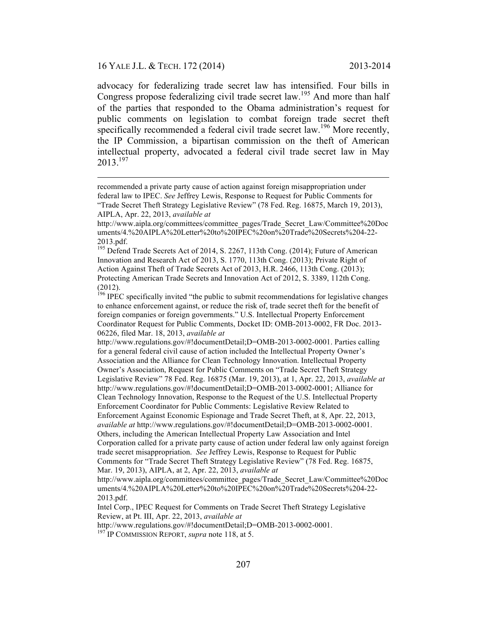$\overline{a}$ 

advocacy for federalizing trade secret law has intensified. Four bills in Congress propose federalizing civil trade secret law.<sup>195</sup> And more than half of the parties that responded to the Obama administration's request for public comments on legislation to combat foreign trade secret theft specifically recommended a federal civil trade secret law.<sup>196</sup> More recently, the IP Commission, a bipartisan commission on the theft of American intellectual property, advocated a federal civil trade secret law in May 2013. 197

<sup>195</sup> Defend Trade Secrets Act of 2014, S. 2267, 113th Cong. (2014); Future of American Innovation and Research Act of 2013, S. 1770, 113th Cong. (2013); Private Right of Action Against Theft of Trade Secrets Act of 2013, H.R. 2466, 113th Cong. (2013); Protecting American Trade Secrets and Innovation Act of 2012, S. 3389, 112th Cong. (2012).

http://www.regulations.gov/#!documentDetail;D=OMB-2013-0002-0001. Parties calling for a general federal civil cause of action included the Intellectual Property Owner's Association and the Alliance for Clean Technology Innovation. Intellectual Property Owner's Association, Request for Public Comments on "Trade Secret Theft Strategy Legislative Review" 78 Fed. Reg. 16875 (Mar. 19, 2013), at 1, Apr. 22, 2013, *available at* http://www.regulations.gov/#!documentDetail;D=OMB-2013-0002-0001; Alliance for Clean Technology Innovation, Response to the Request of the U.S. Intellectual Property Enforcement Coordinator for Public Comments: Legislative Review Related to Enforcement Against Economic Espionage and Trade Secret Theft, at 8, Apr. 22, 2013, *available at* http://www.regulations.gov/#!documentDetail;D=OMB-2013-0002-0001.

Others, including the American Intellectual Property Law Association and Intel Corporation called for a private party cause of action under federal law only against foreign trade secret misappropriation. *See* Jeffrey Lewis, Response to Request for Public Comments for "Trade Secret Theft Strategy Legislative Review" (78 Fed. Reg. 16875,

http://www.aipla.org/committees/committee\_pages/Trade\_Secret\_Law/Committee%20Doc uments/4.%20AIPLA%20Letter%20to%20IPEC%20on%20Trade%20Secrets%204-22- 2013.pdf.

Intel Corp., IPEC Request for Comments on Trade Secret Theft Strategy Legislative Review, at Pt. III, Apr. 22, 2013, *available at*

http://www.regulations.gov/#!documentDetail;D=OMB-2013-0002-0001.<br><sup>197</sup> IP COMMISSION REPORT, *supra* note 118, at 5.

recommended a private party cause of action against foreign misappropriation under federal law to IPEC. *See* Jeffrey Lewis, Response to Request for Public Comments for "Trade Secret Theft Strategy Legislative Review" (78 Fed. Reg. 16875, March 19, 2013), AIPLA, Apr. 22, 2013, *available at* 

http://www.aipla.org/committees/committee\_pages/Trade\_Secret\_Law/Committee%20Doc uments/4.%20AIPLA%20Letter%20to%20IPEC%20on%20Trade%20Secrets%204-22- 2013.pdf.

 $196$  IPEC specifically invited "the public to submit recommendations for legislative changes to enhance enforcement against, or reduce the risk of, trade secret theft for the benefit of foreign companies or foreign governments." U.S. Intellectual Property Enforcement Coordinator Request for Public Comments, Docket ID: OMB-2013-0002, FR Doc. 2013- 06226, filed Mar. 18, 2013, *available at*

Mar. 19, 2013), AIPLA, at 2, Apr. 22, 2013, *available at*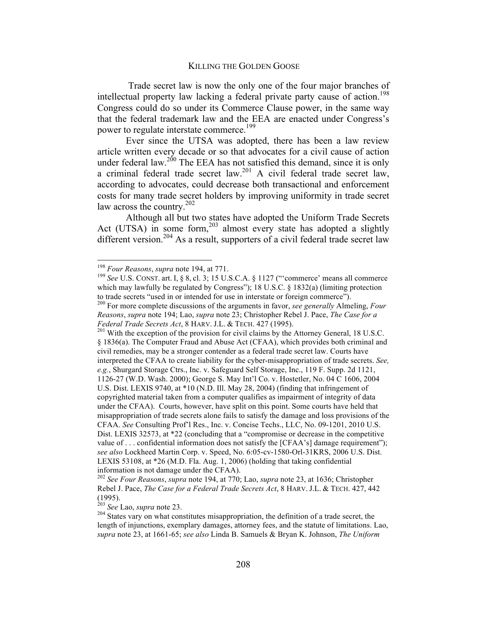Trade secret law is now the only one of the four major branches of intellectual property law lacking a federal private party cause of action.<sup>198</sup> Congress could do so under its Commerce Clause power, in the same way that the federal trademark law and the EEA are enacted under Congress's power to regulate interstate commerce.<sup>199</sup>

Ever since the UTSA was adopted, there has been a law review article written every decade or so that advocates for a civil cause of action under federal law.<sup>200</sup> The EEA has not satisfied this demand, since it is only a criminal federal trade secret law.<sup>201</sup> A civil federal trade secret law, according to advocates, could decrease both transactional and enforcement costs for many trade secret holders by improving uniformity in trade secret law across the country.<sup>202</sup>

Although all but two states have adopted the Uniform Trade Secrets Act (UTSA) in some form, $203$  almost every state has adopted a slightly different version.<sup>204</sup> As a result, supporters of a civil federal trade secret law

§ 1836(a). The Computer Fraud and Abuse Act (CFAA), which provides both criminal and civil remedies, may be a stronger contender as a federal trade secret law. Courts have interpreted the CFAA to create liability for the cyber-misappropriation of trade secrets. *See, e.g.*, Shurgard Storage Ctrs., Inc. v. Safeguard Self Storage, Inc., 119 F. Supp. 2d 1121, 1126-27 (W.D. Wash. 2000); George S. May Int'l Co. v. Hostetler, No. 04 C 1606, 2004 U.S. Dist. LEXIS 9740, at \*10 (N.D. Ill. May 28, 2004) (finding that infringement of copyrighted material taken from a computer qualifies as impairment of integrity of data under the CFAA). Courts, however, have split on this point. Some courts have held that misappropriation of trade secrets alone fails to satisfy the damage and loss provisions of the CFAA. *See* Consulting Prof'l Res., Inc. v. Concise Techs., LLC, No. 09-1201, 2010 U.S. Dist. LEXIS 32573, at \*22 (concluding that a "compromise or decrease in the competitive value of  $\ldots$  confidential information does not satisfy the [CFAA's] damage requirement"); *see also* Lockheed Martin Corp. v. Speed, No. 6:05-cv-1580-Orl-31KRS, 2006 U.S. Dist. LEXIS 53108, at \*26 (M.D. Fla. Aug. 1, 2006) (holding that taking confidential information is not damage under the CFAA).

<sup>&</sup>lt;sup>198</sup> *Four Reasons, supra* note 194, at 771.<br><sup>199</sup> *See* U.S. CONST. art. I, § 8, cl. 3; 15 U.S.C.A. § 1127 ("'commerce' means all commerce which may lawfully be regulated by Congress"); 18 U.S.C. § 1832(a) (limiting protection to trade secrets "used in or intended for use in interstate or foreign commerce").

<sup>200</sup> For more complete discussions of the arguments in favor, *see generally* Almeling, *Four Reasons*, *supra* note 194; Lao, *supra* note 23; Christopher Rebel J. Pace, *The Case for a Federal Trade Secrets Act*, 8 HARV. J.L. & TECH. 427 (1995).<br><sup>201</sup> With the exception of the provision for civil claims by the Attorney General, 18 U.S.C.

<sup>202</sup> *See Four Reasons*, *supra* note 194, at 770; Lao, *supra* note 23, at 1636; Christopher Rebel J. Pace, *The Case for a Federal Trade Secrets Act*, 8 HARV. J.L. & TECH. 427, 442 (1995).<br> $203$  See Lao, supra note 23.

<sup>203</sup> *See* Lao, *supra* note 23. 204 States vary on what constitutes misappropriation, the definition of a trade secret, the length of injunctions, exemplary damages, attorney fees, and the statute of limitations. Lao, *supra* note 23, at 1661-65; *see also* Linda B. Samuels & Bryan K. Johnson, *The Uniform*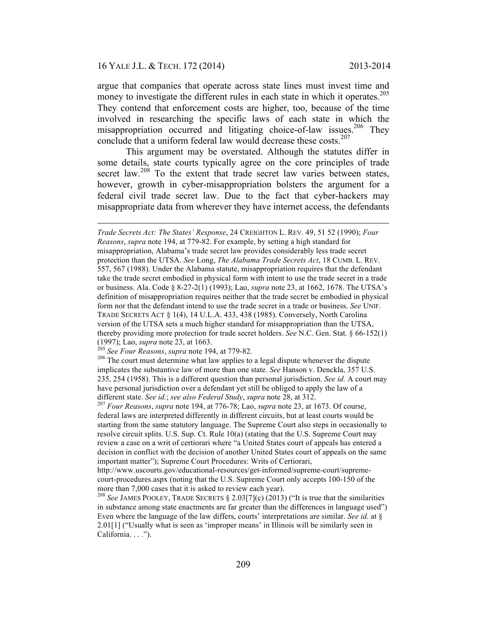### 16 YALE J.L. & TECH. 172 (2014) 2013-2014

 $\overline{a}$ 

argue that companies that operate across state lines must invest time and money to investigate the different rules in each state in which it operates.<sup>205</sup> They contend that enforcement costs are higher, too, because of the time involved in researching the specific laws of each state in which the misappropriation occurred and litigating choice-of-law issues.<sup>206</sup> They conclude that a uniform federal law would decrease these  $costs$ <sup>207</sup>

This argument may be overstated. Although the statutes differ in some details, state courts typically agree on the core principles of trade secret law.<sup>208</sup> To the extent that trade secret law varies between states, however, growth in cyber-misappropriation bolsters the argument for a federal civil trade secret law. Due to the fact that cyber-hackers may misappropriate data from wherever they have internet access, the defendants

*Trade Secrets Act: The States' Response*, 24 CREIGHTON L. REV. 49, 51 52 (1990); *Four Reasons*, *supra* note 194, at 779-82. For example, by setting a high standard for misappropriation, Alabama's trade secret law provides considerably less trade secret protection than the UTSA. *See* Long, *The Alabama Trade Secrets Act*, 18 CUMB. L. REV. 557, 567 (1988). Under the Alabama statute, misappropriation requires that the defendant take the trade secret embodied in physical form with intent to use the trade secret in a trade or business. Ala. Code § 8-27-2(1) (1993); Lao, *supra* note 23, at 1662, 1678. The UTSA's definition of misappropriation requires neither that the trade secret be embodied in physical form nor that the defendant intend to use the trade secret in a trade or business. *See* UNIF. TRADE SECRETS ACT § 1(4), 14 U.L.A. 433, 438 (1985). Conversely, North Carolina version of the UTSA sets a much higher standard for misappropriation than the UTSA, thereby providing more protection for trade secret holders. *See* N.C. Gen. Stat. § 66-152(1) (1997); Lao, *supra* note 23, at 1663.<br><sup>205</sup> See Four Reasons, *supra* note 194, at 779-82.

<sup>&</sup>lt;sup>206</sup> The court must determine what law applies to a legal dispute whenever the dispute implicates the substantive law of more than one state. *See* Hanson v. Denckla, 357 U.S. 235, 254 (1958). This is a different question than personal jurisdiction. *See id.* A court may have personal jurisdiction over a defendant yet still be obliged to apply the law of a different state. *See id.*; *see also Federal Study*, *supra* note 28, at 312. <sup>207</sup> *Four Reasons*, *supra* note 194, at 776-78; Lao, *supra* note 23, at 1673. Of course,

federal laws are interpreted differently in different circuits, but at least courts would be starting from the same statutory language. The Supreme Court also steps in occasionally to resolve circuit splits. U.S. Sup. Ct. Rule 10(a) (stating that the U.S. Supreme Court may review a case on a writ of certiorari where "a United States court of appeals has entered a decision in conflict with the decision of another United States court of appeals on the same important matter"); Supreme Court Procedures: Writs of Certiorari,

http://www.uscourts.gov/educational-resources/get-informed/supreme-court/supremecourt-procedures.aspx (noting that the U.S. Supreme Court only accepts 100-150 of the more than 7,000 cases that it is asked to review each year).

<sup>208</sup> *See* JAMES POOLEY, TRADE SECRETS § 2.03[7](c) (2013) ("It is true that the similarities in substance among state enactments are far greater than the differences in language used") Even where the language of the law differs, courts' interpretations are similar. *See id.* at § 2.01[1] ("Usually what is seen as 'improper means' in Illinois will be similarly seen in California. . . .").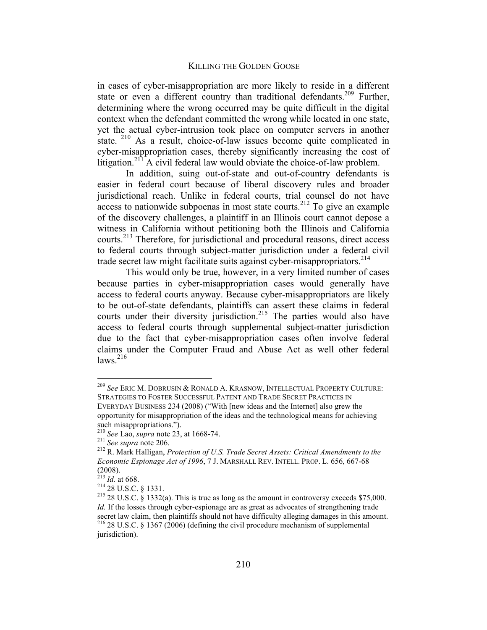in cases of cyber-misappropriation are more likely to reside in a different state or even a different country than traditional defendants.<sup>209</sup> Further, determining where the wrong occurred may be quite difficult in the digital context when the defendant committed the wrong while located in one state, yet the actual cyber-intrusion took place on computer servers in another state.  $210$  As a result, choice-of-law issues become quite complicated in cyber-misappropriation cases, thereby significantly increasing the cost of litigation.<sup>211</sup> A civil federal law would obviate the choice-of-law problem.

In addition, suing out-of-state and out-of-country defendants is easier in federal court because of liberal discovery rules and broader jurisdictional reach. Unlike in federal courts, trial counsel do not have  $\alpha$  access to nationwide subpoenas in most state courts.<sup>212</sup> To give an example of the discovery challenges, a plaintiff in an Illinois court cannot depose a witness in California without petitioning both the Illinois and California courts.213 Therefore, for jurisdictional and procedural reasons, direct access to federal courts through subject-matter jurisdiction under a federal civil trade secret law might facilitate suits against cyber-misappropriators.<sup>214</sup>

This would only be true, however, in a very limited number of cases because parties in cyber-misappropriation cases would generally have access to federal courts anyway. Because cyber-misappropriators are likely to be out-of-state defendants, plaintiffs can assert these claims in federal courts under their diversity jurisdiction.<sup>215</sup> The parties would also have access to federal courts through supplemental subject-matter jurisdiction due to the fact that cyber-misappropriation cases often involve federal claims under the Computer Fraud and Abuse Act as well other federal  $laws.$ <sup>216</sup>

 <sup>209</sup> *See* ERIC M. DOBRUSIN & RONALD A. KRASNOW, INTELLECTUAL PROPERTY CULTURE: STRATEGIES TO FOSTER SUCCESSFUL PATENT AND TRADE SECRET PRACTICES IN EVERYDAY BUSINESS 234 (2008) ("With [new ideas and the Internet] also grew the opportunity for misappropriation of the ideas and the technological means for achieving

such misappropriations.").<br>
<sup>210</sup> *See* Lao, *supra* note 23, at 1668-74.<br>
<sup>211</sup> *See supra* note 206.<br>
<sup>212</sup> R. Mark Halligan, *Protection of U.S. Trade Secret Assets: Critical Amendments to the Economic Espionage Act of 1996*, 7 J. MARSHALL REV. INTELL. PROP. L. 656, 667-68  $(2008)$ .<br><sup>213</sup> Id. at 668.

<sup>214 28</sup> U.S.C. § 1331.<br><sup>215</sup> 28 U.S.C. § 1332(a). This is true as long as the amount in controversy exceeds \$75,000. *Id.* If the losses through cyber-espionage are as great as advocates of strengthening trade secret law claim, then plaintiffs should not have difficulty alleging damages in this amount.<br><sup>216</sup> 28 U.S.C. § 1367 (2006) (defining the civil procedure mechanism of supplemental jurisdiction).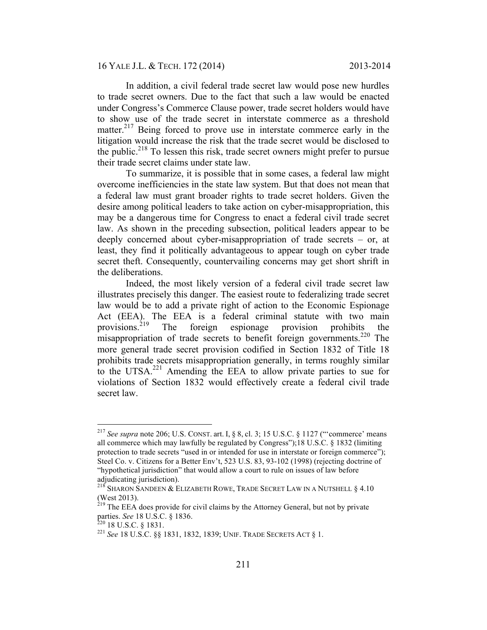In addition, a civil federal trade secret law would pose new hurdles to trade secret owners. Due to the fact that such a law would be enacted under Congress's Commerce Clause power, trade secret holders would have to show use of the trade secret in interstate commerce as a threshold matter.<sup>217</sup> Being forced to prove use in interstate commerce early in the litigation would increase the risk that the trade secret would be disclosed to the public.<sup>218</sup> To lessen this risk, trade secret owners might prefer to pursue their trade secret claims under state law.

To summarize, it is possible that in some cases, a federal law might overcome inefficiencies in the state law system. But that does not mean that a federal law must grant broader rights to trade secret holders. Given the desire among political leaders to take action on cyber-misappropriation, this may be a dangerous time for Congress to enact a federal civil trade secret law. As shown in the preceding subsection, political leaders appear to be deeply concerned about cyber-misappropriation of trade secrets – or, at least, they find it politically advantageous to appear tough on cyber trade secret theft. Consequently, countervailing concerns may get short shrift in the deliberations.

Indeed, the most likely version of a federal civil trade secret law illustrates precisely this danger. The easiest route to federalizing trade secret law would be to add a private right of action to the Economic Espionage Act (EEA). The EEA is a federal criminal statute with two main provisions.219 The foreign espionage provision prohibits the misappropriation of trade secrets to benefit foreign governments.<sup>220</sup> The more general trade secret provision codified in Section 1832 of Title 18 prohibits trade secrets misappropriation generally, in terms roughly similar to the UTSA.221 Amending the EEA to allow private parties to sue for violations of Section 1832 would effectively create a federal civil trade secret law.

 <sup>217</sup> *See supra* note 206; U.S. CONST. art. I, § 8, cl. 3; 15 U.S.C. § 1127 ("'commerce' means all commerce which may lawfully be regulated by Congress");18 U.S.C. § 1832 (limiting protection to trade secrets "used in or intended for use in interstate or foreign commerce"); Steel Co. v. Citizens for a Better Env't, 523 U.S. 83, 93-102 (1998) (rejecting doctrine of "hypothetical jurisdiction" that would allow a court to rule on issues of law before adjudicating jurisdiction).

 $^{218}$  Sharon Sandeen & Elizabeth Rowe, Trade Secret Law in a Nutshell  $\S~4.10$ (West 2013).

<sup>&</sup>lt;sup>219</sup> The EEA does provide for civil claims by the Attorney General, but not by private parties. *See* 18 U.S.C. § 1836.<br><sup>220</sup> 18 U.S.C. § 1831.<br><sup>221</sup> *See* 18 U.S.C. §§ 1831, 1832, 1839; UNIF. TRADE SECRETS ACT § 1.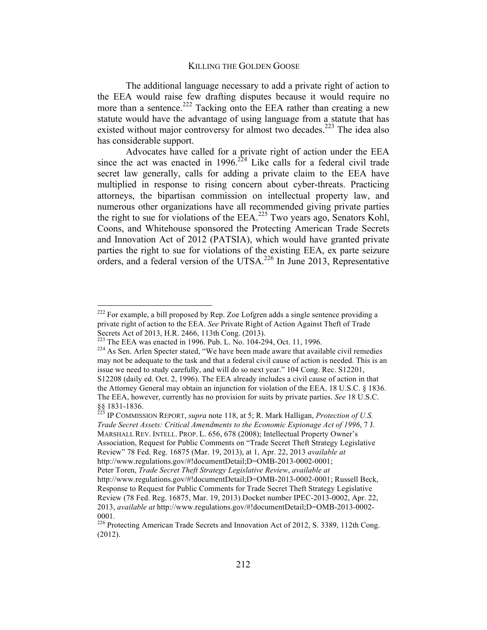The additional language necessary to add a private right of action to the EEA would raise few drafting disputes because it would require no more than a sentence.<sup>222</sup> Tacking onto the EEA rather than creating a new statute would have the advantage of using language from a statute that has existed without major controversy for almost two decades.<sup>223</sup> The idea also has considerable support.

Advocates have called for a private right of action under the EEA since the act was enacted in  $1996$ .<sup>224</sup> Like calls for a federal civil trade secret law generally, calls for adding a private claim to the EEA have multiplied in response to rising concern about cyber-threats. Practicing attorneys, the bipartisan commission on intellectual property law, and numerous other organizations have all recommended giving private parties the right to sue for violations of the EEA.<sup>225</sup> Two years ago, Senators Kohl, Coons, and Whitehouse sponsored the Protecting American Trade Secrets and Innovation Act of 2012 (PATSIA), which would have granted private parties the right to sue for violations of the existing EEA, ex parte seizure orders, and a federal version of the UTSA.<sup>226</sup> In June 2013, Representative

 $222$  For example, a bill proposed by Rep. Zoe Lofgren adds a single sentence providing a private right of action to the EEA. *See* Private Right of Action Against Theft of Trade Secrets Act of 2013, H.R. 2466, 113th Cong. (2013).<br><sup>223</sup> The EEA was enacted in 1996. Pub. L. No. 104-294, Oct. 11, 1996.

 $224$  As Sen. Arlen Specter stated, "We have been made aware that available civil remedies may not be adequate to the task and that a federal civil cause of action is needed. This is an issue we need to study carefully, and will do so next year." 104 Cong. Rec. S12201, S12208 (daily ed. Oct. 2, 1996). The EEA already includes a civil cause of action in that the Attorney General may obtain an injunction for violation of the EEA. 18 U.S.C. § 1836. The EEA, however, currently has no provision for suits by private parties. *See* 18 U.S.C. §§ 1831-1836. <sup>225</sup> IP COMMISSION REPORT, *supra* note 118, at 5; R. Mark Halligan, *Protection of U.S.* 

*Trade Secret Assets: Critical Amendments to the Economic Espionage Act of 1996*, 7 J. MARSHALL REV. INTELL. PROP. L. 656, 678 (2008); Intellectual Property Owner's Association, Request for Public Comments on "Trade Secret Theft Strategy Legislative Review" 78 Fed. Reg. 16875 (Mar. 19, 2013), at 1, Apr. 22, 2013 *available at* http://www.regulations.gov/#!documentDetail;D=OMB-2013-0002-0001;

Peter Toren, *Trade Secret Theft Strategy Legislative Review*, *available at* 

http://www.regulations.gov/#!documentDetail;D=OMB-2013-0002-0001; Russell Beck, Response to Request for Public Comments for Trade Secret Theft Strategy Legislative Review (78 Fed. Reg. 16875, Mar. 19, 2013) Docket number IPEC-2013-0002, Apr. 22, 2013, *available at* http://www.regulations.gov/#!documentDetail;D=OMB-2013-0002- 0001.

<sup>&</sup>lt;sup>226</sup> Protecting American Trade Secrets and Innovation Act of 2012, S. 3389, 112th Cong. (2012).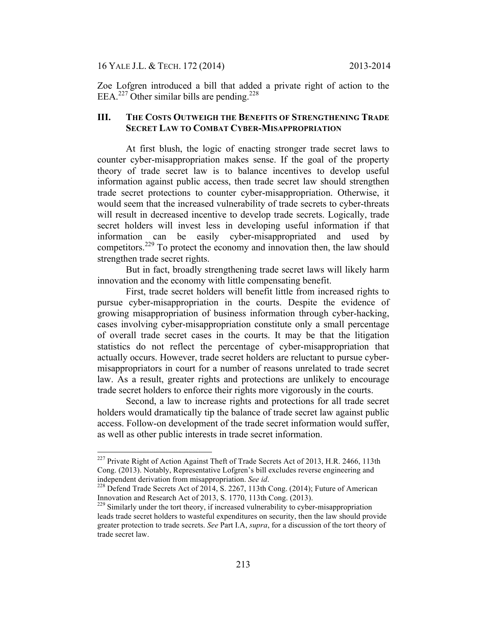16 YALE J.L. & TECH. 172 (2014) 2013-2014

Zoe Lofgren introduced a bill that added a private right of action to the EEA.<sup>227</sup> Other similar bills are pending.<sup>228</sup>

### **III. THE COSTS OUTWEIGH THE BENEFITS OF STRENGTHENING TRADE SECRET LAW TO COMBAT CYBER-MISAPPROPRIATION**

At first blush, the logic of enacting stronger trade secret laws to counter cyber-misappropriation makes sense. If the goal of the property theory of trade secret law is to balance incentives to develop useful information against public access, then trade secret law should strengthen trade secret protections to counter cyber-misappropriation. Otherwise, it would seem that the increased vulnerability of trade secrets to cyber-threats will result in decreased incentive to develop trade secrets. Logically, trade secret holders will invest less in developing useful information if that information can be easily cyber-misappropriated and used by competitors.<sup>229</sup> To protect the economy and innovation then, the law should strengthen trade secret rights.

But in fact, broadly strengthening trade secret laws will likely harm innovation and the economy with little compensating benefit.

First, trade secret holders will benefit little from increased rights to pursue cyber-misappropriation in the courts. Despite the evidence of growing misappropriation of business information through cyber-hacking, cases involving cyber-misappropriation constitute only a small percentage of overall trade secret cases in the courts. It may be that the litigation statistics do not reflect the percentage of cyber-misappropriation that actually occurs. However, trade secret holders are reluctant to pursue cybermisappropriators in court for a number of reasons unrelated to trade secret law. As a result, greater rights and protections are unlikely to encourage trade secret holders to enforce their rights more vigorously in the courts.

Second, a law to increase rights and protections for all trade secret holders would dramatically tip the balance of trade secret law against public access. Follow-on development of the trade secret information would suffer, as well as other public interests in trade secret information.

<sup>&</sup>lt;sup>227</sup> Private Right of Action Against Theft of Trade Secrets Act of 2013, H.R. 2466, 113th Cong. (2013). Notably, Representative Lofgren's bill excludes reverse engineering and independent derivation from misappropriation. See id.

<sup>&</sup>lt;sup>228</sup> Defend Trade Secrets Act of 2014, S. 2267, 113th Cong. (2014); Future of American Innovation and Research Act of 2013, S. 1770, 113th Cong. (2013).<br><sup>229</sup> Similarly under the tort theory, if increased vulnerability to cyber-misappropriation

leads trade secret holders to wasteful expenditures on security, then the law should provide greater protection to trade secrets. *See* Part I.A, *supra*, for a discussion of the tort theory of trade secret law.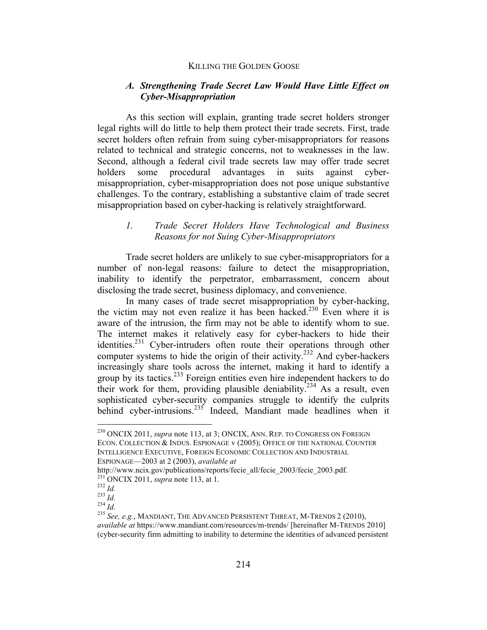### *A. Strengthening Trade Secret Law Would Have Little Effect on Cyber-Misappropriation*

As this section will explain, granting trade secret holders stronger legal rights will do little to help them protect their trade secrets. First, trade secret holders often refrain from suing cyber-misappropriators for reasons related to technical and strategic concerns, not to weaknesses in the law. Second, although a federal civil trade secrets law may offer trade secret holders some procedural advantages in suits against cybermisappropriation, cyber-misappropriation does not pose unique substantive challenges. To the contrary, establishing a substantive claim of trade secret misappropriation based on cyber-hacking is relatively straightforward.

# *1. Trade Secret Holders Have Technological and Business Reasons for not Suing Cyber-Misappropriators*

Trade secret holders are unlikely to sue cyber-misappropriators for a number of non-legal reasons: failure to detect the misappropriation, inability to identify the perpetrator, embarrassment, concern about disclosing the trade secret, business diplomacy, and convenience.

In many cases of trade secret misappropriation by cyber-hacking, the victim may not even realize it has been hacked.<sup>230</sup> Even where it is aware of the intrusion, the firm may not be able to identify whom to sue. The internet makes it relatively easy for cyber-hackers to hide their identities.<sup>231</sup> Cyber-intruders often route their operations through other computer systems to hide the origin of their activity.<sup>232</sup> And cyber-hackers increasingly share tools across the internet, making it hard to identify a group by its tactics.233 Foreign entities even hire independent hackers to do their work for them, providing plausible deniability.<sup>234</sup> As a result, even sophisticated cyber-security companies struggle to identify the culprits behind cyber-intrusions.<sup>235</sup> Indeed, Mandiant made headlines when it

 <sup>230</sup> ONCIX 2011, *supra* note 113, at 3; ONCIX, ANN. REP. TO CONGRESS ON FOREIGN ECON. COLLECTION & INDUS. ESPIONAGE v (2005); OFFICE OF THE NATIONAL COUNTER INTELLIGENCE EXECUTIVE, FOREIGN ECONOMIC COLLECTION AND INDUSTRIAL ESPIONAGE—2003 at 2 (2003), *available at* 

http://www.ncix.gov/publications/reports/fecie\_all/fecie\_2003/fecie\_2003.pdf.<br><sup>231</sup> ONCIX 2011, *supra* note 113, at 1.

<sup>232</sup> *Id.* 2011, *supra* note 113, at 1.<br>
<sup>232</sup> *Id.* 233 *Id.* 233 *Id.* 234 *Id.* 234 *Id.* 235 *See, e.g.*, MANDIANT, THE ADVANCED PERSISTENT THREAT, M-TRENDS 2 (2010), *available at* https://www.mandiant.com/resources/m-trends/ [hereinafter M-TRENDS 2010] (cyber-security firm admitting to inability to determine the identities of advanced persistent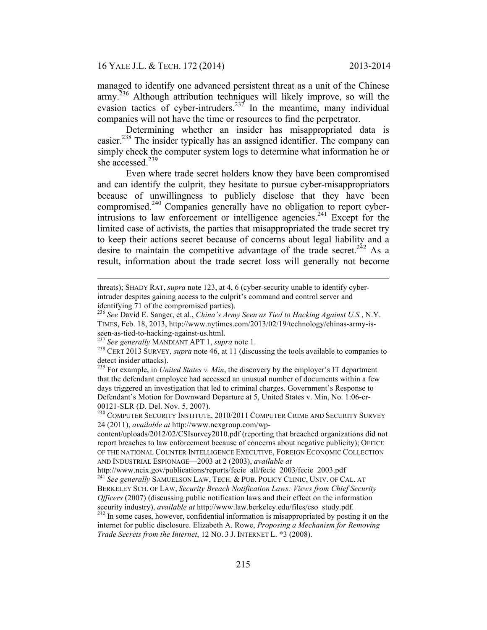managed to identify one advanced persistent threat as a unit of the Chinese army.<sup>236</sup> Although attribution techniques will likely improve, so will the evasion tactics of cyber-intruders.<sup>237</sup> In the meantime, many individual companies will not have the time or resources to find the perpetrator.

Determining whether an insider has misappropriated data is easier.<sup>238</sup> The insider typically has an assigned identifier. The company can simply check the computer system logs to determine what information he or she accessed. $239$ 

Even where trade secret holders know they have been compromised and can identify the culprit, they hesitate to pursue cyber-misappropriators because of unwillingness to publicly disclose that they have been compromised.240 Companies generally have no obligation to report cyberintrusions to law enforcement or intelligence agencies.<sup>241</sup> Except for the limited case of activists, the parties that misappropriated the trade secret try to keep their actions secret because of concerns about legal liability and a desire to maintain the competitive advantage of the trade secret.<sup>242</sup> As a result, information about the trade secret loss will generally not become

 $\overline{a}$ 

threats); SHADY RAT, *supra* note 123, at 4, 6 (cyber-security unable to identify cyberintruder despites gaining access to the culprit's command and control server and

identifying 71 of the compromised parties). <sup>236</sup> *See* David E. Sanger, et al., *China's Army Seen as Tied to Hacking Against U.S.*, N.Y. TIMES, Feb. 18, 2013, http://www.nytimes.com/2013/02/19/technology/chinas-army-is-<br>seen-as-tied-to-hacking-against-us.html.<br><sup>237</sup> See generally MANDIANT APT 1, *supra* note 1.

<sup>&</sup>lt;sup>238</sup> CERT 2013 SURVEY, *supra* note 46, at 11 (discussing the tools available to companies to detect insider attacks).

<sup>&</sup>lt;sup>239</sup> For example, in *United States v. Min*, the discovery by the employer's IT department that the defendant employee had accessed an unusual number of documents within a few days triggered an investigation that led to criminal charges. Government's Response to Defendant's Motion for Downward Departure at 5, United States v. Min, No. 1:06-cr-00121-SLR (D. Del. Nov. 5, 2007).<br><sup>240</sup> COMPUTER SECURITY INSTITUTE, 2010/2011 COMPUTER CRIME AND SECURITY SURVEY

<sup>24 (2011),</sup> *available at* http://www.ncxgroup.com/wp-

content/uploads/2012/02/CSIsurvey2010.pdf (reporting that breached organizations did not report breaches to law enforcement because of concerns about negative publicity); OFFICE OF THE NATIONAL COUNTER INTELLIGENCE EXECUTIVE, FOREIGN ECONOMIC COLLECTION AND INDUSTRIAL ESPIONAGE—2003 at 2 (2003), *available at* 

http://www.ncix.gov/publications/reports/fecie\_all/fecie\_2003/fecie\_2003.pdf 241 *See generally* SAMUELSON LAW, TECH. & PUB. POLICY CLINIC, UNIV. OF CAL. AT BERKELEY SCH. OF LAW, *Security Breach Notification Laws: Views from Chief Security Officers* (2007) (discussing public notification laws and their effect on the information security industry), *available at* http://www.law.berkeley.edu/files/cso\_study.pdf. <sup>242</sup> In some cases, however, confidential information is misappropriated by posting it on the

internet for public disclosure. Elizabeth A. Rowe, *Proposing a Mechanism for Removing Trade Secrets from the Internet*, 12 NO. 3 J. INTERNET L. \*3 (2008).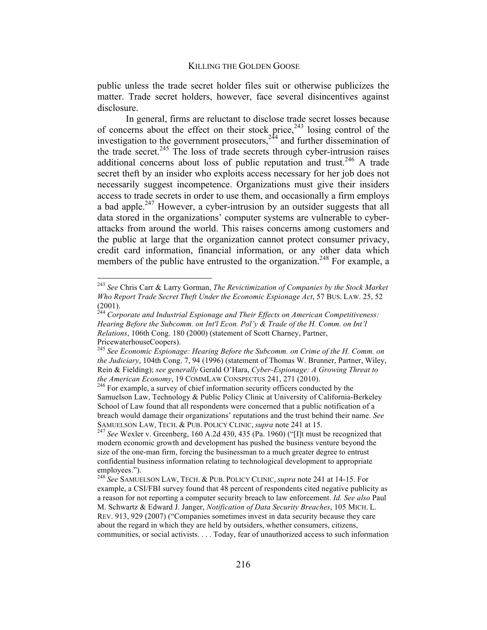public unless the trade secret holder files suit or otherwise publicizes the matter. Trade secret holders, however, face several disincentives against disclosure.

In general, firms are reluctant to disclose trade secret losses because of concerns about the effect on their stock price, $243$  losing control of the investigation to the government prosecutors,  $2^{44}$  and further dissemination of the trade secret.<sup>245</sup> The loss of trade secrets through cyber-intrusion raises additional concerns about loss of public reputation and trust.<sup>246</sup> A trade secret theft by an insider who exploits access necessary for her job does not necessarily suggest incompetence. Organizations must give their insiders access to trade secrets in order to use them, and occasionally a firm employs a bad apple.<sup>247</sup> However, a cyber-intrusion by an outsider suggests that all data stored in the organizations' computer systems are vulnerable to cyberattacks from around the world. This raises concerns among customers and the public at large that the organization cannot protect consumer privacy, credit card information, financial information, or any other data which members of the public have entrusted to the organization.<sup>248</sup> For example, a

 <sup>243</sup> *See* Chris Carr & Larry Gorman, *The Revictimization of Companies by the Stock Market Who Report Trade Secret Theft Under the Economic Espionage Act*, 57 BUS. LAW. 25, 52 (2001).

<sup>244</sup> *Corporate and Industrial Espionage and Their Effects on American Competitiveness: Hearing Before the Subcomm. on Int'l Econ. Pol'y & Trade of the H. Comm. on Int'l Relations*, 106th Cong. 180 (2000) (statement of Scott Charney, Partner, PricewaterhouseCoopers).<br><sup>245</sup> See Economic Espionage: Hearing Before the Subcomm. on Crime of the H. Comm. on

*the Judiciary*, 104th Cong. 7, 94 (1996) (statement of Thomas W. Brunner, Partner, Wiley, Rein & Fielding); *see generally* Gerald O'Hara, *Cyber-Espionage: A Growing Threat to the American Economy*, 19 COMMLAW CONSPECTUS 241, 271 (2010).<br><sup>246</sup> For example, a survey of chief information security officers conducted by the

Samuelson Law, Technology & Public Policy Clinic at University of California-Berkeley School of Law found that all respondents were concerned that a public notification of a breach would damage their organizations' reputations and the trust behind their name. *See*  SAMUELSON LAW, TECH. & PUB. POLICY CLINIC, *supra* note 241 at 15.<br><sup>247</sup> *See* Wexler v. Greenberg, 160 A.2d 430, 435 (Pa. 1960) ("[I]t must be recognized that

modern economic growth and development has pushed the business venture beyond the size of the one-man firm, forcing the businessman to a much greater degree to entrust confidential business information relating to technological development to appropriate employees."). <sup>248</sup> *See* SAMUELSON LAW, TECH. & PUB. POLICY CLINIC, *supra* note 241 at 14-15. For

example, a CSI/FBI survey found that 48 percent of respondents cited negative publicity as a reason for not reporting a computer security breach to law enforcement. *Id. See also* Paul M. Schwartz & Edward J. Janger, *Notification of Data Security Breaches*, 105 MICH. L. REV. 913, 929 (2007) ("Companies sometimes invest in data security because they care about the regard in which they are held by outsiders, whether consumers, citizens, communities, or social activists. . . . Today, fear of unauthorized access to such information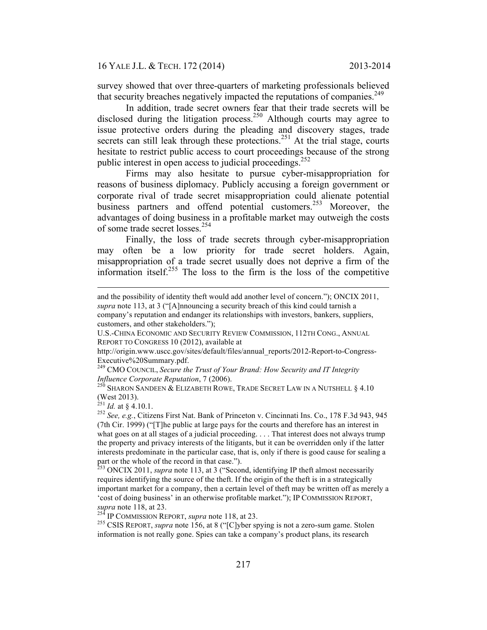survey showed that over three-quarters of marketing professionals believed that security breaches negatively impacted the reputations of companies.<sup>249</sup>

In addition, trade secret owners fear that their trade secrets will be disclosed during the litigation process.<sup>250</sup> Although courts may agree to issue protective orders during the pleading and discovery stages, trade secrets can still leak through these protections.<sup>251</sup> At the trial stage, courts hesitate to restrict public access to court proceedings because of the strong public interest in open access to judicial proceedings.<sup>252</sup>

Firms may also hesitate to pursue cyber-misappropriation for reasons of business diplomacy. Publicly accusing a foreign government or corporate rival of trade secret misappropriation could alienate potential business partners and offend potential customers.<sup>253</sup> Moreover, the advantages of doing business in a profitable market may outweigh the costs of some trade secret losses.254

Finally, the loss of trade secrets through cyber-misappropriation may often be a low priority for trade secret holders. Again, misappropriation of a trade secret usually does not deprive a firm of the information itself.<sup>255</sup> The loss to the firm is the loss of the competitive

 $\overline{a}$ 

and the possibility of identity theft would add another level of concern."); ONCIX 2011, *supra* note 113, at 3 ("[A]nnouncing a security breach of this kind could tarnish a company's reputation and endanger its relationships with investors, bankers, suppliers, customers, and other stakeholders.");

U.S.-CHINA ECONOMIC AND SECURITY REVIEW COMMISSION, 112TH CONG., ANNUAL REPORT TO CONGRESS 10 (2012), available at

http://origin.www.uscc.gov/sites/default/files/annual\_reports/2012-Report-to-Congress-Executive%20Summary.pdf.

<sup>249</sup> CMO COUNCIL, *Secure the Trust of Your Brand: How Security and IT Integrity Influence Corporate Reputation*, 7 (2006).<br><sup>250</sup> SHARON SANDEEN & ELIZABETH ROWE, TRADE SECRET LAW IN A NUTSHELL § 4.10

<sup>(</sup>West 2013).<br> $^{251}$  *Id.* at § 4.10.1.

<sup>&</sup>lt;sup>252</sup> *See, e.g.*, Citizens First Nat. Bank of Princeton v. Cincinnati Ins. Co., 178 F.3d 943, 945 (7th Cir. 1999) ("[T]he public at large pays for the courts and therefore has an interest in what goes on at all stages of a judicial proceeding. . . . That interest does not always trump the property and privacy interests of the litigants, but it can be overridden only if the latter interests predominate in the particular case, that is, only if there is good cause for sealing a part or the whole of the record in that case.").<br><sup>253</sup> ONCIX 2011, *supra* note 113, at 3 ("Second, identifying IP theft almost necessarily

requires identifying the source of the theft. If the origin of the theft is in a strategically important market for a company, then a certain level of theft may be written off as merely a 'cost of doing business' in an otherwise profitable market."); IP COMMISSION REPORT, *supra* note 118, at 23.<br><sup>254</sup> IP COMMISSION REPORT, *supra* note 118, at 23.

<sup>&</sup>lt;sup>255</sup> CSIS REPORT, *supra* note 156, at 8 ("[C]yber spying is not a zero-sum game. Stolen information is not really gone. Spies can take a company's product plans, its research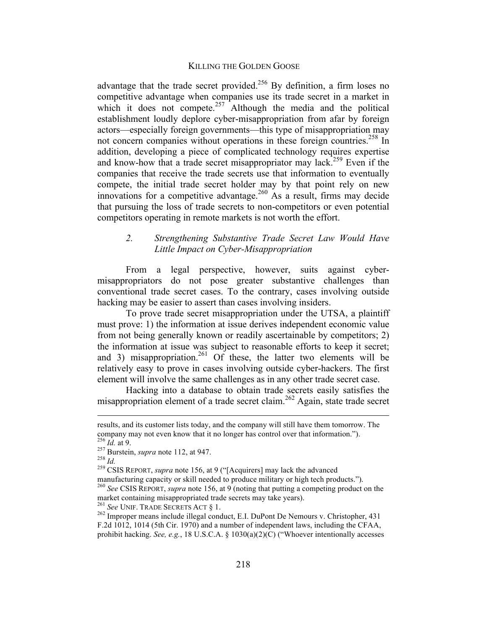advantage that the trade secret provided.<sup>256</sup> By definition, a firm loses no competitive advantage when companies use its trade secret in a market in which it does not compete.<sup>257</sup> Although the media and the political establishment loudly deplore cyber-misappropriation from afar by foreign actors—especially foreign governments—this type of misappropriation may not concern companies without operations in these foreign countries.<sup>258</sup> In addition, developing a piece of complicated technology requires expertise and know-how that a trade secret misappropriator may lack.<sup>259</sup> Even if the companies that receive the trade secrets use that information to eventually compete, the initial trade secret holder may by that point rely on new innovations for a competitive advantage.<sup>260</sup> As a result, firms may decide that pursuing the loss of trade secrets to non-competitors or even potential competitors operating in remote markets is not worth the effort.

# *2. Strengthening Substantive Trade Secret Law Would Have Little Impact on Cyber-Misappropriation*

From a legal perspective, however, suits against cybermisappropriators do not pose greater substantive challenges than conventional trade secret cases. To the contrary, cases involving outside hacking may be easier to assert than cases involving insiders.

To prove trade secret misappropriation under the UTSA, a plaintiff must prove: 1) the information at issue derives independent economic value from not being generally known or readily ascertainable by competitors; 2) the information at issue was subject to reasonable efforts to keep it secret; and 3) misappropriation.<sup>261</sup> Of these, the latter two elements will be relatively easy to prove in cases involving outside cyber-hackers. The first element will involve the same challenges as in any other trade secret case.

Hacking into a database to obtain trade secrets easily satisfies the misappropriation element of a trade secret claim.<sup>262</sup> Again, state trade secret

results, and its customer lists today, and the company will still have them tomorrow. The company may not even know that it no longer has control over that information.").<br>
<sup>256</sup> *Id.* at 9.<br>
<sup>257</sup> Burstein, *supra* note 112, at 947.<br>
<sup>258</sup> *Id.*<br>
<sup>259</sup> CSIS REPORT, *supra* note 156, at 9 ("[Acquirers] may lac

manufacturing capacity or skill needed to produce military or high tech products."). <sup>260</sup> *See* CSIS REPORT, *supra* note 156, at 9 (noting that putting a competing product on the market containing misappropriated trade secrets may take years).<br><sup>261</sup> See UNIF. TRADE SECRETS ACT § 1.

<sup>&</sup>lt;sup>262</sup> Improper means include illegal conduct, E.I. DuPont De Nemours v. Christopher, 431 F.2d 1012, 1014 (5th Cir. 1970) and a number of independent laws, including the CFAA, prohibit hacking. *See, e.g.*, 18 U.S.C.A. § 1030(a)(2)(C) ("Whoever intentionally accesses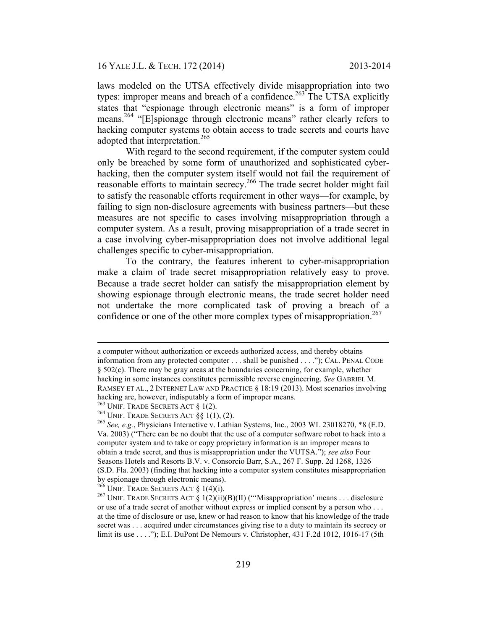laws modeled on the UTSA effectively divide misappropriation into two types: improper means and breach of a confidence.<sup>263</sup> The UTSA explicitly states that "espionage through electronic means" is a form of improper means.<sup>264</sup> "[E]spionage through electronic means" rather clearly refers to hacking computer systems to obtain access to trade secrets and courts have adopted that interpretation.<sup>265</sup>

With regard to the second requirement, if the computer system could only be breached by some form of unauthorized and sophisticated cyberhacking, then the computer system itself would not fail the requirement of reasonable efforts to maintain secrecy.<sup>266</sup> The trade secret holder might fail to satisfy the reasonable efforts requirement in other ways—for example, by failing to sign non-disclosure agreements with business partners—but these measures are not specific to cases involving misappropriation through a computer system. As a result, proving misappropriation of a trade secret in a case involving cyber-misappropriation does not involve additional legal challenges specific to cyber-misappropriation.

To the contrary, the features inherent to cyber-misappropriation make a claim of trade secret misappropriation relatively easy to prove. Because a trade secret holder can satisfy the misappropriation element by showing espionage through electronic means, the trade secret holder need not undertake the more complicated task of proving a breach of a confidence or one of the other more complex types of misappropriation.<sup>267</sup>

a computer without authorization or exceeds authorized access, and thereby obtains information from any protected computer . . . shall be punished . . . ."); CAL. PENAL CODE § 502(c). There may be gray areas at the boundaries concerning, for example, whether hacking in some instances constitutes permissible reverse engineering. *See* GABRIEL M. RAMSEY ET AL., 2 INTERNET LAW AND PRACTICE § 18:19 (2013). Most scenarios involving hacking are, however, indisputably a form of improper means.<br><sup>263</sup> UNIF. TRADE SECRETS ACT  $\S$  1(2).

<sup>&</sup>lt;sup>264</sup> UNIF. TRADE SECRETS ACT §§ 1(1), (2).<br><sup>265</sup> See, e.g., Physicians Interactive v. Lathian Systems, Inc., 2003 WL 23018270, \*8 (E.D. Va. 2003) ("There can be no doubt that the use of a computer software robot to hack into a computer system and to take or copy proprietary information is an improper means to obtain a trade secret, and thus is misappropriation under the VUTSA."); *see also* Four Seasons Hotels and Resorts B.V. v. Consorcio Barr, S.A., 267 F. Supp. 2d 1268, 1326 (S.D. Fla. 2003) (finding that hacking into a computer system constitutes misappropriation by espionage through electronic means).<br> $^{266}$  UNIF. TRADE SECRETS ACT § 1(4)(i).

<sup>&</sup>lt;sup>267</sup> UNIF. TRADE SECRETS ACT § 1(2)(ii)(B)(II) ("'Misappropriation' means . . . disclosure or use of a trade secret of another without express or implied consent by a person who . . . at the time of disclosure or use, knew or had reason to know that his knowledge of the trade secret was . . . acquired under circumstances giving rise to a duty to maintain its secrecy or limit its use . . . ."); E.I. DuPont De Nemours v. Christopher, 431 F.2d 1012, 1016-17 (5th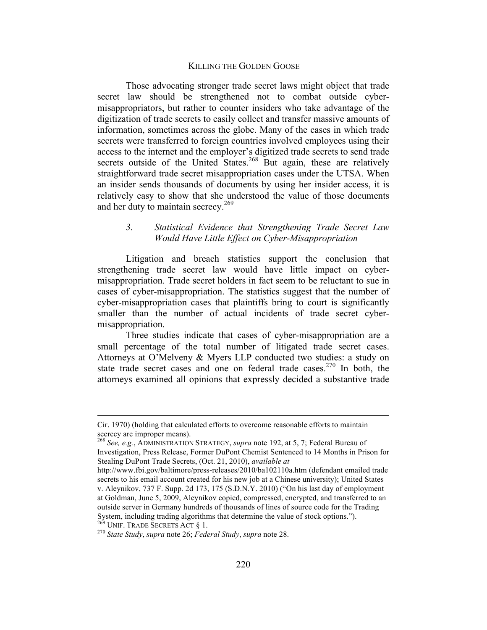Those advocating stronger trade secret laws might object that trade secret law should be strengthened not to combat outside cybermisappropriators, but rather to counter insiders who take advantage of the digitization of trade secrets to easily collect and transfer massive amounts of information, sometimes across the globe. Many of the cases in which trade secrets were transferred to foreign countries involved employees using their access to the internet and the employer's digitized trade secrets to send trade secrets outside of the United States.<sup>268</sup> But again, these are relatively straightforward trade secret misappropriation cases under the UTSA. When an insider sends thousands of documents by using her insider access, it is relatively easy to show that she understood the value of those documents and her duty to maintain secrecy.<sup>269</sup>

### *3. Statistical Evidence that Strengthening Trade Secret Law Would Have Little Effect on Cyber-Misappropriation*

Litigation and breach statistics support the conclusion that strengthening trade secret law would have little impact on cybermisappropriation. Trade secret holders in fact seem to be reluctant to sue in cases of cyber-misappropriation. The statistics suggest that the number of cyber-misappropriation cases that plaintiffs bring to court is significantly smaller than the number of actual incidents of trade secret cybermisappropriation.

Three studies indicate that cases of cyber-misappropriation are a small percentage of the total number of litigated trade secret cases. Attorneys at O'Melveny & Myers LLP conducted two studies: a study on state trade secret cases and one on federal trade cases.<sup>270</sup> In both, the attorneys examined all opinions that expressly decided a substantive trade

Cir. 1970) (holding that calculated efforts to overcome reasonable efforts to maintain secrecy are improper means).

<sup>268</sup> *See, e.g.*, ADMINISTRATION STRATEGY, *supra* note 192, at 5, 7; Federal Bureau of Investigation, Press Release, Former DuPont Chemist Sentenced to 14 Months in Prison for Stealing DuPont Trade Secrets, (Oct. 21, 2010), *available at*

http://www.fbi.gov/baltimore/press-releases/2010/ba102110a.htm (defendant emailed trade secrets to his email account created for his new job at a Chinese university); United States v. Aleynikov, 737 F. Supp. 2d 173, 175 (S.D.N.Y. 2010) ("On his last day of employment at Goldman, June 5, 2009, Aleynikov copied, compressed, encrypted, and transferred to an outside server in Germany hundreds of thousands of lines of source code for the Trading System, including trading algorithms that determine the value of stock options.").  $^{269}$  UNIF. TRADE SECRETS ACT § 1.

<sup>&</sup>lt;sup>270</sup> State Study, *supra* note 26; *Federal Study*, *supra* note 28.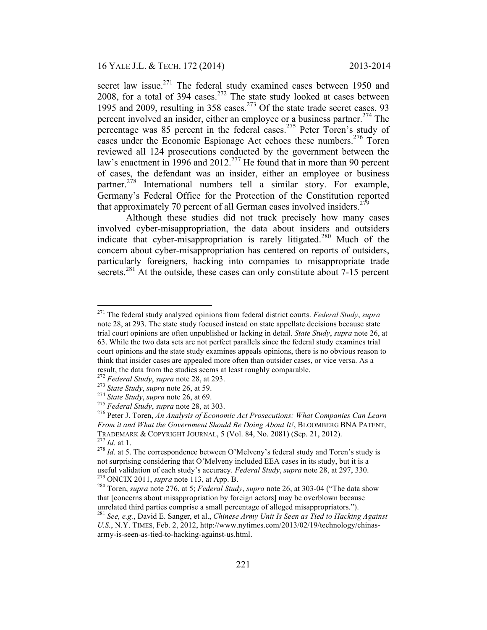secret law issue.<sup>271</sup> The federal study examined cases between 1950 and 2008, for a total of  $394 \text{ cases}$ <sup>272</sup> The state study looked at cases between 1995 and 2009, resulting in 358 cases.<sup>273</sup> Of the state trade secret cases, 93 percent involved an insider, either an employee or a business partner.<sup>274</sup> The percentage was 85 percent in the federal cases.<sup>275</sup> Peter Toren's study of cases under the Economic Espionage Act echoes these numbers.<sup>276</sup> Toren reviewed all 124 prosecutions conducted by the government between the law's enactment in 1996 and 2012.<sup>277</sup> He found that in more than 90 percent of cases, the defendant was an insider, either an employee or business partner.<sup>278</sup> International numbers tell a similar story. For example, Germany's Federal Office for the Protection of the Constitution reported that approximately 70 percent of all German cases involved insiders.<sup>279</sup>

Although these studies did not track precisely how many cases involved cyber-misappropriation, the data about insiders and outsiders indicate that cyber-misappropriation is rarely litigated.<sup>280</sup> Much of the concern about cyber-misappropriation has centered on reports of outsiders, particularly foreigners, hacking into companies to misappropriate trade secrets.<sup>281</sup> At the outside, these cases can only constitute about 7-15 percent

 <sup>271</sup> The federal study analyzed opinions from federal district courts. *Federal Study*, *supra*  note 28, at 293. The state study focused instead on state appellate decisions because state trial court opinions are often unpublished or lacking in detail. *State Study*, *supra* note 26, at 63. While the two data sets are not perfect parallels since the federal study examines trial court opinions and the state study examines appeals opinions, there is no obvious reason to think that insider cases are appealed more often than outsider cases, or vice versa. As a result, the data from the studies seems at least roughly comparable.<br><sup>272</sup> Federal Study, supra note 28, at 293.

<sup>&</sup>lt;sup>273</sup> State Study, supra note 26, at 59.<br><sup>274</sup> State Study, supra note 26, at 69.<br><sup>275</sup> Federal Study, supra note 28, at 303.<br><sup>276</sup> Peter J. Toren, An Analysis of Economic Act Prosecutions: What Companies Can Learn *From it and What the Government Should Be Doing About It!*, BLOOMBERG BNA PATENT, TRADEMARK & COPYRIGHT JOURNAL, 5 (Vol. 84, No. 2081) (Sep. 21, 2012).<br><sup>277</sup> *Id.* at 1.<br><sup>278</sup> *Id.* at 5. The correspondence between O'Melveny's federal study and Toren's study is

not surprising considering that O'Melveny included EEA cases in its study, but it is a useful validation of each study's accuracy. *Federal Study*, *supra* note 28, at 297, 330.<br><sup>279</sup> ONCIX 2011, *supra* note 113, at App. B.<br><sup>280</sup> Toren, *supra* note 276, at 5; *Federal Study*, *supra* note 26, at 303-04 ("T

that [concerns about misappropriation by foreign actors] may be overblown because unrelated third parties comprise a small percentage of alleged misappropriators."). <sup>281</sup> See, e.g., David E. Sanger, et al., *Chinese Army Unit Is Seen as Tied to Hacking Against* 

*U.S.*, N.Y. TIMES, Feb. 2, 2012, http://www.nytimes.com/2013/02/19/technology/chinasarmy-is-seen-as-tied-to-hacking-against-us.html.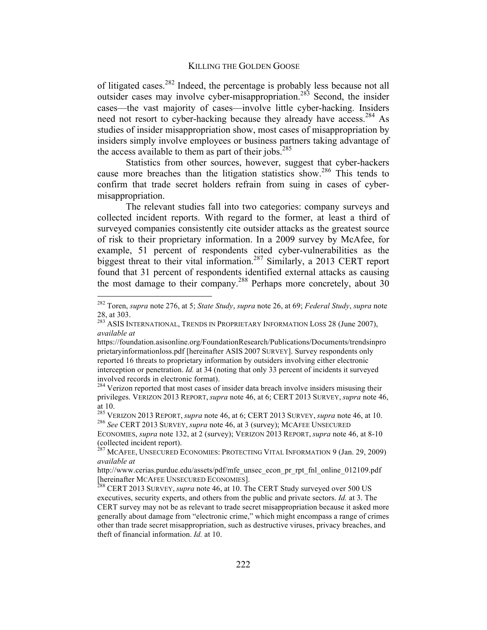of litigated cases.282 Indeed, the percentage is probably less because not all outsider cases may involve cyber-misappropriation.<sup>283</sup> Second, the insider cases—the vast majority of cases—involve little cyber-hacking. Insiders need not resort to cyber-hacking because they already have access.<sup>284</sup> As studies of insider misappropriation show, most cases of misappropriation by insiders simply involve employees or business partners taking advantage of the access available to them as part of their jobs.<sup>285</sup>

Statistics from other sources, however, suggest that cyber-hackers cause more breaches than the litigation statistics show.<sup>286</sup> This tends to confirm that trade secret holders refrain from suing in cases of cybermisappropriation.

The relevant studies fall into two categories: company surveys and collected incident reports. With regard to the former, at least a third of surveyed companies consistently cite outsider attacks as the greatest source of risk to their proprietary information. In a 2009 survey by McAfee, for example, 51 percent of respondents cited cyber-vulnerabilities as the biggest threat to their vital information.<sup>287</sup> Similarly, a 2013 CERT report found that 31 percent of respondents identified external attacks as causing the most damage to their company.<sup>288</sup> Perhaps more concretely, about  $30$ 

 <sup>282</sup> Toren, *supra* note 276, at 5; *State Study*, *supra* note 26, at 69; *Federal Study*, *supra* note

<sup>28,</sup> at 303. <sup>283</sup> ASIS INTERNATIONAL, TRENDS IN PROPRIETARY INFORMATION LOSS 28 (June 2007), *available at* 

https://foundation.asisonline.org/FoundationResearch/Publications/Documents/trendsinpro prietaryinformationloss.pdf [hereinafter ASIS 2007 SURVEY]. Survey respondents only reported 16 threats to proprietary information by outsiders involving either electronic interception or penetration. *Id.* at 34 (noting that only 33 percent of incidents it surveyed involved records in electronic format).

<sup>&</sup>lt;sup>284</sup> Verizon reported that most cases of insider data breach involve insiders misusing their privileges. VERIZON 2013 REPORT, *supra* note 46, at 6; CERT 2013 SURVEY, *supra* note 46, at 10.<br><sup>285</sup> VERIZON 2013 REPORT, *supra* note 46, at 6; CERT 2013 SURVEY, *supra* note 46, at 10.

<sup>&</sup>lt;sup>286</sup> See CERT 2013 SURVEY, *supra* note 46, at 3 (survey); MCAFEE UNSECURED

ECONOMIES, *supra* note 132, at 2 (survey); VERIZON 2013 REPORT, *supra* note 46, at 8-10 (collected incident report).

<sup>&</sup>lt;sup>287</sup> MCAFEE, UNSECURED ECONOMIES: PROTECTING VITAL INFORMATION 9 (Jan. 29, 2009) *available at* 

http://www.cerias.purdue.edu/assets/pdf/mfe\_unsec\_econ\_pr\_rpt\_fnl\_online\_012109.pdf

<sup>&</sup>lt;sup>288</sup> CERT 2013 SURVEY, *supra* note 46, at 10. The CERT Study surveyed over 500 US executives, security experts, and others from the public and private sectors. *Id.* at 3. The CERT survey may not be as relevant to trade secret misappropriation because it asked more generally about damage from "electronic crime," which might encompass a range of crimes other than trade secret misappropriation, such as destructive viruses, privacy breaches, and theft of financial information. *Id.* at 10.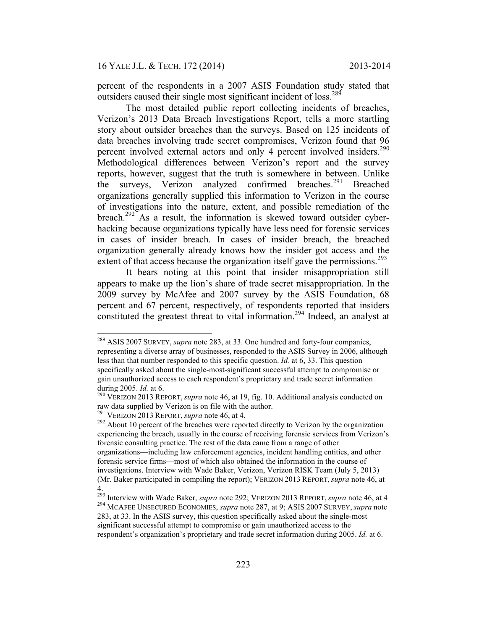percent of the respondents in a 2007 ASIS Foundation study stated that outsiders caused their single most significant incident of loss.<sup>289</sup>

The most detailed public report collecting incidents of breaches, Verizon's 2013 Data Breach Investigations Report, tells a more startling story about outsider breaches than the surveys. Based on 125 incidents of data breaches involving trade secret compromises, Verizon found that 96 percent involved external actors and only 4 percent involved insiders.<sup>290</sup> Methodological differences between Verizon's report and the survey reports, however, suggest that the truth is somewhere in between. Unlike the surveys, Verizon analyzed confirmed breaches.<sup>291</sup> Breached organizations generally supplied this information to Verizon in the course of investigations into the nature, extent, and possible remediation of the breach.<sup>292</sup> As a result, the information is skewed toward outsider cyberhacking because organizations typically have less need for forensic services in cases of insider breach. In cases of insider breach, the breached organization generally already knows how the insider got access and the extent of that access because the organization itself gave the permissions.<sup>293</sup>

It bears noting at this point that insider misappropriation still appears to make up the lion's share of trade secret misappropriation. In the 2009 survey by McAfee and 2007 survey by the ASIS Foundation, 68 percent and 67 percent, respectively, of respondents reported that insiders constituted the greatest threat to vital information.<sup>294</sup> Indeed, an analyst at

 <sup>289</sup> ASIS <sup>2007</sup> SURVEY, *supra* note 283, at 33. One hundred and forty-four companies, representing a diverse array of businesses, responded to the ASIS Survey in 2006, although less than that number responded to this specific question. *Id.* at 6, 33. This question specifically asked about the single-most-significant successful attempt to compromise or gain unauthorized access to each respondent's proprietary and trade secret information

during 2005. *Id.* at 6.<br><sup>290</sup> VERIZON 2013 REPORT, *supra* note 46, at 19, fig. 10. Additional analysis conducted on raw data supplied by Verizon is on file with the author.<br><sup>291</sup> VERIZON 2013 REPORT, *supra* note 46, at 4.

<sup>&</sup>lt;sup>292</sup> About 10 percent of the breaches were reported directly to Verizon by the organization experiencing the breach, usually in the course of receiving forensic services from Verizon's forensic consulting practice. The rest of the data came from a range of other organizations—including law enforcement agencies, incident handling entities, and other forensic service firms—most of which also obtained the information in the course of investigations. Interview with Wade Baker, Verizon, Verizon RISK Team (July 5, 2013) (Mr. Baker participated in compiling the report); VERIZON 2013 REPORT, *supra* note 46, at 4.

<sup>&</sup>lt;sup>293</sup> Interview with Wade Baker, *supra* note 292; VERIZON 2013 REPORT, *supra* note 46, at 4 <sup>294</sup> MCAFEE UNSECURED ECONOMIES, *supra* note 287, at 9; ASIS 2007 SURVEY, *supra* note 283, at 33. In the ASIS survey, this question specifically asked about the single-most significant successful attempt to compromise or gain unauthorized access to the respondent's organization's proprietary and trade secret information during 2005. *Id.* at 6.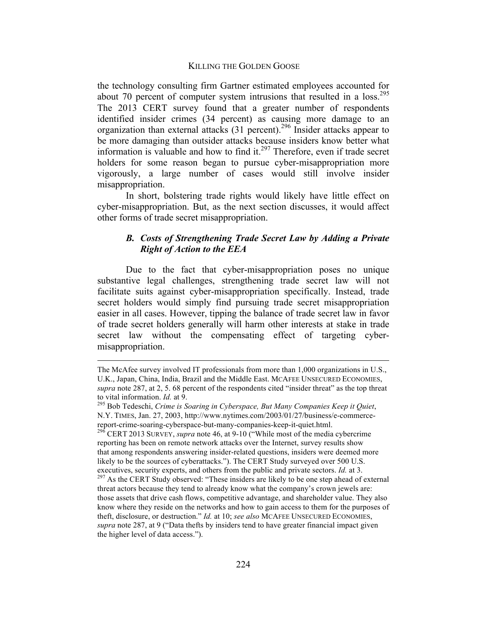the technology consulting firm Gartner estimated employees accounted for about 70 percent of computer system intrusions that resulted in a loss.<sup>295</sup> The 2013 CERT survey found that a greater number of respondents identified insider crimes (34 percent) as causing more damage to an organization than external attacks (31 percent).296 Insider attacks appear to be more damaging than outsider attacks because insiders know better what information is valuable and how to find it.<sup>297</sup> Therefore, even if trade secret holders for some reason began to pursue cyber-misappropriation more vigorously, a large number of cases would still involve insider misappropriation.

In short, bolstering trade rights would likely have little effect on cyber-misappropriation. But, as the next section discusses, it would affect other forms of trade secret misappropriation.

# *B. Costs of Strengthening Trade Secret Law by Adding a Private Right of Action to the EEA*

Due to the fact that cyber-misappropriation poses no unique substantive legal challenges, strengthening trade secret law will not facilitate suits against cyber-misappropriation specifically. Instead, trade secret holders would simply find pursuing trade secret misappropriation easier in all cases. However, tipping the balance of trade secret law in favor of trade secret holders generally will harm other interests at stake in trade secret law without the compensating effect of targeting cybermisappropriation.

The McAfee survey involved IT professionals from more than 1,000 organizations in U.S., U.K., Japan, China, India, Brazil and the Middle East. MCAFEE UNSECURED ECONOMIES, *supra* note 287, at 2, 5. 68 percent of the respondents cited "insider threat" as the top threat

to vital information. *Id.* at 9.<br><sup>295</sup> Bob Tedeschi, *Crime is Soaring in Cyberspace, But Many Companies Keep it Quiet*, N.Y. TIMES, Jan. 27, 2003, http://www.nytimes.com/2003/01/27/business/e-commercereport-crime-soaring-cyberspace-but-many-companies-keep-it-quiet.html. <sup>296</sup> CERT <sup>2013</sup> SURVEY, *supra* note 46, at 9-10 ("While most of the media cybercrime

reporting has been on remote network attacks over the Internet, survey results show that among respondents answering insider-related questions, insiders were deemed more likely to be the sources of cyberattacks."). The CERT Study surveyed over 500 U.S.

executives, security experts, and others from the public and private sectors. *Id.* at 3. <sup>297</sup> As the CERT Study observed: "These insiders are likely to be one step ahead of external threat actors because they tend to already know what the company's crown jewels are: those assets that drive cash flows, competitive advantage, and shareholder value. They also know where they reside on the networks and how to gain access to them for the purposes of theft, disclosure, or destruction." *Id.* at 10; *see also* MCAFEE UNSECURED ECONOMIES, *supra* note 287, at 9 ("Data thefts by insiders tend to have greater financial impact given the higher level of data access.").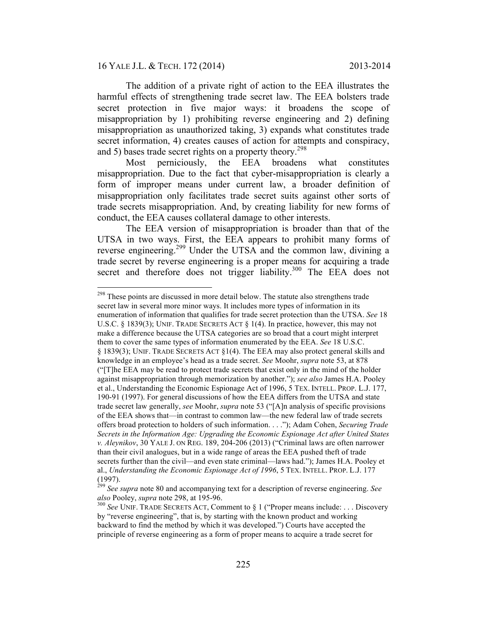### 16 YALE J.L. & TECH. 172 (2014) 2013-2014

The addition of a private right of action to the EEA illustrates the harmful effects of strengthening trade secret law. The EEA bolsters trade secret protection in five major ways: it broadens the scope of misappropriation by 1) prohibiting reverse engineering and 2) defining misappropriation as unauthorized taking, 3) expands what constitutes trade secret information, 4) creates causes of action for attempts and conspiracy, and 5) bases trade secret rights on a property theory.<sup>298</sup>

Most perniciously, the EEA broadens what constitutes misappropriation. Due to the fact that cyber-misappropriation is clearly a form of improper means under current law, a broader definition of misappropriation only facilitates trade secret suits against other sorts of trade secrets misappropriation. And, by creating liability for new forms of conduct, the EEA causes collateral damage to other interests.

The EEA version of misappropriation is broader than that of the UTSA in two ways. First, the EEA appears to prohibit many forms of reverse engineering.299 Under the UTSA and the common law, divining a trade secret by reverse engineering is a proper means for acquiring a trade secret and therefore does not trigger liability.<sup>300</sup> The EEA does not

<sup>&</sup>lt;sup>298</sup> These points are discussed in more detail below. The statute also strengthens trade secret law in several more minor ways. It includes more types of information in its enumeration of information that qualifies for trade secret protection than the UTSA. *See* 18 U.S.C. § 1839(3); UNIF. TRADE SECRETS ACT § 1(4). In practice, however, this may not make a difference because the UTSA categories are so broad that a court might interpret them to cover the same types of information enumerated by the EEA. *See* 18 U.S.C. § 1839(3); UNIF. TRADE SECRETS ACT §1(4). The EEA may also protect general skills and knowledge in an employee's head as a trade secret. *See* Moohr, *supra* note 53, at 878 ("[T]he EEA may be read to protect trade secrets that exist only in the mind of the holder against misappropriation through memorization by another."); *see also* James H.A. Pooley et al., Understanding the Economic Espionage Act of 1996, 5 TEX. INTELL. PROP. L.J. 177, 190-91 (1997). For general discussions of how the EEA differs from the UTSA and state trade secret law generally, *see* Moohr, *supra* note 53 ("[A]n analysis of specific provisions of the EEA shows that—in contrast to common law—the new federal law of trade secrets offers broad protection to holders of such information. . . ."); Adam Cohen, *Securing Trade Secrets in the Information Age: Upgrading the Economic Espionage Act after United States v. Aleynikov*, 30 YALE J. ON REG. 189, 204-206 (2013) ("Criminal laws are often narrower than their civil analogues, but in a wide range of areas the EEA pushed theft of trade secrets further than the civil—and even state criminal—laws had."); James H.A. Pooley et al., *Understanding the Economic Espionage Act of 1996*, 5 TEX. INTELL. PROP. L.J. 177 (1997).

<sup>299</sup> *See supra* note 80 and accompanying text for a description of reverse engineering. *See also* Pooley, *supra* note 298, at 195-96.<br><sup>300</sup> See UNIF. TRADE SECRETS ACT, Comment to § 1 ("Proper means include: . . . Discovery

by "reverse engineering", that is, by starting with the known product and working backward to find the method by which it was developed.") Courts have accepted the principle of reverse engineering as a form of proper means to acquire a trade secret for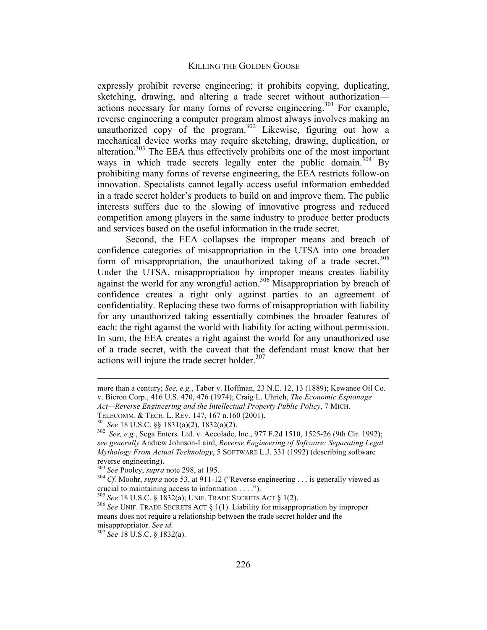expressly prohibit reverse engineering; it prohibits copying, duplicating, sketching, drawing, and altering a trade secret without authorization actions necessary for many forms of reverse engineering.<sup>301</sup> For example, reverse engineering a computer program almost always involves making an unauthorized copy of the program.<sup>302</sup> Likewise, figuring out how a mechanical device works may require sketching, drawing, duplication, or alteration.303 The EEA thus effectively prohibits one of the most important ways in which trade secrets legally enter the public domain.<sup>304</sup> By prohibiting many forms of reverse engineering, the EEA restricts follow-on innovation. Specialists cannot legally access useful information embedded in a trade secret holder's products to build on and improve them. The public interests suffers due to the slowing of innovative progress and reduced competition among players in the same industry to produce better products and services based on the useful information in the trade secret.

Second, the EEA collapses the improper means and breach of confidence categories of misappropriation in the UTSA into one broader form of misappropriation, the unauthorized taking of a trade secret.<sup>305</sup> Under the UTSA, misappropriation by improper means creates liability against the world for any wrongful action.<sup>306</sup> Misappropriation by breach of confidence creates a right only against parties to an agreement of confidentiality. Replacing these two forms of misappropriation with liability for any unauthorized taking essentially combines the broader features of each: the right against the world with liability for acting without permission. In sum, the EEA creates a right against the world for any unauthorized use of a trade secret, with the caveat that the defendant must know that her actions will injure the trade secret holder. $307$ 

 $\overline{a}$ 

more than a century; *See, e.g.*, Tabor v. Hoffman, 23 N.E. 12, 13 (1889); Kewanee Oil Co. v. Bicron Corp., 416 U.S. 470, 476 (1974); Craig L. Uhrich, *The Economic Espionage Act—Reverse Engineering and the Intellectual Property Public Policy*, 7 MICH.

TELECOMM. STRING SEE 18 U.S.C. §§ 1831(a)(2), 1832(a)(2).<br><sup>302</sup> *See, e.g.*, Sega Enters. Ltd. v. Accolade, Inc., 977 F.2d 1510, 1525-26 (9th Cir. 1992); *see generally* Andrew Johnson-Laird, *Reverse Engineering of Software: Separating Legal Mythology From Actual Technology*, 5 SOFTWARE L.J. 331 (1992) (describing software reverse engineering).<br><sup>303</sup> See Pooley, *supra* note 298, at 195.

<sup>&</sup>lt;sup>304</sup> Cf. Moohr, *supra* note 53, at 911-12 ("Reverse engineering . . . is generally viewed as crucial to maintaining access to information . . . .").

<sup>&</sup>lt;sup>305</sup> See 18 U.S.C. § 1832(a); UNIF. TRADE SECRETS ACT § 1(2).<br><sup>306</sup> See UNIF. TRADE SECRETS ACT § 1(1). Liability for misappropriation by improper means does not require a relationship between the trade secret holder and the

misappropriator. *See id.* <sup>307</sup> *See* 18 U.S.C. § 1832(a).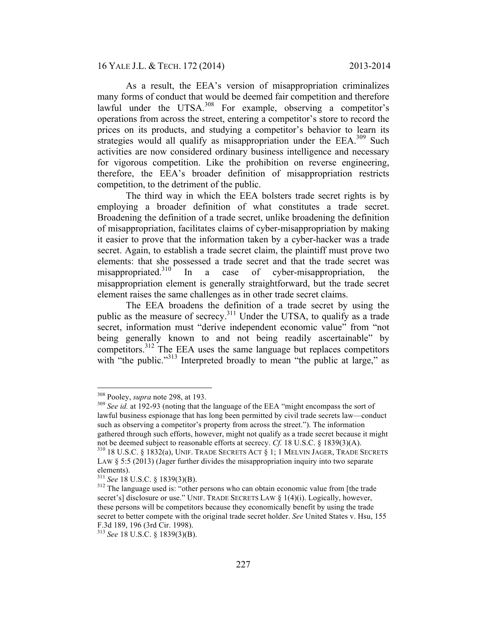As a result, the EEA's version of misappropriation criminalizes many forms of conduct that would be deemed fair competition and therefore lawful under the UTSA.<sup>308</sup> For example, observing a competitor's operations from across the street, entering a competitor's store to record the prices on its products, and studying a competitor's behavior to learn its strategies would all qualify as misappropriation under the  $EEA$ <sup>309</sup> Such activities are now considered ordinary business intelligence and necessary for vigorous competition. Like the prohibition on reverse engineering, therefore, the EEA's broader definition of misappropriation restricts competition, to the detriment of the public.

The third way in which the EEA bolsters trade secret rights is by employing a broader definition of what constitutes a trade secret. Broadening the definition of a trade secret, unlike broadening the definition of misappropriation, facilitates claims of cyber-misappropriation by making it easier to prove that the information taken by a cyber-hacker was a trade secret. Again, to establish a trade secret claim, the plaintiff must prove two elements: that she possessed a trade secret and that the trade secret was misappropriated.<sup>310</sup> In a case of cyber-misappropriation, the misappropriation element is generally straightforward, but the trade secret element raises the same challenges as in other trade secret claims.

The EEA broadens the definition of a trade secret by using the public as the measure of secrecy.<sup>311</sup> Under the UTSA, to qualify as a trade secret, information must "derive independent economic value" from "not being generally known to and not being readily ascertainable" by competitors.312 The EEA uses the same language but replaces competitors with "the public."<sup>313</sup> Interpreted broadly to mean "the public at large," as

<sup>&</sup>lt;sup>308</sup> Pooley, *supra* note 298, at 193.<br><sup>309</sup> See id. at 192-93 (noting that the language of the EEA "might encompass the sort of lawful business espionage that has long been permitted by civil trade secrets law—conduct such as observing a competitor's property from across the street."). The information gathered through such efforts, however, might not qualify as a trade secret because it might not be deemed subject to reasonable efforts at secrecy.  $Cf$ . 18 U.S.C. § 1839(3)(A).

<sup>&</sup>lt;sup>310</sup> 18 U.S.C. § 1832(a), UNIF. TRADE SECRETS ACT § 1; 1 MELVIN JAGER, TRADE SECRETS LAW  $\S$  5:5 (2013) (Jager further divides the misappropriation inquiry into two separate elements).<br><sup>311</sup> *See* 18 U.S.C. § 1839(3)(B).<br><sup>312</sup> The language used is: "other persons who can obtain economic value from [the trade

secret's] disclosure or use." UNIF. TRADE SECRETS LAW § 1(4)(i). Logically, however, these persons will be competitors because they economically benefit by using the trade secret to better compete with the original trade secret holder. *See* United States v. Hsu, 155 F.3d 189, 196 (3rd Cir. 1998).

<sup>313</sup> *See* 18 U.S.C. § 1839(3)(B).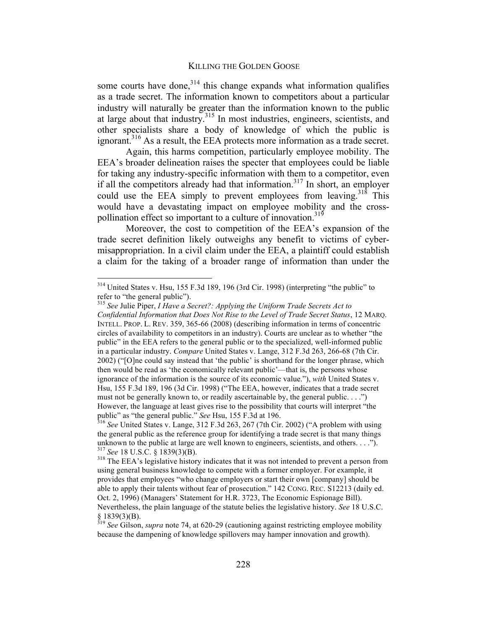some courts have done, $3^{14}$  this change expands what information qualifies as a trade secret. The information known to competitors about a particular industry will naturally be greater than the information known to the public at large about that industry.315 In most industries, engineers, scientists, and other specialists share a body of knowledge of which the public is ignorant.<sup>316</sup> As a result, the EEA protects more information as a trade secret.

Again, this harms competition, particularly employee mobility. The EEA's broader delineation raises the specter that employees could be liable for taking any industry-specific information with them to a competitor, even if all the competitors already had that information.<sup>317</sup> In short, an employer could use the EEA simply to prevent employees from leaving.<sup>318</sup> This would have a devastating impact on employee mobility and the crosspollination effect so important to a culture of innovation.<sup>319</sup>

Moreover, the cost to competition of the EEA's expansion of the trade secret definition likely outweighs any benefit to victims of cybermisappropriation. In a civil claim under the EEA, a plaintiff could establish a claim for the taking of a broader range of information than under the

 <sup>314</sup> United States v. Hsu, 155 F.3d 189, 196 (3rd Cir. 1998) (interpreting "the public" to refer to "the general public").<br><sup>315</sup> See Julie Piper, *I Have a Secret?: Applying the Uniform Trade Secrets Act to* 

*Confidential Information that Does Not Rise to the Level of Trade Secret Status*, 12 MARQ. INTELL. PROP. L. REV. 359, 365-66 (2008) (describing information in terms of concentric circles of availability to competitors in an industry). Courts are unclear as to whether "the public" in the EEA refers to the general public or to the specialized, well-informed public in a particular industry. *Compare* United States v. Lange, 312 F.3d 263, 266-68 (7th Cir. 2002) ("[O]ne could say instead that 'the public' is shorthand for the longer phrase, which then would be read as 'the economically relevant public'—that is, the persons whose ignorance of the information is the source of its economic value."), *with* United States v. Hsu, 155 F.3d 189, 196 (3d Cir. 1998) ("The EEA, however, indicates that a trade secret must not be generally known to, or readily ascertainable by, the general public. . . .") However, the language at least gives rise to the possibility that courts will interpret "the public" as "the general public." *See* Hsu, 155 F.3d at 196.<br><sup>316</sup> See United States v. Lange, 312 F.3d 263, 267 (7th Cir. 2002) ("A problem with using

the general public as the reference group for identifying a trade secret is that many things unknown to the public at large are well known to engineers, scientists, and others....").<br><sup>317</sup> See 18 U.S.C. § 1839(3)(B).<br><sup>318</sup> The EEA's legislative history indicates that it was not intended to prevent a person from

using general business knowledge to compete with a former employer. For example, it provides that employees "who change employers or start their own [company] should be able to apply their talents without fear of prosecution." 142 CONG. REC. S12213 (daily ed. Oct. 2, 1996) (Managers' Statement for H.R. 3723, The Economic Espionage Bill). Nevertheless, the plain language of the statute belies the legislative history. *See* 18 U.S.C.

<sup>§</sup> 1839(3)(B). <sup>319</sup> *See* Gilson, *supra* note 74, at 620-29 (cautioning against restricting employee mobility because the dampening of knowledge spillovers may hamper innovation and growth).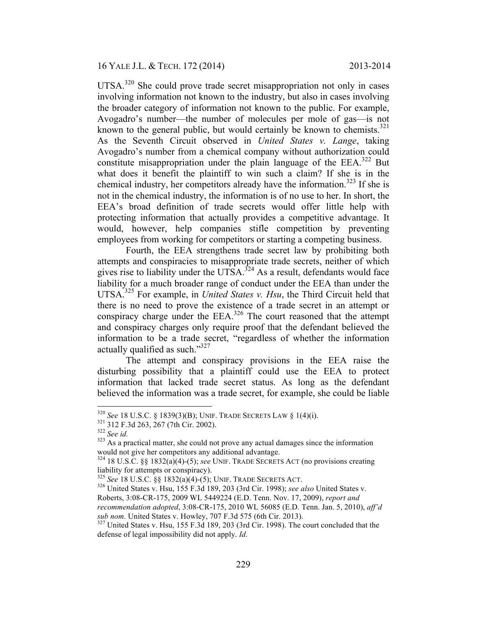16 YALE J.L. & TECH. 172 (2014) 2013-2014

UTSA.<sup>320</sup> She could prove trade secret misappropriation not only in cases involving information not known to the industry, but also in cases involving the broader category of information not known to the public. For example, Avogadro's number—the number of molecules per mole of gas—is not known to the general public, but would certainly be known to chemists. $321$ As the Seventh Circuit observed in *United States v. Lange*, taking Avogadro's number from a chemical company without authorization could constitute misappropriation under the plain language of the  $EEA$ <sup>322</sup> But what does it benefit the plaintiff to win such a claim? If she is in the chemical industry, her competitors already have the information.<sup>323</sup> If she is not in the chemical industry, the information is of no use to her. In short, the EEA's broad definition of trade secrets would offer little help with protecting information that actually provides a competitive advantage. It would, however, help companies stifle competition by preventing employees from working for competitors or starting a competing business.

Fourth, the EEA strengthens trade secret law by prohibiting both attempts and conspiracies to misappropriate trade secrets, neither of which gives rise to liability under the UTSA. $324$  As a result, defendants would face liability for a much broader range of conduct under the EEA than under the UTSA.325 For example, in *United States v. Hsu*, the Third Circuit held that there is no need to prove the existence of a trade secret in an attempt or conspiracy charge under the  $EEA$ <sup>326</sup>. The court reasoned that the attempt and conspiracy charges only require proof that the defendant believed the information to be a trade secret, "regardless of whether the information actually qualified as such."327

The attempt and conspiracy provisions in the EEA raise the disturbing possibility that a plaintiff could use the EEA to protect information that lacked trade secret status. As long as the defendant believed the information was a trade secret, for example, she could be liable

<sup>&</sup>lt;sup>320</sup> *See* 18 U.S.C. § 1839(3)(B); UNIF. TRADE SECRETS LAW § 1(4)(i).<br><sup>321</sup> 312 F.3d 263, 267 (7th Cir. 2002).<br><sup>322</sup> *See id.* As a practical matter, she could not prove any actual damages since the information<br><sup>323</sup> As a would not give her competitors any additional advantage.

<sup>324 18</sup> U.S.C. §§ 1832(a)(4)-(5); *see* UNIF. TRADE SECRETS ACT (no provisions creating liability for attempts or conspiracy).<br> $325$  See 18 U.S.C. §§ 1832(a)(4)-(5); UNIF. TRADE SECRETS ACT.

<sup>&</sup>lt;sup>326</sup> United States v. Hsu, 155 F.3d 189, 203 (3rd Cir. 1998); see also United States v. Roberts, 3:08-CR-175, 2009 WL 5449224 (E.D. Tenn. Nov. 17, 2009), *report and* 

*recommendation adopted*, 3:08-CR-175, 2010 WL 56085 (E.D. Tenn. Jan. 5, 2010), *aff'd sub nom.* United States v. Howley, 707 F.3d 575 (6th Cir. 2013). 327 United States v. Hsu, 155 F.3d 189, 203 (3rd Cir. 1998). The court concluded that the

defense of legal impossibility did not apply. *Id.*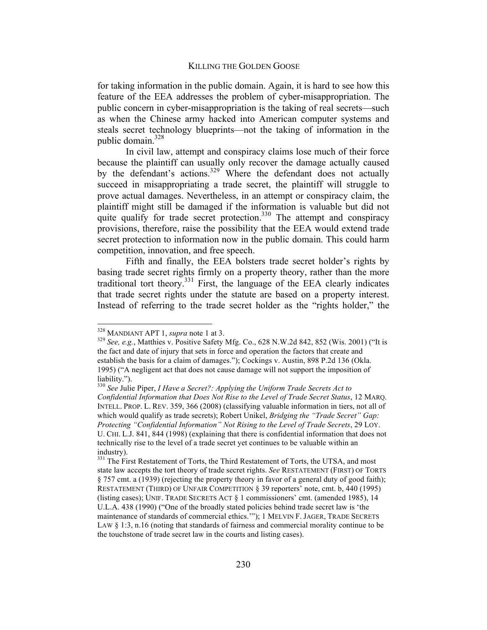for taking information in the public domain. Again, it is hard to see how this feature of the EEA addresses the problem of cyber-misappropriation. The public concern in cyber-misappropriation is the taking of real secrets—such as when the Chinese army hacked into American computer systems and steals secret technology blueprints—not the taking of information in the public domain. $328$ 

In civil law, attempt and conspiracy claims lose much of their force because the plaintiff can usually only recover the damage actually caused by the defendant's actions.<sup>329</sup> Where the defendant does not actually succeed in misappropriating a trade secret, the plaintiff will struggle to prove actual damages. Nevertheless, in an attempt or conspiracy claim, the plaintiff might still be damaged if the information is valuable but did not quite qualify for trade secret protection.<sup>330</sup> The attempt and conspiracy provisions, therefore, raise the possibility that the EEA would extend trade secret protection to information now in the public domain. This could harm competition, innovation, and free speech.

Fifth and finally, the EEA bolsters trade secret holder's rights by basing trade secret rights firmly on a property theory, rather than the more traditional tort theory.<sup>331</sup> First, the language of the EEA clearly indicates that trade secret rights under the statute are based on a property interest. Instead of referring to the trade secret holder as the "rights holder," the

<sup>&</sup>lt;sup>328</sup> MANDIANT APT 1, *supra* note 1 at 3.<br><sup>329</sup> See, e.g., Matthies v. Positive Safety Mfg. Co., 628 N.W.2d 842, 852 (Wis. 2001) ("It is the fact and date of injury that sets in force and operation the factors that create and establish the basis for a claim of damages."); Cockings v. Austin, 898 P.2d 136 (Okla. 1995) ("A negligent act that does not cause damage will not support the imposition of liability.").<br><sup>330</sup> See Julie Piper, *I Have a Secret?: Applying the Uniform Trade Secrets Act to* 

*Confidential Information that Does Not Rise to the Level of Trade Secret Status*, 12 MARQ. INTELL. PROP. L. REV. 359, 366 (2008) (classifying valuable information in tiers, not all of which would qualify as trade secrets); Robert Unikel, *Bridging the "Trade Secret" Gap: Protecting "Confidential Information" Not Rising to the Level of Trade Secrets*, 29 LOY. U. CHI. L.J. 841, 844 (1998) (explaining that there is confidential information that does not technically rise to the level of a trade secret yet continues to be valuable within an industry).

<sup>&</sup>lt;sup>331</sup> The First Restatement of Torts, the Third Restatement of Torts, the UTSA, and most state law accepts the tort theory of trade secret rights. *See* RESTATEMENT (FIRST) OF TORTS § 757 cmt. a (1939) (rejecting the property theory in favor of a general duty of good faith); RESTATEMENT (THIRD) OF UNFAIR COMPETITION § 39 reporters' note, cmt. b, 440 (1995) (listing cases); UNIF. TRADE SECRETS ACT § 1 commissioners' cmt. (amended 1985), 14 U.L.A. 438 (1990) ("One of the broadly stated policies behind trade secret law is 'the maintenance of standards of commercial ethics.'"); 1 MELVIN F. JAGER, TRADE SECRETS LAW § 1:3, n.16 (noting that standards of fairness and commercial morality continue to be the touchstone of trade secret law in the courts and listing cases).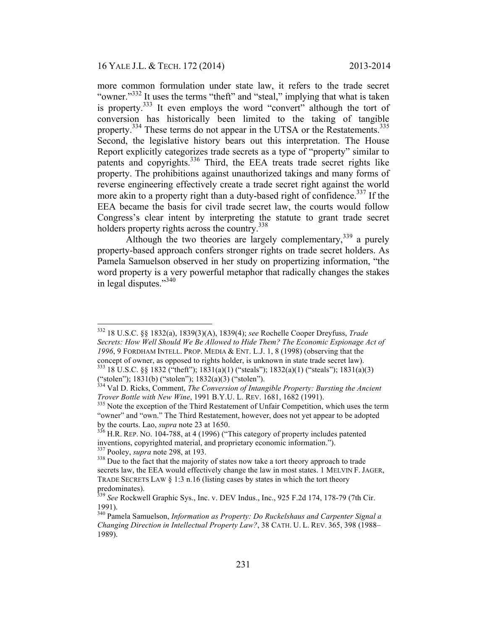more common formulation under state law, it refers to the trade secret "owner."<sup>332</sup> It uses the terms "theft" and "steal," implying that what is taken is property.<sup>333</sup> It even employs the word "convert" although the tort of conversion has historically been limited to the taking of tangible property.<sup>334</sup> These terms do not appear in the UTSA or the Restatements.<sup>335</sup> Second, the legislative history bears out this interpretation. The House Report explicitly categorizes trade secrets as a type of "property" similar to patents and copyrights.336 Third, the EEA treats trade secret rights like property. The prohibitions against unauthorized takings and many forms of reverse engineering effectively create a trade secret right against the world more akin to a property right than a duty-based right of confidence.<sup>337</sup> If the EEA became the basis for civil trade secret law, the courts would follow Congress's clear intent by interpreting the statute to grant trade secret holders property rights across the country.<sup>338</sup>

Although the two theories are largely complementary,  $339$  a purely property-based approach confers stronger rights on trade secret holders. As Pamela Samuelson observed in her study on propertizing information, "the word property is a very powerful metaphor that radically changes the stakes in legal disputes."<sup>340</sup>

("stolen"); 1831(b) ("stolen"); 1832(a)(3) ("stolen").

 <sup>332 18</sup> U.S.C. §§ 1832(a), 1839(3)(A), 1839(4); *see* Rochelle Cooper Dreyfuss, *Trade Secrets: How Well Should We Be Allowed to Hide Them? The Economic Espionage Act of 1996*, 9 FORDHAM INTELL. PROP. MEDIA & ENT. L.J. 1, 8 (1998) (observing that the concept of owner, as opposed to rights holder, is unknown in state trade secret law). 333 18 U.S.C. §§ 1832 ("theft"); 1831(a)(1) ("steals"); 1832(a)(1) ("steals"); 1831(a)(3)

<sup>&</sup>lt;sup>334</sup> Val D. Ricks, Comment, *The Conversion of Intangible Property: Bursting the Ancient Trover Bottle with New Wine*, 1991 B.Y.U. L. REV. 1681, 1682 (1991).

*Trover Bottle with New Wine, 1991* B.Y.U. L. REV. 1681, 1682, 1682, 1682, 1682. "owner" and "own." The Third Restatement, however, does not yet appear to be adopted

by the courts. Lao, *supra* note 23 at 1650.<br><sup>336</sup> H.R. REP. NO. 104-788, at 4 (1996) ("This category of property includes patented inventions, copyrighted material, and proprietary economic information."). <sup>337</sup> Pooley, *supra* note 298, at 193.<br><sup>338</sup> Due to the fact that the majority of states now take a tort theory approach to trade

secrets law, the EEA would effectively change the law in most states. 1 MELVIN F. JAGER, TRADE SECRETS LAW  $\S 1:3$  n.16 (listing cases by states in which the tort theory predominates).

<sup>339</sup> *See* Rockwell Graphic Sys., Inc. v. DEV Indus., Inc., 925 F.2d 174, 178-79 (7th Cir. 1991).

<sup>340</sup> Pamela Samuelson, *Information as Property: Do Ruckelshaus and Carpenter Signal a Changing Direction in Intellectual Property Law?*, 38 CATH. U. L. REV. 365, 398 (1988– 1989).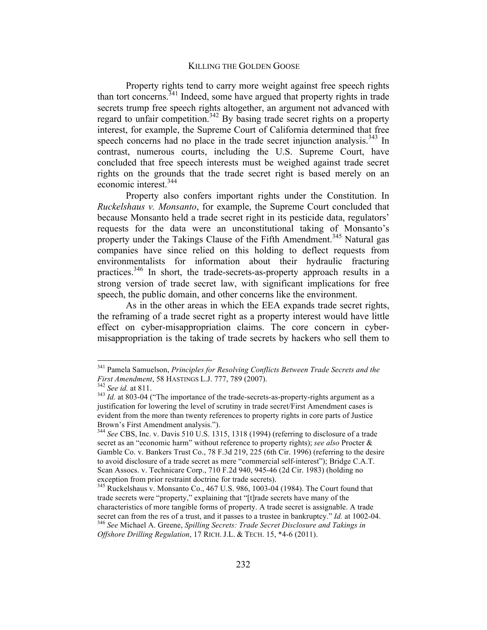Property rights tend to carry more weight against free speech rights than tort concerns.  $341$  Indeed, some have argued that property rights in trade secrets trump free speech rights altogether, an argument not advanced with regard to unfair competition.<sup>342</sup> By basing trade secret rights on a property interest, for example, the Supreme Court of California determined that free speech concerns had no place in the trade secret injunction analysis.<sup>343</sup> In contrast, numerous courts, including the U.S. Supreme Court, have concluded that free speech interests must be weighed against trade secret rights on the grounds that the trade secret right is based merely on an economic interest.<sup>344</sup>

Property also confers important rights under the Constitution. In *Ruckelshaus v. Monsanto*, for example, the Supreme Court concluded that because Monsanto held a trade secret right in its pesticide data, regulators' requests for the data were an unconstitutional taking of Monsanto's property under the Takings Clause of the Fifth Amendment.<sup>345</sup> Natural gas companies have since relied on this holding to deflect requests from environmentalists for information about their hydraulic fracturing practices.346 In short, the trade-secrets-as-property approach results in a strong version of trade secret law, with significant implications for free speech, the public domain, and other concerns like the environment.

As in the other areas in which the EEA expands trade secret rights, the reframing of a trade secret right as a property interest would have little effect on cyber-misappropriation claims. The core concern in cybermisappropriation is the taking of trade secrets by hackers who sell them to

<sup>&</sup>lt;sup>341</sup> Pamela Samuelson, *Principles for Resolving Conflicts Between Trade Secrets and the First Amendment*, 58 HASTINGS L.J. 777, 789 (2007).

<sup>&</sup>lt;sup>342</sup> *See id.* at 811.<br><sup>343</sup> *Id.* at 803-04 ("The importance of the trade-secrets-as-property-rights argument as a justification for lowering the level of scrutiny in trade secret/First Amendment cases is evident from the more than twenty references to property rights in core parts of Justice Brown's First Amendment analysis.").

Brown's First Amendment analysis."). <sup>344</sup> *See* CBS, Inc. v. Davis 510 U.S. 1315, 1318 (1994) (referring to disclosure of a trade secret as an "economic harm" without reference to property rights); *see also* Procter & Gamble Co. v. Bankers Trust Co., 78 F.3d 219, 225 (6th Cir. 1996) (referring to the desire to avoid disclosure of a trade secret as mere "commercial self-interest"); Bridge C.A.T. Scan Assocs. v. Technicare Corp., 710 F.2d 940, 945-46 (2d Cir. 1983) (holding no exception from prior restraint doctrine for trade secrets).

<sup>345</sup> Ruckelshaus v. Monsanto Co., 467 U.S. 986, 1003-04 (1984). The Court found that trade secrets were "property," explaining that "[t]rade secrets have many of the characteristics of more tangible forms of property. A trade secret is assignable. A trade secret can from the res of a trust, and it passes to a trustee in bankruptcy." *Id.* at 1002-04.<br><sup>346</sup> See Michael A. Greene, *Spilling Secrets: Trade Secret Disclosure and Takings in Offshore Drilling Regulation*, 17 RICH. J.L. & TECH. 15, \*4-6 (2011).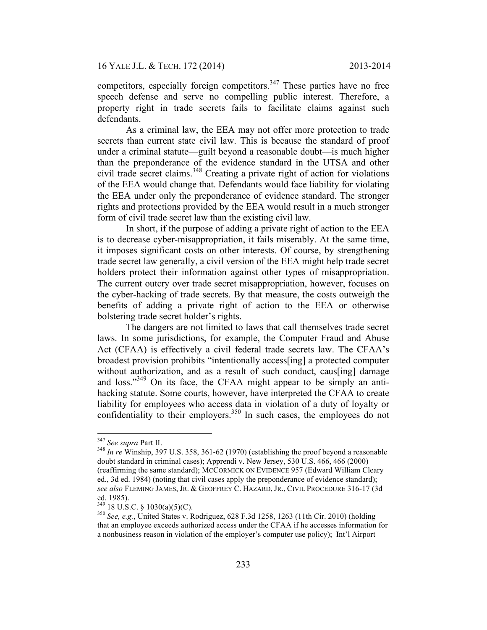competitors, especially foreign competitors.<sup>347</sup> These parties have no free speech defense and serve no compelling public interest. Therefore, a property right in trade secrets fails to facilitate claims against such defendants.

As a criminal law, the EEA may not offer more protection to trade secrets than current state civil law. This is because the standard of proof under a criminal statute—guilt beyond a reasonable doubt—is much higher than the preponderance of the evidence standard in the UTSA and other civil trade secret claims.<sup>348</sup> Creating a private right of action for violations of the EEA would change that. Defendants would face liability for violating the EEA under only the preponderance of evidence standard. The stronger rights and protections provided by the EEA would result in a much stronger form of civil trade secret law than the existing civil law.

In short, if the purpose of adding a private right of action to the EEA is to decrease cyber-misappropriation, it fails miserably. At the same time, it imposes significant costs on other interests. Of course, by strengthening trade secret law generally, a civil version of the EEA might help trade secret holders protect their information against other types of misappropriation. The current outcry over trade secret misappropriation, however, focuses on the cyber-hacking of trade secrets. By that measure, the costs outweigh the benefits of adding a private right of action to the EEA or otherwise bolstering trade secret holder's rights.

The dangers are not limited to laws that call themselves trade secret laws. In some jurisdictions, for example, the Computer Fraud and Abuse Act (CFAA) is effectively a civil federal trade secrets law. The CFAA's broadest provision prohibits "intentionally access[ing] a protected computer without authorization, and as a result of such conduct, caus[ing] damage and loss."<sup>349</sup> On its face, the CFAA might appear to be simply an antihacking statute. Some courts, however, have interpreted the CFAA to create liability for employees who access data in violation of a duty of loyalty or confidentiality to their employers.<sup>350</sup> In such cases, the employees do not

<sup>&</sup>lt;sup>347</sup> See supra Part II.<br><sup>348</sup> *In re* Winship, 397 U.S. 358, 361-62 (1970) (establishing the proof beyond a reasonable doubt standard in criminal cases); Apprendi v. New Jersey, 530 U.S. 466, 466 (2000) (reaffirming the same standard); MCCORMICK ON EVIDENCE 957 (Edward William Cleary ed., 3d ed. 1984) (noting that civil cases apply the preponderance of evidence standard); *see also* FLEMING JAMES, JR. & GEOFFREY C. HAZARD, JR., CIVIL PROCEDURE 316-17 (3d

ed. 1985).<br><sup>349</sup> 18 U.S.C. § 1030(a)(5)(C).

<sup>&</sup>lt;sup>350</sup> See, e.g., United States v. Rodriguez, 628 F.3d 1258, 1263 (11th Cir. 2010) (holding that an employee exceeds authorized access under the CFAA if he accesses information for a nonbusiness reason in violation of the employer's computer use policy); Int'l Airport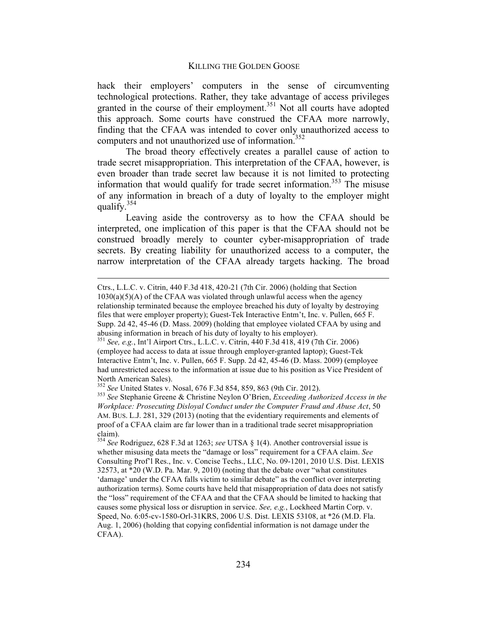hack their employers' computers in the sense of circumventing technological protections. Rather, they take advantage of access privileges granted in the course of their employment.<sup>351</sup> Not all courts have adopted this approach. Some courts have construed the CFAA more narrowly, finding that the CFAA was intended to cover only unauthorized access to computers and not unauthorized use of information.<sup>352</sup>

The broad theory effectively creates a parallel cause of action to trade secret misappropriation. This interpretation of the CFAA, however, is even broader than trade secret law because it is not limited to protecting information that would qualify for trade secret information.<sup>353</sup> The misuse of any information in breach of a duty of loyalty to the employer might qualify. $354$ 

Leaving aside the controversy as to how the CFAA should be interpreted, one implication of this paper is that the CFAA should not be construed broadly merely to counter cyber-misappropriation of trade secrets. By creating liability for unauthorized access to a computer, the narrow interpretation of the CFAA already targets hacking. The broad

 $\overline{a}$ 

Ctrs., L.L.C. v. Citrin, 440 F.3d 418, 420-21 (7th Cir. 2006) (holding that Section  $1030(a)(5)(A)$  of the CFAA was violated through unlawful access when the agency relationship terminated because the employee breached his duty of loyalty by destroying files that were employer property); Guest-Tek Interactive Entm't, Inc. v. Pullen, 665 F. Supp. 2d 42, 45-46 (D. Mass. 2009) (holding that employee violated CFAA by using and abusing information in breach of his duty of loyalty to his employer). <sup>351</sup> *See, e.g.*, Int'l Airport Ctrs., L.L.C. v. Citrin, 440 F.3d 418, 419 (7th Cir. 2006)

<sup>(</sup>employee had access to data at issue through employer-granted laptop); Guest-Tek Interactive Entm't, Inc. v. Pullen, 665 F. Supp. 2d 42, 45-46 (D. Mass. 2009) (employee had unrestricted access to the information at issue due to his position as Vice President of North American Sales).<br><sup>352</sup> See United States v. Nosal, 676 F.3d 854, 859, 863 (9th Cir. 2012).

<sup>&</sup>lt;sup>353</sup> See Stephanie Greene & Christine Neylon O'Brien, *Exceeding Authorized Access in the Workplace: Prosecuting Disloyal Conduct under the Computer Fraud and Abuse Act*, 50 AM. BUS. L.J. 281, 329 (2013) (noting that the evidentiary requirements and elements of proof of a CFAA claim are far lower than in a traditional trade secret misappropriation claim).

<sup>354</sup> *See* Rodriguez, 628 F.3d at 1263; *see* UTSA § 1(4). Another controversial issue is whether misusing data meets the "damage or loss" requirement for a CFAA claim. *See* Consulting Prof'l Res., Inc. v. Concise Techs., LLC, No. 09-1201, 2010 U.S. Dist. LEXIS 32573, at \*20 (W.D. Pa. Mar. 9, 2010) (noting that the debate over "what constitutes 'damage' under the CFAA falls victim to similar debate" as the conflict over interpreting authorization terms). Some courts have held that misappropriation of data does not satisfy the "loss" requirement of the CFAA and that the CFAA should be limited to hacking that causes some physical loss or disruption in service. *See, e.g.*, Lockheed Martin Corp. v. Speed, No. 6:05-cv-1580-Orl-31KRS, 2006 U.S. Dist. LEXIS 53108, at \*26 (M.D. Fla. Aug. 1, 2006) (holding that copying confidential information is not damage under the CFAA).